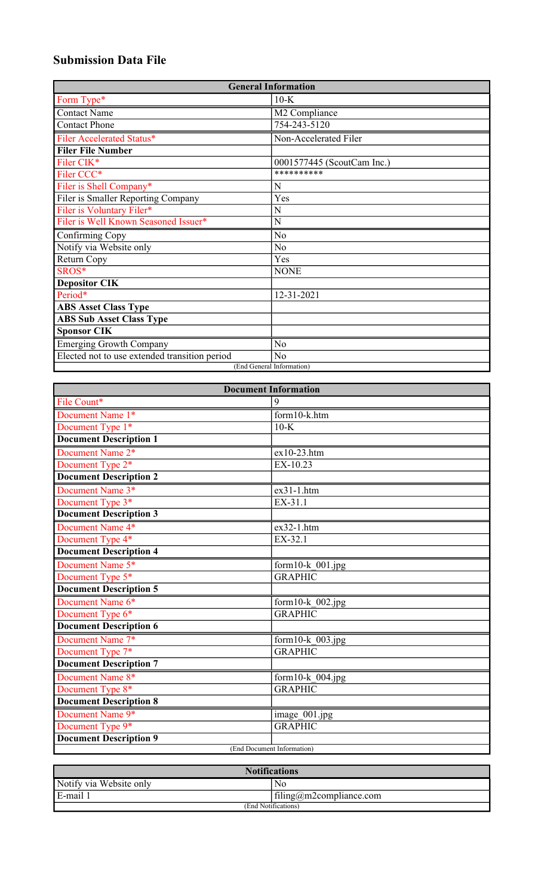# **Submission Data File**

| <b>General Information</b>                    |                            |  |  |
|-----------------------------------------------|----------------------------|--|--|
| Form Type*                                    | $10-K$                     |  |  |
| <b>Contact Name</b>                           | M2 Compliance              |  |  |
| <b>Contact Phone</b>                          | 754-243-5120               |  |  |
| Filer Accelerated Status*                     | Non-Accelerated Filer      |  |  |
| <b>Filer File Number</b>                      |                            |  |  |
| Filer CIK*                                    | 0001577445 (ScoutCam Inc.) |  |  |
| Filer CCC*                                    | **********                 |  |  |
| Filer is Shell Company*                       | N                          |  |  |
| Filer is Smaller Reporting Company            | Yes                        |  |  |
| Filer is Voluntary Filer*                     | N                          |  |  |
| Filer is Well Known Seasoned Issuer*          | N                          |  |  |
| Confirming Copy                               | N <sub>o</sub>             |  |  |
| Notify via Website only                       | No                         |  |  |
| Return Copy                                   | Yes                        |  |  |
| SROS*                                         | <b>NONE</b>                |  |  |
| <b>Depositor CIK</b>                          |                            |  |  |
| Period*                                       | 12-31-2021                 |  |  |
| <b>ABS Asset Class Type</b>                   |                            |  |  |
| <b>ABS Sub Asset Class Type</b>               |                            |  |  |
| <b>Sponsor CIK</b>                            |                            |  |  |
| <b>Emerging Growth Company</b>                | No                         |  |  |
| Elected not to use extended transition period | No                         |  |  |
| (End General Information)                     |                            |  |  |

| <b>Document Information</b>   |                            |  |
|-------------------------------|----------------------------|--|
| File Count*                   |                            |  |
| Document Name 1*              | form10-k.htm               |  |
| Document Type 1*              | $10-K$                     |  |
| <b>Document Description 1</b> |                            |  |
| Document Name 2*              | $ex10-23.htm$              |  |
| Document Type 2*              | EX-10.23                   |  |
| <b>Document Description 2</b> |                            |  |
| Document Name 3*              | $ex31-1.htm$               |  |
| Document Type 3*              | EX-31.1                    |  |
| <b>Document Description 3</b> |                            |  |
| Document Name 4*              | $ex32-1.htm$               |  |
| Document Type 4*              | EX-32.1                    |  |
| <b>Document Description 4</b> |                            |  |
| Document Name 5 <sup>*</sup>  | form $10-k_001$ .jpg       |  |
| Document Type 5*              | <b>GRAPHIC</b>             |  |
| <b>Document Description 5</b> |                            |  |
| Document Name 6*              | form10- $k$ 002.jpg        |  |
| Document Type 6*              | <b>GRAPHIC</b>             |  |
| <b>Document Description 6</b> |                            |  |
| Document Name 7*              | form $10-k$ 003.jpg        |  |
| Document Type 7*              | <b>GRAPHIC</b>             |  |
| <b>Document Description 7</b> |                            |  |
| Document Name 8*              | form10- $k$ 004.jpg        |  |
| Document Type 8*              | <b>GRAPHIC</b>             |  |
| <b>Document Description 8</b> |                            |  |
| Document Name 9*              | image_001.jpg              |  |
| Document Type 9*              | <b>GRAPHIC</b>             |  |
| <b>Document Description 9</b> |                            |  |
|                               | (End Document Information) |  |

| <b>Notifications</b>    |                         |  |
|-------------------------|-------------------------|--|
| Notify via Website only | N <sub>0</sub>          |  |
| E-mail 1                | filing@m2compliance.com |  |
| (End Notifications)     |                         |  |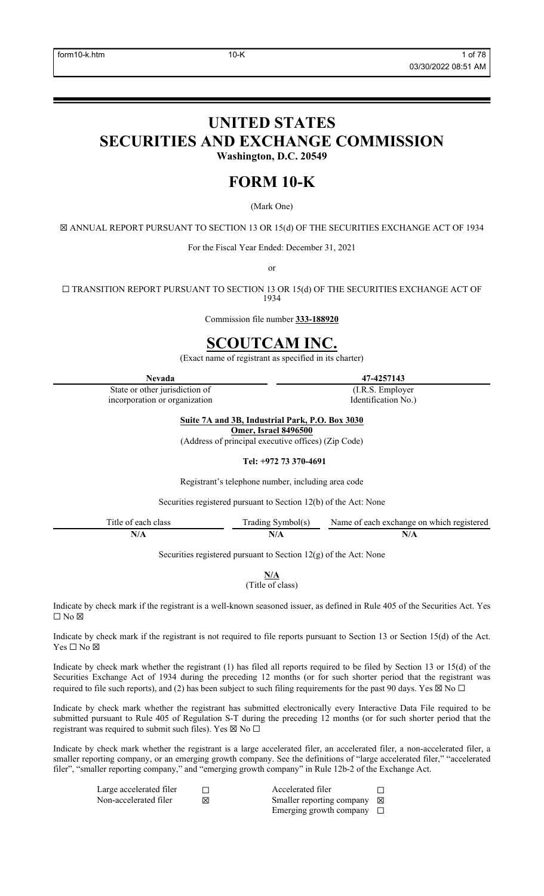# **UNITED STATES SECURITIES AND EXCHANGE COMMISSION**

**Washington, D.C. 20549**

# **FORM 10-K**

(Mark One)

☒ ANNUAL REPORT PURSUANT TO SECTION 13 OR 15(d) OF THE SECURITIES EXCHANGE ACT OF 1934

For the Fiscal Year Ended: December 31, 2021

or

 $\Box$  TRANSITION REPORT PURSUANT TO SECTION 13 OR 15(d) OF THE SECURITIES EXCHANGE ACT OF 1934

Commission file number **333-188920**

# **SCOUTCAM INC.**

(Exact name of registrant as specified in its charter)

State or other jurisdiction of incorporation or organization

**Nevada 47-4257143**

Identification No.)

**Suite 7A and 3B, Industrial Park, P.O. Box 3030**

**Omer, Israel 8496500**

(Address of principal executive offices) (Zip Code)

**Tel: +972 73 370-4691**

Registrant's telephone number, including area code

Securities registered pursuant to Section 12(b) of the Act: None

Title of each class Trading Symbol(s) Name of each exchange on which registered **N/A N/A N/A** 

Securities registered pursuant to Section 12(g) of the Act: None

**N/A** (Title of class)

Indicate by check mark if the registrant is a well-known seasoned issuer, as defined in Rule 405 of the Securities Act. Yes  $\square$  No  $\square$ 

Indicate by check mark if the registrant is not required to file reports pursuant to Section 13 or Section 15(d) of the Act.  $Yes \Box No \boxtimes$ 

Indicate by check mark whether the registrant (1) has filed all reports required to be filed by Section 13 or 15(d) of the Securities Exchange Act of 1934 during the preceding 12 months (or for such shorter period that the registrant was required to file such reports), and (2) has been subject to such filing requirements for the past 90 days. Yes  $\boxtimes$  No  $\Box$ 

Indicate by check mark whether the registrant has submitted electronically every Interactive Data File required to be submitted pursuant to Rule 405 of Regulation S-T during the preceding 12 months (or for such shorter period that the registrant was required to submit such files). Yes  $\boxtimes$  No  $\Box$ 

Indicate by check mark whether the registrant is a large accelerated filer, an accelerated filer, a non-accelerated filer, a smaller reporting company, or an emerging growth company. See the definitions of "large accelerated filer," "accelerated filer", "smaller reporting company," and "emerging growth company" in Rule 12b-2 of the Exchange Act.

| Large accelerated filer |   | Accelerated filer                     |  |
|-------------------------|---|---------------------------------------|--|
| Non-accelerated filer   | ⊠ | Smaller reporting company $\boxtimes$ |  |
|                         |   | Emerging growth company $\Box$        |  |

(I.R.S. Employer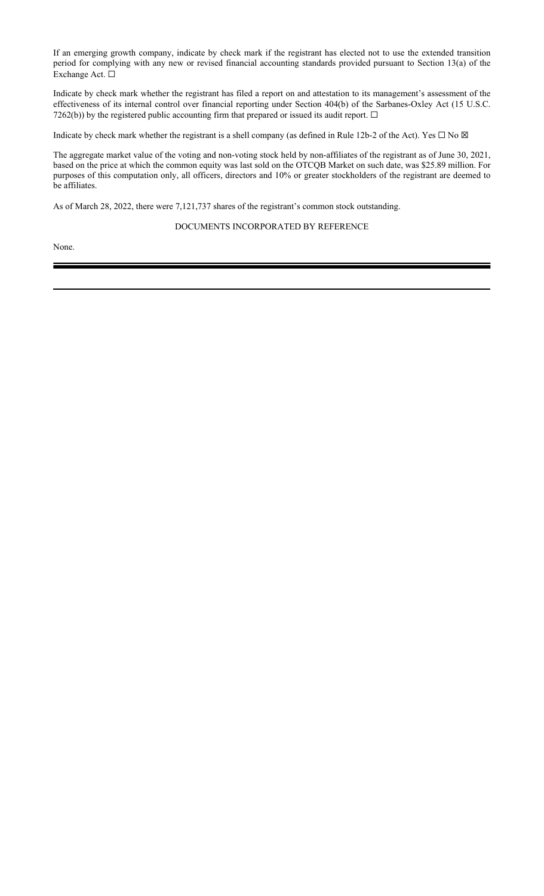If an emerging growth company, indicate by check mark if the registrant has elected not to use the extended transition period for complying with any new or revised financial accounting standards provided pursuant to Section 13(a) of the Exchange Act. ☐

Indicate by check mark whether the registrant has filed a report on and attestation to its management's assessment of the effectiveness of its internal control over financial reporting under Section 404(b) of the Sarbanes-Oxley Act (15 U.S.C. 7262(b)) by the registered public accounting firm that prepared or issued its audit report.  $\Box$ 

Indicate by check mark whether the registrant is a shell company (as defined in Rule 12b-2 of the Act). Yes  $\Box$  No  $\boxtimes$ 

The aggregate market value of the voting and non-voting stock held by non-affiliates of the registrant as of June 30, 2021, based on the price at which the common equity was last sold on the OTCQB Market on such date, was \$25.89 million. For purposes of this computation only, all officers, directors and 10% or greater stockholders of the registrant are deemed to be affiliates.

As of March 28, 2022, there were 7,121,737 shares of the registrant's common stock outstanding.

## DOCUMENTS INCORPORATED BY REFERENCE

None.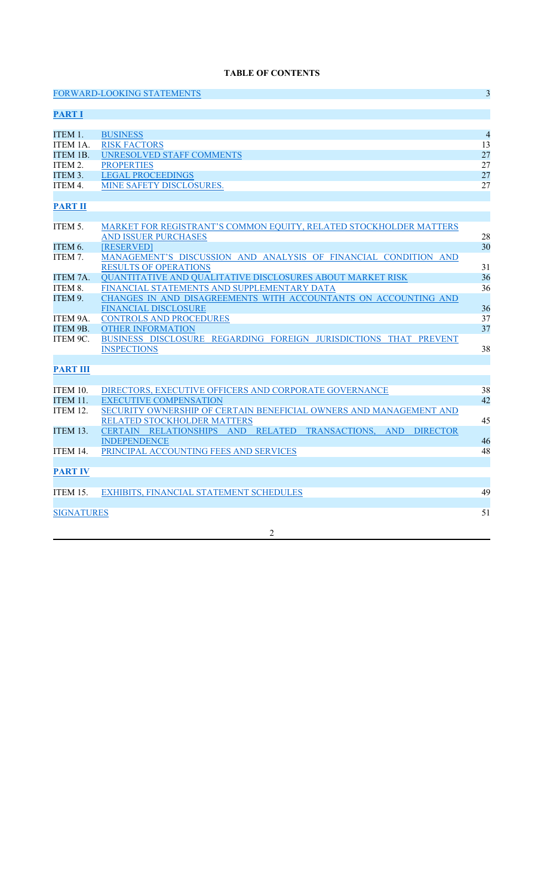# **TABLE OF CONTENTS**

|                                                                  | FORWARD-LOOKING STATEMENTS                                                                                                                              | 3                                            |
|------------------------------------------------------------------|---------------------------------------------------------------------------------------------------------------------------------------------------------|----------------------------------------------|
| <b>PART I</b>                                                    |                                                                                                                                                         |                                              |
| ITEM 1.<br>ITEM 1A.<br>ITEM 1B.<br>ITEM 2.<br>ITEM 3.<br>ITEM 4. | <b>BUSINESS</b><br><b>RISK FACTORS</b><br><b>UNRESOLVED STAFF COMMENTS</b><br><b>PROPERTIES</b><br><b>LEGAL PROCEEDINGS</b><br>MINE SAFETY DISCLOSURES. | $\overline{4}$<br>13<br>27<br>27<br>27<br>27 |
| <b>PART II</b>                                                   |                                                                                                                                                         |                                              |
| ITEM 5.                                                          | MARKET FOR REGISTRANT'S COMMON EQUITY, RELATED STOCKHOLDER MATTERS<br><b>AND ISSUER PURCHASES</b>                                                       | 28                                           |
| ITEM 6.<br>ITEM 7.                                               | [RESERVED]<br>MANAGEMENT'S DISCUSSION AND ANALYSIS OF FINANCIAL CONDITION AND                                                                           | 30                                           |
| ITEM 7A.                                                         | <b>RESULTS OF OPERATIONS</b><br><b>QUANTITATIVE AND QUALITATIVE DISCLOSURES ABOUT MARKET RISK</b>                                                       | 31<br>36                                     |
| ITEM 8.                                                          | FINANCIAL STATEMENTS AND SUPPLEMENTARY DATA                                                                                                             | 36                                           |
| ITEM 9.                                                          | CHANGES IN AND DISAGREEMENTS WITH ACCOUNTANTS ON ACCOUNTING AND<br><b>FINANCIAL DISCLOSURE</b>                                                          | 36                                           |
| ITEM 9A.                                                         | <b>CONTROLS AND PROCEDURES</b>                                                                                                                          | 37                                           |
| ITEM 9B.<br>ITEM 9C.                                             | <b>OTHER INFORMATION</b><br>BUSINESS DISCLOSURE REGARDING FOREIGN JURISDICTIONS THAT PREVENT<br><b>INSPECTIONS</b>                                      | 37<br>38                                     |
| <b>PART III</b>                                                  |                                                                                                                                                         |                                              |
|                                                                  |                                                                                                                                                         |                                              |
| ITEM 10.<br>ITEM 11.                                             | DIRECTORS, EXECUTIVE OFFICERS AND CORPORATE GOVERNANCE<br><b>EXECUTIVE COMPENSATION</b>                                                                 | 38<br>42                                     |
| <b>ITEM 12.</b>                                                  | SECURITY OWNERSHIP OF CERTAIN BENEFICIAL OWNERS AND MANAGEMENT AND<br>RELATED STOCKHOLDER MATTERS                                                       | 45                                           |
| <b>ITEM 13.</b>                                                  | CERTAIN RELATIONSHIPS AND<br>RELATED TRANSACTIONS, AND<br><b>DIRECTOR</b><br><b>INDEPENDENCE</b>                                                        | 46                                           |
| ITEM 14.                                                         | PRINCIPAL ACCOUNTING FEES AND SERVICES                                                                                                                  | 48                                           |
| <b>PART IV</b>                                                   |                                                                                                                                                         |                                              |
| ITEM 15.                                                         | <b>EXHIBITS, FINANCIAL STATEMENT SCHEDULES</b>                                                                                                          | 49                                           |
| <b>SIGNATURES</b>                                                |                                                                                                                                                         | 51                                           |
|                                                                  | $\overline{2}$                                                                                                                                          |                                              |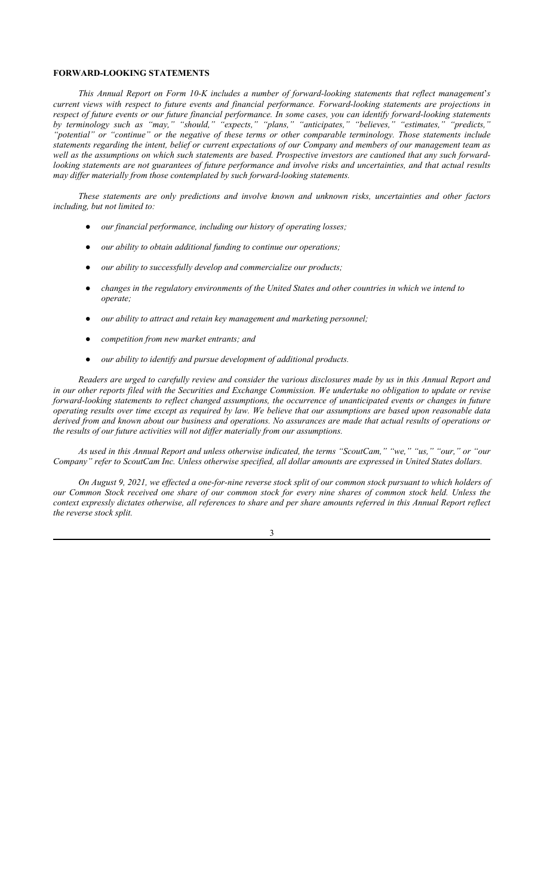# **FORWARD-LOOKING STATEMENTS**

*This Annual Report on Form 10-K includes a number of forward-looking statements that reflect management*'*s current views with respect to future events and financial performance. Forward-looking statements are projections in respect of future events or our future financial performance. In some cases, you can identify forward-looking statements by terminology such as "may," "should," "expects," "plans," "anticipates," "believes," "estimates," "predicts," "potential" or "continue" or the negative of these terms or other comparable terminology. Those statements include statements regarding the intent, belief or current expectations of our Company and members of our management team as well as the assumptions on which such statements are based. Prospective investors are cautioned that any such forwardlooking statements are not guarantees of future performance and involve risks and uncertainties, and that actual results may differ materially from those contemplated by such forward-looking statements.*

*These statements are only predictions and involve known and unknown risks, uncertainties and other factors including, but not limited to:*

- *● our financial performance, including our history of operating losses;*
- *● our ability to obtain additional funding to continue our operations;*
- *● our ability to successfully develop and commercialize our products;*
- *● changes in the regulatory environments of the United States and other countries in which we intend to operate;*
- *● our ability to attract and retain key management and marketing personnel;*
- *● competition from new market entrants; and*
- *● our ability to identify and pursue development of additional products.*

*Readers are urged to carefully review and consider the various disclosures made by us in this Annual Report and in our other reports filed with the Securities and Exchange Commission. We undertake no obligation to update or revise forward-looking statements to reflect changed assumptions, the occurrence of unanticipated events or changes in future operating results over time except as required by law. We believe that our assumptions are based upon reasonable data derived from and known about our business and operations. No assurances are made that actual results of operations or the results of our future activities will not differ materially from our assumptions.*

*As used in this Annual Report and unless otherwise indicated, the terms "ScoutCam," "we," "us," "our," or "our Company" refer to ScoutCam Inc. Unless otherwise specified, all dollar amounts are expressed in United States dollars.*

*On August 9, 2021, we effected a one-for-nine reverse stock split of our common stock pursuant to which holders of our Common Stock received one share of our common stock for every nine shares of common stock held. Unless the context expressly dictates otherwise, all references to share and per share amounts referred in this Annual Report reflect the reverse stock split.*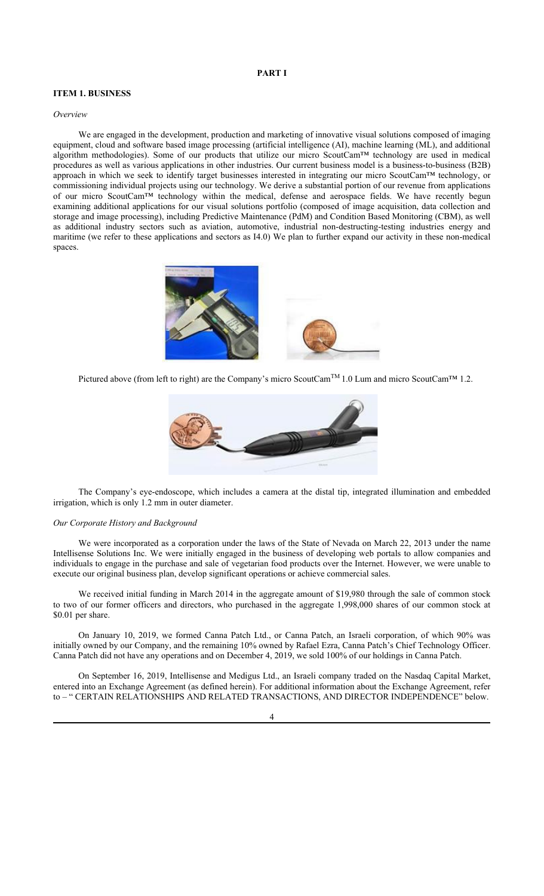# **PART I**

# **ITEM 1. BUSINESS**

#### *Overview*

We are engaged in the development, production and marketing of innovative visual solutions composed of imaging equipment, cloud and software based image processing (artificial intelligence (AI), machine learning (ML), and additional algorithm methodologies). Some of our products that utilize our micro ScoutCam™ technology are used in medical procedures as well as various applications in other industries. Our current business model is a business-to-business (B2B) approach in which we seek to identify target businesses interested in integrating our micro ScoutCam™ technology, or commissioning individual projects using our technology. We derive a substantial portion of our revenue from applications of our micro ScoutCam™ technology within the medical, defense and aerospace fields. We have recently begun examining additional applications for our visual solutions portfolio (composed of image acquisition, data collection and storage and image processing), including Predictive Maintenance (PdM) and Condition Based Monitoring (CBM), as well as additional industry sectors such as aviation, automotive, industrial non-destructing-testing industries energy and maritime (we refer to these applications and sectors as I4.0) We plan to further expand our activity in these non-medical spaces.



Pictured above (from left to right) are the Company's micro ScoutCam<sup>™</sup> 1.0 Lum and micro ScoutCam™ 1.2.



The Company's eye-endoscope, which includes a camera at the distal tip, integrated illumination and embedded irrigation, which is only 1.2 mm in outer diameter.

#### *Our Corporate History and Background*

We were incorporated as a corporation under the laws of the State of Nevada on March 22, 2013 under the name Intellisense Solutions Inc. We were initially engaged in the business of developing web portals to allow companies and individuals to engage in the purchase and sale of vegetarian food products over the Internet. However, we were unable to execute our original business plan, develop significant operations or achieve commercial sales.

We received initial funding in March 2014 in the aggregate amount of \$19,980 through the sale of common stock to two of our former officers and directors, who purchased in the aggregate 1,998,000 shares of our common stock at \$0.01 per share.

On January 10, 2019, we formed Canna Patch Ltd., or Canna Patch, an Israeli corporation, of which 90% was initially owned by our Company, and the remaining 10% owned by Rafael Ezra, Canna Patch's Chief Technology Officer. Canna Patch did not have any operations and on December 4, 2019, we sold 100% of our holdings in Canna Patch.

On September 16, 2019, Intellisense and Medigus Ltd., an Israeli company traded on the Nasdaq Capital Market, entered into an Exchange Agreement (as defined herein). For additional information about the Exchange Agreement, refer to – " CERTAIN RELATIONSHIPS AND RELATED TRANSACTIONS, AND DIRECTOR INDEPENDENCE" below.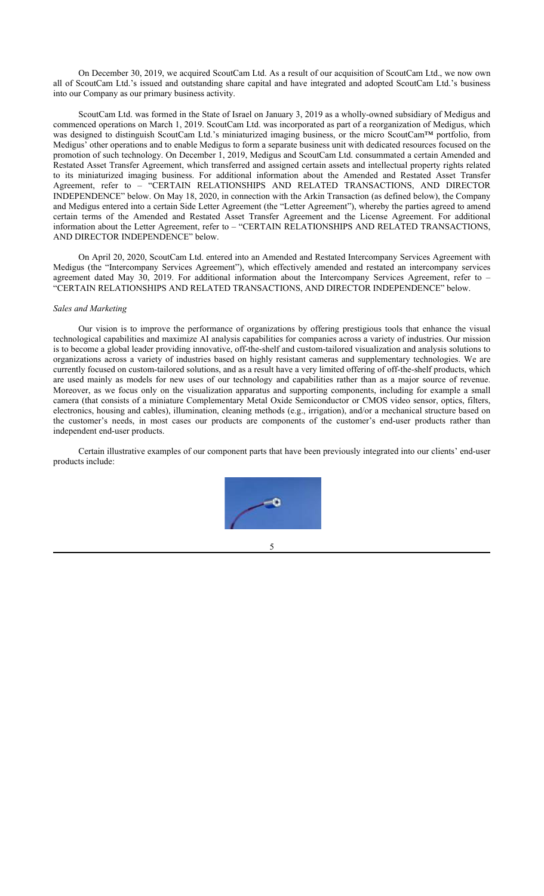On December 30, 2019, we acquired ScoutCam Ltd. As a result of our acquisition of ScoutCam Ltd., we now own all of ScoutCam Ltd.'s issued and outstanding share capital and have integrated and adopted ScoutCam Ltd.'s business into our Company as our primary business activity.

ScoutCam Ltd. was formed in the State of Israel on January 3, 2019 as a wholly-owned subsidiary of Medigus and commenced operations on March 1, 2019. ScoutCam Ltd. was incorporated as part of a reorganization of Medigus, which was designed to distinguish ScoutCam Ltd.'s miniaturized imaging business, or the micro ScoutCam™ portfolio, from Medigus' other operations and to enable Medigus to form a separate business unit with dedicated resources focused on the promotion of such technology. On December 1, 2019, Medigus and ScoutCam Ltd. consummated a certain Amended and Restated Asset Transfer Agreement, which transferred and assigned certain assets and intellectual property rights related to its miniaturized imaging business. For additional information about the Amended and Restated Asset Transfer Agreement, refer to – "CERTAIN RELATIONSHIPS AND RELATED TRANSACTIONS, AND DIRECTOR INDEPENDENCE" below. On May 18, 2020, in connection with the Arkin Transaction (as defined below), the Company and Medigus entered into a certain Side Letter Agreement (the "Letter Agreement"), whereby the parties agreed to amend certain terms of the Amended and Restated Asset Transfer Agreement and the License Agreement. For additional information about the Letter Agreement, refer to – "CERTAIN RELATIONSHIPS AND RELATED TRANSACTIONS, AND DIRECTOR INDEPENDENCE" below.

On April 20, 2020, ScoutCam Ltd. entered into an Amended and Restated Intercompany Services Agreement with Medigus (the "Intercompany Services Agreement"), which effectively amended and restated an intercompany services agreement dated May 30, 2019. For additional information about the Intercompany Services Agreement, refer to – "CERTAIN RELATIONSHIPS AND RELATED TRANSACTIONS, AND DIRECTOR INDEPENDENCE" below.

#### *Sales and Marketing*

Our vision is to improve the performance of organizations by offering prestigious tools that enhance the visual technological capabilities and maximize AI analysis capabilities for companies across a variety of industries. Our mission is to become a global leader providing innovative, off-the-shelf and custom-tailored visualization and analysis solutions to organizations across a variety of industries based on highly resistant cameras and supplementary technologies. We are currently focused on custom-tailored solutions, and as a result have a very limited offering of off-the-shelf products, which are used mainly as models for new uses of our technology and capabilities rather than as a major source of revenue. Moreover, as we focus only on the visualization apparatus and supporting components, including for example a small camera (that consists of a miniature Complementary Metal Oxide Semiconductor or CMOS video sensor, optics, filters, electronics, housing and cables), illumination, cleaning methods (e.g., irrigation), and/or a mechanical structure based on the customer's needs, in most cases our products are components of the customer's end-user products rather than independent end-user products.

Certain illustrative examples of our component parts that have been previously integrated into our clients' end-user products include:

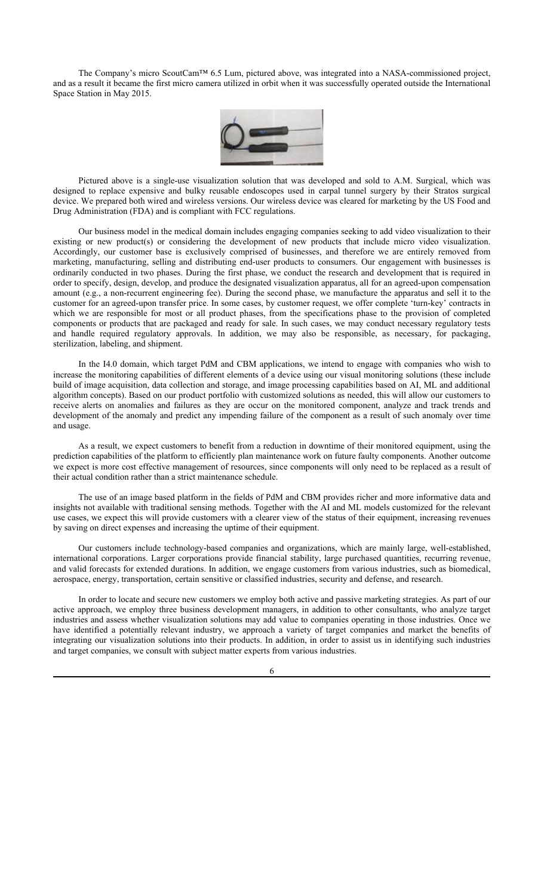The Company's micro ScoutCam™ 6.5 Lum, pictured above, was integrated into a NASA-commissioned project, and as a result it became the first micro camera utilized in orbit when it was successfully operated outside the International Space Station in May 2015.



Pictured above is a single-use visualization solution that was developed and sold to A.M. Surgical, which was designed to replace expensive and bulky reusable endoscopes used in carpal tunnel surgery by their Stratos surgical device. We prepared both wired and wireless versions. Our wireless device was cleared for marketing by the US Food and Drug Administration (FDA) and is compliant with FCC regulations.

Our business model in the medical domain includes engaging companies seeking to add video visualization to their existing or new product(s) or considering the development of new products that include micro video visualization. Accordingly, our customer base is exclusively comprised of businesses, and therefore we are entirely removed from marketing, manufacturing, selling and distributing end-user products to consumers. Our engagement with businesses is ordinarily conducted in two phases. During the first phase, we conduct the research and development that is required in order to specify, design, develop, and produce the designated visualization apparatus, all for an agreed-upon compensation amount (e.g., a non-recurrent engineering fee). During the second phase, we manufacture the apparatus and sell it to the customer for an agreed-upon transfer price. In some cases, by customer request, we offer complete 'turn-key' contracts in which we are responsible for most or all product phases, from the specifications phase to the provision of completed components or products that are packaged and ready for sale. In such cases, we may conduct necessary regulatory tests and handle required regulatory approvals. In addition, we may also be responsible, as necessary, for packaging, sterilization, labeling, and shipment.

In the I4.0 domain, which target PdM and CBM applications, we intend to engage with companies who wish to increase the monitoring capabilities of different elements of a device using our visual monitoring solutions (these include build of image acquisition, data collection and storage, and image processing capabilities based on AI, ML and additional algorithm concepts). Based on our product portfolio with customized solutions as needed, this will allow our customers to receive alerts on anomalies and failures as they are occur on the monitored component, analyze and track trends and development of the anomaly and predict any impending failure of the component as a result of such anomaly over time and usage.

As a result, we expect customers to benefit from a reduction in downtime of their monitored equipment, using the prediction capabilities of the platform to efficiently plan maintenance work on future faulty components. Another outcome we expect is more cost effective management of resources, since components will only need to be replaced as a result of their actual condition rather than a strict maintenance schedule.

The use of an image based platform in the fields of PdM and CBM provides richer and more informative data and insights not available with traditional sensing methods. Together with the AI and ML models customized for the relevant use cases, we expect this will provide customers with a clearer view of the status of their equipment, increasing revenues by saving on direct expenses and increasing the uptime of their equipment.

Our customers include technology-based companies and organizations, which are mainly large, well-established, international corporations. Larger corporations provide financial stability, large purchased quantities, recurring revenue, and valid forecasts for extended durations. In addition, we engage customers from various industries, such as biomedical, aerospace, energy, transportation, certain sensitive or classified industries, security and defense, and research.

In order to locate and secure new customers we employ both active and passive marketing strategies. As part of our active approach, we employ three business development managers, in addition to other consultants, who analyze target industries and assess whether visualization solutions may add value to companies operating in those industries. Once we have identified a potentially relevant industry, we approach a variety of target companies and market the benefits of integrating our visualization solutions into their products. In addition, in order to assist us in identifying such industries and target companies, we consult with subject matter experts from various industries.

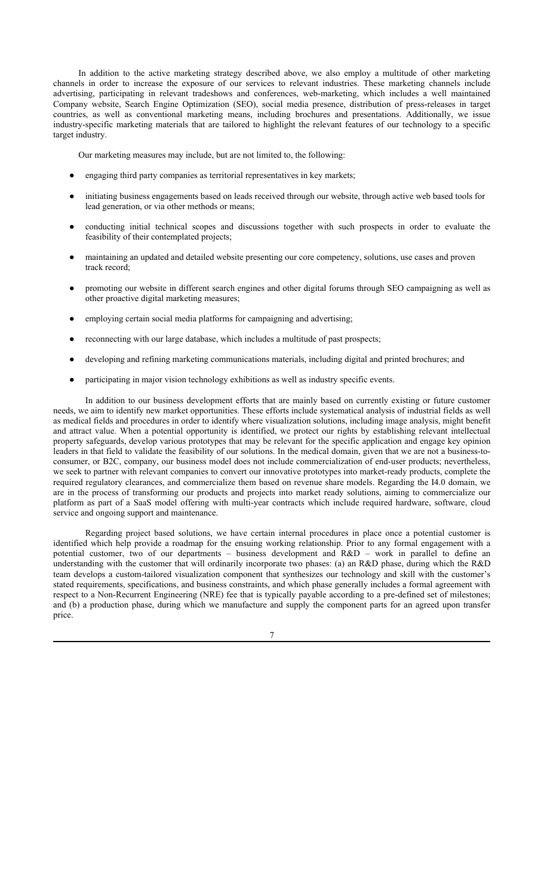In addition to the active marketing strategy described above, we also employ a multitude of other marketing channels in order to increase the exposure of our services to relevant industries. These marketing channels include advertising, participating in relevant tradeshows and conferences, web-marketing, which includes a well maintained Company website, Search Engine Optimization (SEO), social media presence, distribution of press-releases in target countries, as well as conventional marketing means, including brochures and presentations. Additionally, we issue industry-specific marketing materials that are tailored to highlight the relevant features of our technology to a specific target industry.

Our marketing measures may include, but are not limited to, the following:

- engaging third party companies as territorial representatives in key markets;
- initiating business engagements based on leads received through our website, through active web based tools for lead generation, or via other methods or means;
- conducting initial technical scopes and discussions together with such prospects in order to evaluate the feasibility of their contemplated projects;
- maintaining an updated and detailed website presenting our core competency, solutions, use cases and proven track record;
- promoting our website in different search engines and other digital forums through SEO campaigning as well as other proactive digital marketing measures;
- employing certain social media platforms for campaigning and advertising;
- reconnecting with our large database, which includes a multitude of past prospects;
- developing and refining marketing communications materials, including digital and printed brochures; and
- participating in major vision technology exhibitions as well as industry specific events.

In addition to our business development efforts that are mainly based on currently existing or future customer needs, we aim to identify new market opportunities. These efforts include systematical analysis of industrial fields as well as medical fields and procedures in order to identify where visualization solutions, including image analysis, might benefit and attract value. When a potential opportunity is identified, we protect our rights by establishing relevant intellectual property safeguards, develop various prototypes that may be relevant for the specific application and engage key opinion leaders in that field to validate the feasibility of our solutions. In the medical domain, given that we are not a business-toconsumer, or B2C, company, our business model does not include commercialization of end-user products; nevertheless, we seek to partner with relevant companies to convert our innovative prototypes into market-ready products, complete the required regulatory clearances, and commercialize them based on revenue share models. Regarding the I4.0 domain, we are in the process of transforming our products and projects into market ready solutions, aiming to commercialize our platform as part of a SaaS model offering with multi-year contracts which include required hardware, software, cloud service and ongoing support and maintenance.

Regarding project based solutions, we have certain internal procedures in place once a potential customer is identified which help provide a roadmap for the ensuing working relationship. Prior to any formal engagement with a potential customer, two of our departments – business development and R&D – work in parallel to define an understanding with the customer that will ordinarily incorporate two phases: (a) an R&D phase, during which the R&D team develops a custom-tailored visualization component that synthesizes our technology and skill with the customer's stated requirements, specifications, and business constraints, and which phase generally includes a formal agreement with respect to a Non-Recurrent Engineering (NRE) fee that is typically payable according to a pre-defined set of milestones; and (b) a production phase, during which we manufacture and supply the component parts for an agreed upon transfer price.

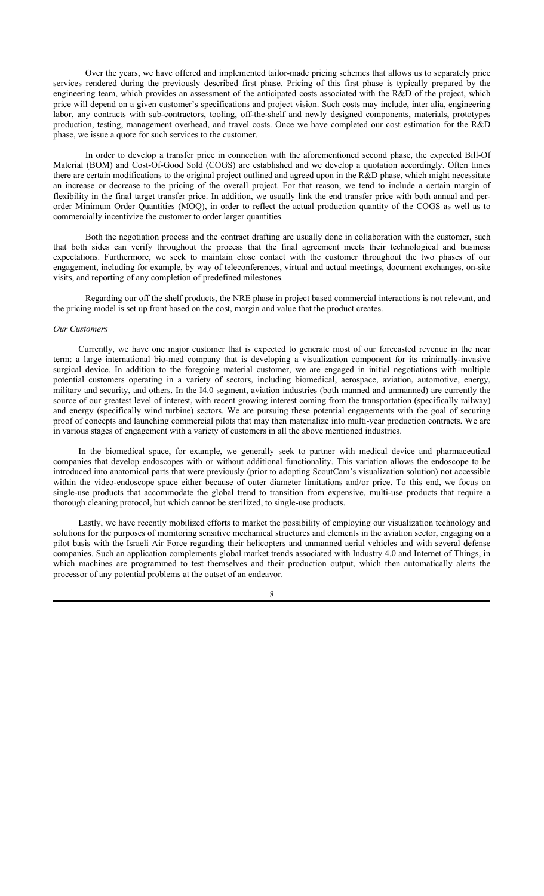Over the years, we have offered and implemented tailor-made pricing schemes that allows us to separately price services rendered during the previously described first phase. Pricing of this first phase is typically prepared by the engineering team, which provides an assessment of the anticipated costs associated with the R&D of the project, which price will depend on a given customer's specifications and project vision. Such costs may include, inter alia, engineering labor, any contracts with sub-contractors, tooling, off-the-shelf and newly designed components, materials, prototypes production, testing, management overhead, and travel costs. Once we have completed our cost estimation for the R&D phase, we issue a quote for such services to the customer.

In order to develop a transfer price in connection with the aforementioned second phase, the expected Bill-Of Material (BOM) and Cost-Of-Good Sold (COGS) are established and we develop a quotation accordingly. Often times there are certain modifications to the original project outlined and agreed upon in the R&D phase, which might necessitate an increase or decrease to the pricing of the overall project. For that reason, we tend to include a certain margin of flexibility in the final target transfer price. In addition, we usually link the end transfer price with both annual and perorder Minimum Order Quantities (MOQ), in order to reflect the actual production quantity of the COGS as well as to commercially incentivize the customer to order larger quantities.

Both the negotiation process and the contract drafting are usually done in collaboration with the customer, such that both sides can verify throughout the process that the final agreement meets their technological and business expectations. Furthermore, we seek to maintain close contact with the customer throughout the two phases of our engagement, including for example, by way of teleconferences, virtual and actual meetings, document exchanges, on-site visits, and reporting of any completion of predefined milestones.

Regarding our off the shelf products, the NRE phase in project based commercial interactions is not relevant, and the pricing model is set up front based on the cost, margin and value that the product creates.

#### *Our Customers*

Currently, we have one major customer that is expected to generate most of our forecasted revenue in the near term: a large international bio-med company that is developing a visualization component for its minimally-invasive surgical device. In addition to the foregoing material customer, we are engaged in initial negotiations with multiple potential customers operating in a variety of sectors, including biomedical, aerospace, aviation, automotive, energy, military and security, and others. In the I4.0 segment, aviation industries (both manned and unmanned) are currently the source of our greatest level of interest, with recent growing interest coming from the transportation (specifically railway) and energy (specifically wind turbine) sectors. We are pursuing these potential engagements with the goal of securing proof of concepts and launching commercial pilots that may then materialize into multi-year production contracts. We are in various stages of engagement with a variety of customers in all the above mentioned industries.

In the biomedical space, for example, we generally seek to partner with medical device and pharmaceutical companies that develop endoscopes with or without additional functionality. This variation allows the endoscope to be introduced into anatomical parts that were previously (prior to adopting ScoutCam's visualization solution) not accessible within the video-endoscope space either because of outer diameter limitations and/or price. To this end, we focus on single-use products that accommodate the global trend to transition from expensive, multi-use products that require a thorough cleaning protocol, but which cannot be sterilized, to single-use products.

Lastly, we have recently mobilized efforts to market the possibility of employing our visualization technology and solutions for the purposes of monitoring sensitive mechanical structures and elements in the aviation sector, engaging on a pilot basis with the Israeli Air Force regarding their helicopters and unmanned aerial vehicles and with several defense companies. Such an application complements global market trends associated with Industry 4.0 and Internet of Things, in which machines are programmed to test themselves and their production output, which then automatically alerts the processor of any potential problems at the outset of an endeavor.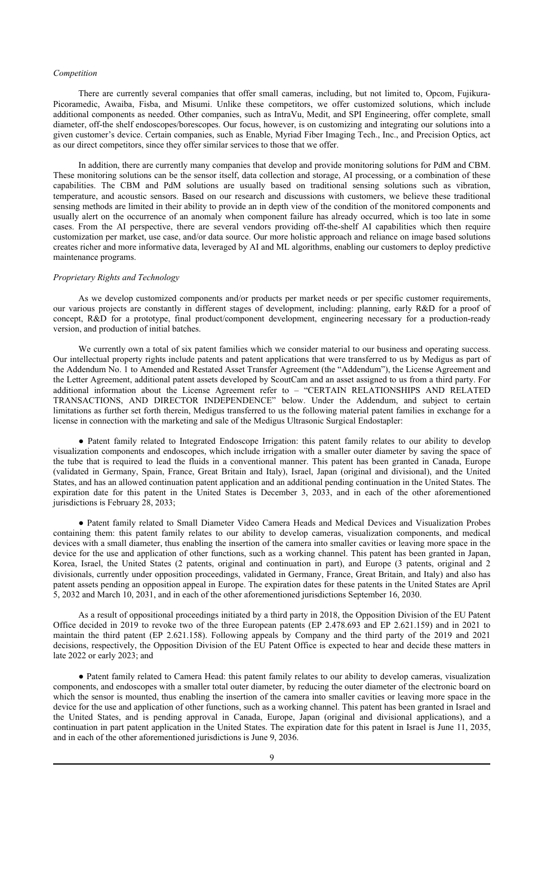#### *Competition*

There are currently several companies that offer small cameras, including, but not limited to, Opcom, Fujikura-Picoramedic, Awaiba, Fisba, and Misumi. Unlike these competitors, we offer customized solutions, which include additional components as needed. Other companies, such as IntraVu, Medit, and SPI Engineering, offer complete, small diameter, off-the shelf endoscopes/borescopes. Our focus, however, is on customizing and integrating our solutions into a given customer's device. Certain companies, such as Enable, Myriad Fiber Imaging Tech., Inc., and Precision Optics, act as our direct competitors, since they offer similar services to those that we offer.

In addition, there are currently many companies that develop and provide monitoring solutions for PdM and CBM. These monitoring solutions can be the sensor itself, data collection and storage, AI processing, or a combination of these capabilities. The CBM and PdM solutions are usually based on traditional sensing solutions such as vibration, temperature, and acoustic sensors. Based on our research and discussions with customers, we believe these traditional sensing methods are limited in their ability to provide an in depth view of the condition of the monitored components and usually alert on the occurrence of an anomaly when component failure has already occurred, which is too late in some cases. From the AI perspective, there are several vendors providing off-the-shelf AI capabilities which then require customization per market, use case, and/or data source. Our more holistic approach and reliance on image based solutions creates richer and more informative data, leveraged by AI and ML algorithms, enabling our customers to deploy predictive maintenance programs.

#### *Proprietary Rights and Technology*

As we develop customized components and/or products per market needs or per specific customer requirements, our various projects are constantly in different stages of development, including: planning, early R&D for a proof of concept, R&D for a prototype, final product/component development, engineering necessary for a production-ready version, and production of initial batches.

We currently own a total of six patent families which we consider material to our business and operating success. Our intellectual property rights include patents and patent applications that were transferred to us by Medigus as part of the Addendum No. 1 to Amended and Restated Asset Transfer Agreement (the "Addendum"), the License Agreement and the Letter Agreement, additional patent assets developed by ScoutCam and an asset assigned to us from a third party. For additional information about the License Agreement refer to – "CERTAIN RELATIONSHIPS AND RELATED TRANSACTIONS, AND DIRECTOR INDEPENDENCE" below. Under the Addendum, and subject to certain limitations as further set forth therein, Medigus transferred to us the following material patent families in exchange for a license in connection with the marketing and sale of the Medigus Ultrasonic Surgical Endostapler:

● Patent family related to Integrated Endoscope Irrigation: this patent family relates to our ability to develop visualization components and endoscopes, which include irrigation with a smaller outer diameter by saving the space of the tube that is required to lead the fluids in a conventional manner. This patent has been granted in Canada, Europe (validated in Germany, Spain, France, Great Britain and Italy), Israel, Japan (original and divisional), and the United States, and has an allowed continuation patent application and an additional pending continuation in the United States. The expiration date for this patent in the United States is December 3, 2033, and in each of the other aforementioned jurisdictions is February 28, 2033;

● Patent family related to Small Diameter Video Camera Heads and Medical Devices and Visualization Probes containing them: this patent family relates to our ability to develop cameras, visualization components, and medical devices with a small diameter, thus enabling the insertion of the camera into smaller cavities or leaving more space in the device for the use and application of other functions, such as a working channel. This patent has been granted in Japan, Korea, Israel, the United States (2 patents, original and continuation in part), and Europe (3 patents, original and 2 divisionals, currently under opposition proceedings, validated in Germany, France, Great Britain, and Italy) and also has patent assets pending an opposition appeal in Europe. The expiration dates for these patents in the United States are April 5, 2032 and March 10, 2031, and in each of the other aforementioned jurisdictions September 16, 2030.

As a result of oppositional proceedings initiated by a third party in 2018, the Opposition Division of the EU Patent Office decided in 2019 to revoke two of the three European patents (EP 2.478.693 and EP 2.621.159) and in 2021 to maintain the third patent (EP 2.621.158). Following appeals by Company and the third party of the 2019 and 2021 decisions, respectively, the Opposition Division of the EU Patent Office is expected to hear and decide these matters in late 2022 or early 2023; and

● Patent family related to Camera Head: this patent family relates to our ability to develop cameras, visualization components, and endoscopes with a smaller total outer diameter, by reducing the outer diameter of the electronic board on which the sensor is mounted, thus enabling the insertion of the camera into smaller cavities or leaving more space in the device for the use and application of other functions, such as a working channel. This patent has been granted in Israel and the United States, and is pending approval in Canada, Europe, Japan (original and divisional applications), and a continuation in part patent application in the United States. The expiration date for this patent in Israel is June 11, 2035, and in each of the other aforementioned jurisdictions is June 9, 2036.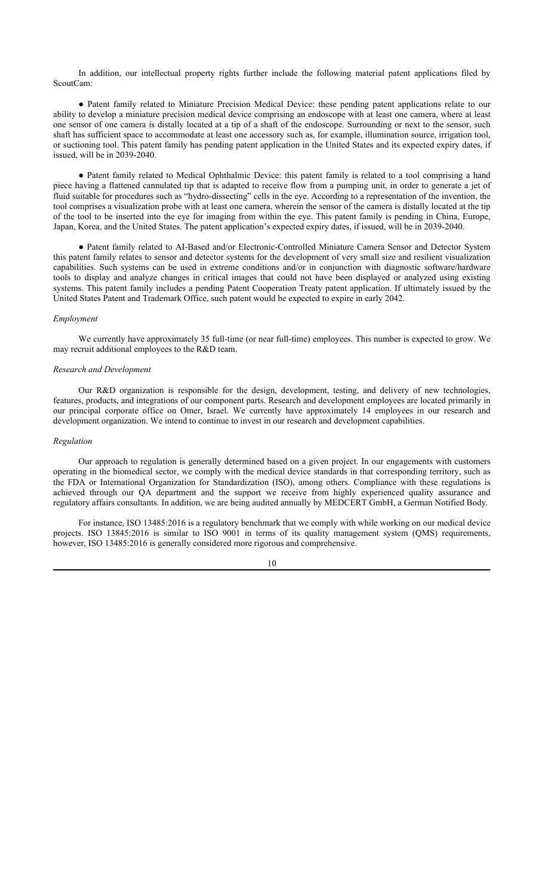In addition, our intellectual property rights further include the following material patent applications filed by ScoutCam:

● Patent family related to Miniature Precision Medical Device: these pending patent applications relate to our ability to develop a miniature precision medical device comprising an endoscope with at least one camera, where at least one sensor of one camera is distally located at a tip of a shaft of the endoscope. Surrounding or next to the sensor, such shaft has sufficient space to accommodate at least one accessory such as, for example, illumination source, irrigation tool, or suctioning tool. This patent family has pending patent application in the United States and its expected expiry dates, if issued, will be in 2039-2040.

● Patent family related to Medical Ophthalmic Device: this patent family is related to a tool comprising a hand piece having a flattened cannulated tip that is adapted to receive flow from a pumping unit, in order to generate a jet of fluid suitable for procedures such as "hydro-dissecting" cells in the eye. According to a representation of the invention, the tool comprises a visualization probe with at least one camera, wherein the sensor of the camera is distally located at the tip of the tool to be inserted into the eye for imaging from within the eye. This patent family is pending in China, Europe, Japan, Korea, and the United States. The patent application's expected expiry dates, if issued, will be in 2039-2040.

● Patent family related to AI-Based and/or Electronic-Controlled Miniature Camera Sensor and Detector System this patent family relates to sensor and detector systems for the development of very small size and resilient visualization capabilities. Such systems can be used in extreme conditions and/or in conjunction with diagnostic software/hardware tools to display and analyze changes in critical images that could not have been displayed or analyzed using existing systems. This patent family includes a pending Patent Cooperation Treaty patent application. If ultimately issued by the United States Patent and Trademark Office, such patent would be expected to expire in early 2042.

## *Employment*

We currently have approximately 35 full-time (or near full-time) employees. This number is expected to grow. We may recruit additional employees to the R&D team.

### *Research and Development*

Our R&D organization is responsible for the design, development, testing, and delivery of new technologies, features, products, and integrations of our component parts. Research and development employees are located primarily in our principal corporate office on Omer, Israel. We currently have approximately 14 employees in our research and development organization. We intend to continue to invest in our research and development capabilities.

#### *Regulation*

Our approach to regulation is generally determined based on a given project. In our engagements with customers operating in the biomedical sector, we comply with the medical device standards in that corresponding territory, such as the FDA or International Organization for Standardization (ISO), among others. Compliance with these regulations is achieved through our QA department and the support we receive from highly experienced quality assurance and regulatory affairs consultants. In addition, we are being audited annually by MEDCERT GmbH, a German Notified Body.

For instance, ISO 13485:2016 is a regulatory benchmark that we comply with while working on our medical device projects. ISO 13845:2016 is similar to ISO 9001 in terms of its quality management system (QMS) requirements, however, ISO 13485:2016 is generally considered more rigorous and comprehensive.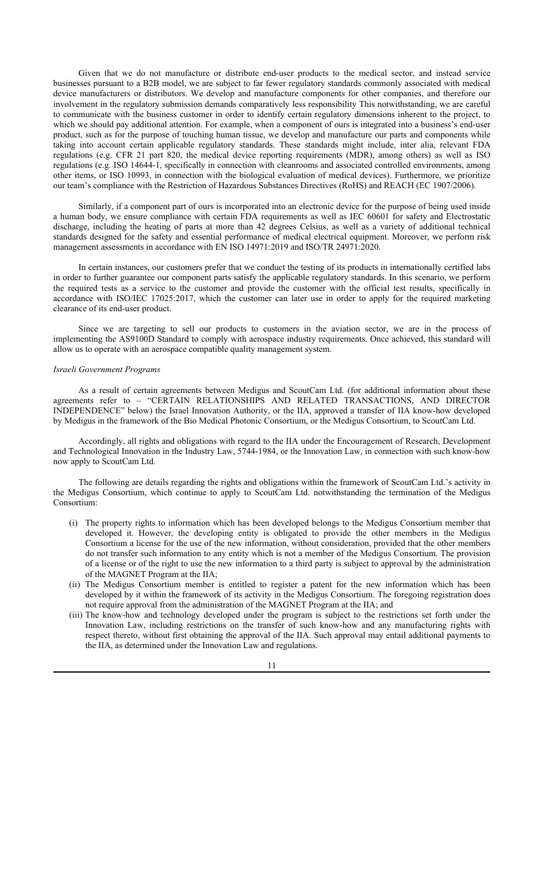Given that we do not manufacture or distribute end-user products to the medical sector, and instead service businesses pursuant to a B2B model, we are subject to far fewer regulatory standards commonly associated with medical device manufacturers or distributors. We develop and manufacture components for other companies, and therefore our involvement in the regulatory submission demands comparatively less responsibility This notwithstanding, we are careful to communicate with the business customer in order to identify certain regulatory dimensions inherent to the project, to which we should pay additional attention. For example, when a component of ours is integrated into a business's end-user product, such as for the purpose of touching human tissue, we develop and manufacture our parts and components while taking into account certain applicable regulatory standards. These standards might include, inter alia, relevant FDA regulations (e.g. CFR 21 part 820, the medical device reporting requirements (MDR), among others) as well as ISO regulations (e.g. ISO 14644-1, specifically in connection with cleanrooms and associated controlled environments, among other items, or ISO 10993, in connection with the biological evaluation of medical devices). Furthermore, we prioritize our team's compliance with the Restriction of Hazardous Substances Directives (RoHS) and REACH (EC 1907/2006).

Similarly, if a component part of ours is incorporated into an electronic device for the purpose of being used inside a human body, we ensure compliance with certain FDA requirements as well as IEC 60601 for safety and Electrostatic discharge, including the heating of parts at more than 42 degrees Celsius, as well as a variety of additional technical standards designed for the safety and essential performance of medical electrical equipment. Moreover, we perform risk management assessments in accordance with EN ISO 14971:2019 and ISO/TR 24971:2020.

In certain instances, our customers prefer that we conduct the testing of its products in internationally certified labs in order to further guarantee our component parts satisfy the applicable regulatory standards. In this scenario, we perform the required tests as a service to the customer and provide the customer with the official test results, specifically in accordance with ISO/IEC 17025:2017, which the customer can later use in order to apply for the required marketing clearance of its end-user product.

Since we are targeting to sell our products to customers in the aviation sector, we are in the process of implementing the AS9100D Standard to comply with aerospace industry requirements. Once achieved, this standard will allow us to operate with an aerospace compatible quality management system.

## *Israeli Government Programs*

As a result of certain agreements between Medigus and ScoutCam Ltd. (for additional information about these agreements refer to – "CERTAIN RELATIONSHIPS AND RELATED TRANSACTIONS, AND DIRECTOR INDEPENDENCE" below) the Israel Innovation Authority, or the IIA, approved a transfer of IIA know-how developed by Medigus in the framework of the Bio Medical Photonic Consortium, or the Medigus Consortium, to ScoutCam Ltd.

Accordingly, all rights and obligations with regard to the IIA under the Encouragement of Research, Development and Technological Innovation in the Industry Law, 5744-1984, or the Innovation Law, in connection with such know-how now apply to ScoutCam Ltd.

The following are details regarding the rights and obligations within the framework of ScoutCam Ltd.'s activity in the Medigus Consortium, which continue to apply to ScoutCam Ltd. notwithstanding the termination of the Medigus Consortium:

- (i) The property rights to information which has been developed belongs to the Medigus Consortium member that developed it. However, the developing entity is obligated to provide the other members in the Medigus Consortium a license for the use of the new information, without consideration, provided that the other members do not transfer such information to any entity which is not a member of the Medigus Consortium. The provision of a license or of the right to use the new information to a third party is subject to approval by the administration of the MAGNET Program at the IIA;
- (ii) The Medigus Consortium member is entitled to register a patent for the new information which has been developed by it within the framework of its activity in the Medigus Consortium. The foregoing registration does not require approval from the administration of the MAGNET Program at the IIA; and
- (iii) The know-how and technology developed under the program is subject to the restrictions set forth under the Innovation Law, including restrictions on the transfer of such know-how and any manufacturing rights with respect thereto, without first obtaining the approval of the IIA. Such approval may entail additional payments to the IIA, as determined under the Innovation Law and regulations.

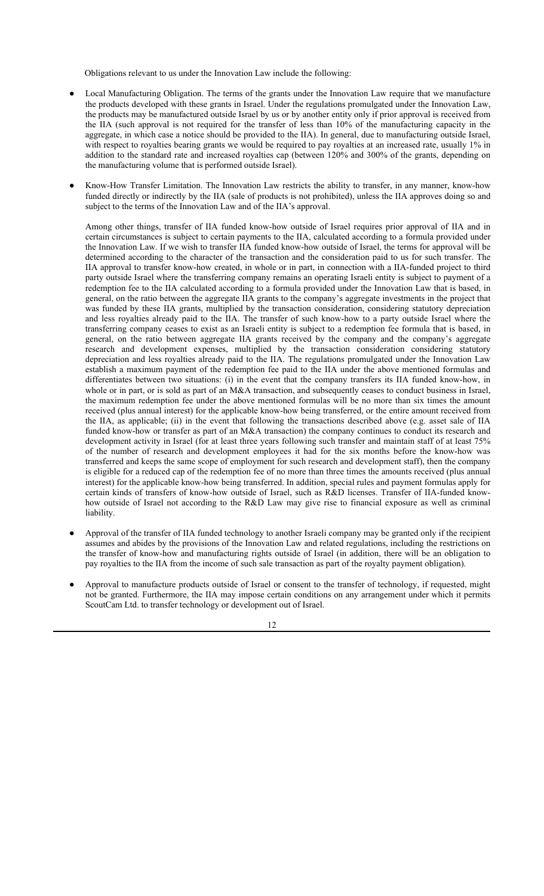Obligations relevant to us under the Innovation Law include the following:

- Local Manufacturing Obligation. The terms of the grants under the Innovation Law require that we manufacture the products developed with these grants in Israel. Under the regulations promulgated under the Innovation Law, the products may be manufactured outside Israel by us or by another entity only if prior approval is received from the IIA (such approval is not required for the transfer of less than 10% of the manufacturing capacity in the aggregate, in which case a notice should be provided to the IIA). In general, due to manufacturing outside Israel, with respect to royalties bearing grants we would be required to pay royalties at an increased rate, usually 1% in addition to the standard rate and increased royalties cap (between 120% and 300% of the grants, depending on the manufacturing volume that is performed outside Israel).
- Know-How Transfer Limitation. The Innovation Law restricts the ability to transfer, in any manner, know-how funded directly or indirectly by the IIA (sale of products is not prohibited), unless the IIA approves doing so and subject to the terms of the Innovation Law and of the IIA's approval.

Among other things, transfer of IIA funded know-how outside of Israel requires prior approval of IIA and in certain circumstances is subject to certain payments to the IIA, calculated according to a formula provided under the Innovation Law. If we wish to transfer IIA funded know-how outside of Israel, the terms for approval will be determined according to the character of the transaction and the consideration paid to us for such transfer. The IIA approval to transfer know-how created, in whole or in part, in connection with a IIA-funded project to third party outside Israel where the transferring company remains an operating Israeli entity is subject to payment of a redemption fee to the IIA calculated according to a formula provided under the Innovation Law that is based, in general, on the ratio between the aggregate IIA grants to the company's aggregate investments in the project that was funded by these IIA grants, multiplied by the transaction consideration, considering statutory depreciation and less royalties already paid to the IIA. The transfer of such know-how to a party outside Israel where the transferring company ceases to exist as an Israeli entity is subject to a redemption fee formula that is based, in general, on the ratio between aggregate IIA grants received by the company and the company's aggregate research and development expenses, multiplied by the transaction consideration considering statutory depreciation and less royalties already paid to the IIA. The regulations promulgated under the Innovation Law establish a maximum payment of the redemption fee paid to the IIA under the above mentioned formulas and differentiates between two situations: (i) in the event that the company transfers its IIA funded know-how, in whole or in part, or is sold as part of an M&A transaction, and subsequently ceases to conduct business in Israel, the maximum redemption fee under the above mentioned formulas will be no more than six times the amount received (plus annual interest) for the applicable know-how being transferred, or the entire amount received from the IIA, as applicable; (ii) in the event that following the transactions described above (e.g. asset sale of IIA funded know-how or transfer as part of an M&A transaction) the company continues to conduct its research and development activity in Israel (for at least three years following such transfer and maintain staff of at least 75% of the number of research and development employees it had for the six months before the know-how was transferred and keeps the same scope of employment for such research and development staff), then the company is eligible for a reduced cap of the redemption fee of no more than three times the amounts received (plus annual interest) for the applicable know-how being transferred. In addition, special rules and payment formulas apply for certain kinds of transfers of know-how outside of Israel, such as R&D licenses. Transfer of IIA-funded knowhow outside of Israel not according to the R&D Law may give rise to financial exposure as well as criminal liability.

- Approval of the transfer of IIA funded technology to another Israeli company may be granted only if the recipient assumes and abides by the provisions of the Innovation Law and related regulations, including the restrictions on the transfer of know-how and manufacturing rights outside of Israel (in addition, there will be an obligation to pay royalties to the IIA from the income of such sale transaction as part of the royalty payment obligation).
- Approval to manufacture products outside of Israel or consent to the transfer of technology, if requested, might not be granted. Furthermore, the IIA may impose certain conditions on any arrangement under which it permits ScoutCam Ltd. to transfer technology or development out of Israel.

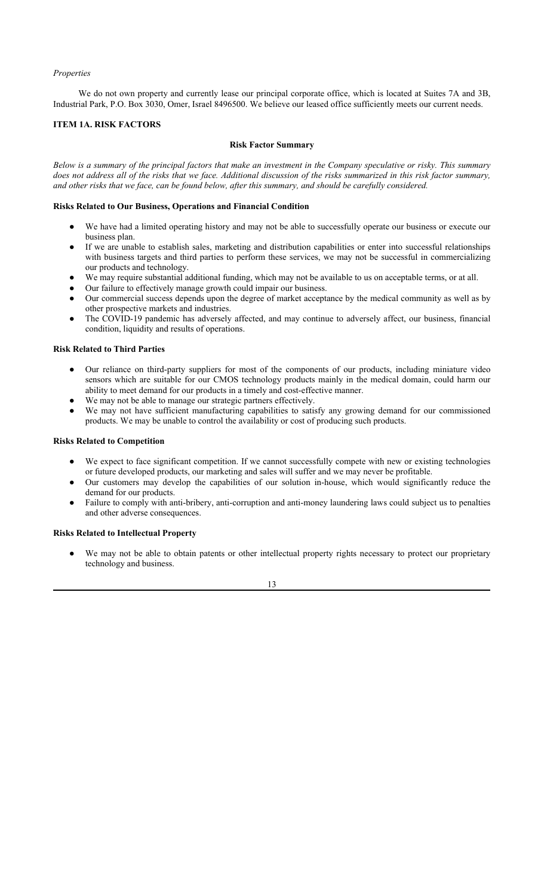## *Properties*

We do not own property and currently lease our principal corporate office, which is located at Suites 7A and 3B, Industrial Park, P.O. Box 3030, Omer, Israel 8496500. We believe our leased office sufficiently meets our current needs.

# **ITEM 1A. RISK FACTORS**

# **Risk Factor Summary**

*Below is a summary of the principal factors that make an investment in the Company speculative or risky. This summary does not address all of the risks that we face. Additional discussion of the risks summarized in this risk factor summary, and other risks that we face, can be found below, after this summary, and should be carefully considered.*

# **Risks Related to Our Business, Operations and Financial Condition**

- We have had a limited operating history and may not be able to successfully operate our business or execute our business plan.
- If we are unable to establish sales, marketing and distribution capabilities or enter into successful relationships with business targets and third parties to perform these services, we may not be successful in commercializing our products and technology.
- We may require substantial additional funding, which may not be available to us on acceptable terms, or at all.
- Our failure to effectively manage growth could impair our business.
- Our commercial success depends upon the degree of market acceptance by the medical community as well as by other prospective markets and industries.
- The COVID-19 pandemic has adversely affected, and may continue to adversely affect, our business, financial condition, liquidity and results of operations.

# **Risk Related to Third Parties**

- Our reliance on third-party suppliers for most of the components of our products, including miniature video sensors which are suitable for our CMOS technology products mainly in the medical domain, could harm our ability to meet demand for our products in a timely and cost-effective manner.
- We may not be able to manage our strategic partners effectively.
- We may not have sufficient manufacturing capabilities to satisfy any growing demand for our commissioned products. We may be unable to control the availability or cost of producing such products.

# **Risks Related to Competition**

- We expect to face significant competition. If we cannot successfully compete with new or existing technologies or future developed products, our marketing and sales will suffer and we may never be profitable.
- Our customers may develop the capabilities of our solution in-house, which would significantly reduce the demand for our products.
- Failure to comply with anti-bribery, anti-corruption and anti-money laundering laws could subject us to penalties and other adverse consequences.

# **Risks Related to Intellectual Property**

We may not be able to obtain patents or other intellectual property rights necessary to protect our proprietary technology and business.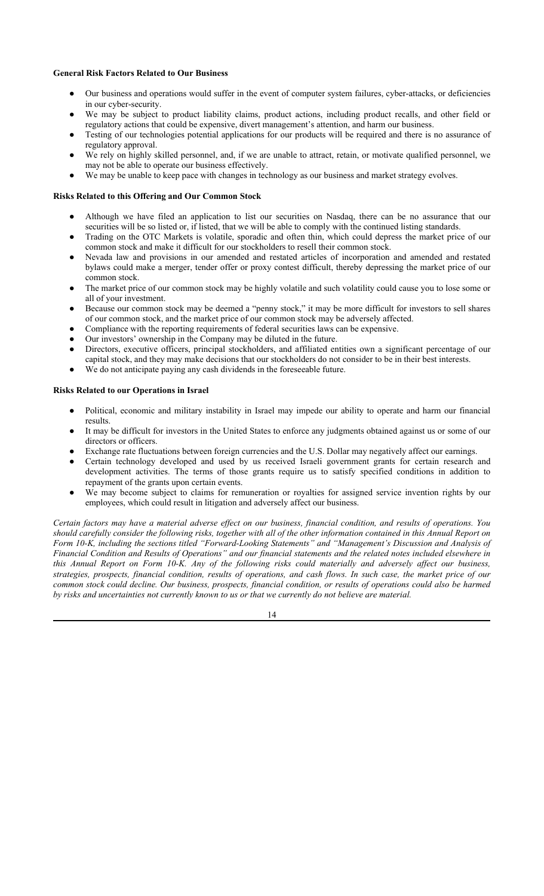## **General Risk Factors Related to Our Business**

- Our business and operations would suffer in the event of computer system failures, cyber-attacks, or deficiencies in our cyber-security.
- We may be subject to product liability claims, product actions, including product recalls, and other field or regulatory actions that could be expensive, divert management's attention, and harm our business.
- Testing of our technologies potential applications for our products will be required and there is no assurance of regulatory approval.
- We rely on highly skilled personnel, and, if we are unable to attract, retain, or motivate qualified personnel, we may not be able to operate our business effectively.
- We may be unable to keep pace with changes in technology as our business and market strategy evolves.

## **Risks Related to this Offering and Our Common Stock**

- Although we have filed an application to list our securities on Nasdaq, there can be no assurance that our securities will be so listed or, if listed, that we will be able to comply with the continued listing standards.
- Trading on the OTC Markets is volatile, sporadic and often thin, which could depress the market price of our common stock and make it difficult for our stockholders to resell their common stock.
- Nevada law and provisions in our amended and restated articles of incorporation and amended and restated bylaws could make a merger, tender offer or proxy contest difficult, thereby depressing the market price of our common stock.
- The market price of our common stock may be highly volatile and such volatility could cause you to lose some or all of your investment.
- Because our common stock may be deemed a "penny stock," it may be more difficult for investors to sell shares of our common stock, and the market price of our common stock may be adversely affected.
- Compliance with the reporting requirements of federal securities laws can be expensive.
- Our investors' ownership in the Company may be diluted in the future.
- Directors, executive officers, principal stockholders, and affiliated entities own a significant percentage of our capital stock, and they may make decisions that our stockholders do not consider to be in their best interests.
- We do not anticipate paying any cash dividends in the foreseeable future.

#### **Risks Related to our Operations in Israel**

- Political, economic and military instability in Israel may impede our ability to operate and harm our financial results.
- It may be difficult for investors in the United States to enforce any judgments obtained against us or some of our directors or officers.
- Exchange rate fluctuations between foreign currencies and the U.S. Dollar may negatively affect our earnings.
- Certain technology developed and used by us received Israeli government grants for certain research and development activities. The terms of those grants require us to satisfy specified conditions in addition to repayment of the grants upon certain events.
- We may become subject to claims for remuneration or royalties for assigned service invention rights by our employees, which could result in litigation and adversely affect our business.

*Certain factors may have a material adverse effect on our business, financial condition, and results of operations. You should carefully consider the following risks, together with all of the other information contained in this Annual Report on Form 10-K, including the sections titled "Forward-Looking Statements" and "Management's Discussion and Analysis of Financial Condition and Results of Operations" and our financial statements and the related notes included elsewhere in this Annual Report on Form 10-K. Any of the following risks could materially and adversely affect our business, strategies, prospects, financial condition, results of operations, and cash flows. In such case, the market price of our common stock could decline. Our business, prospects, financial condition, or results of operations could also be harmed by risks and uncertainties not currently known to us or that we currently do not believe are material.*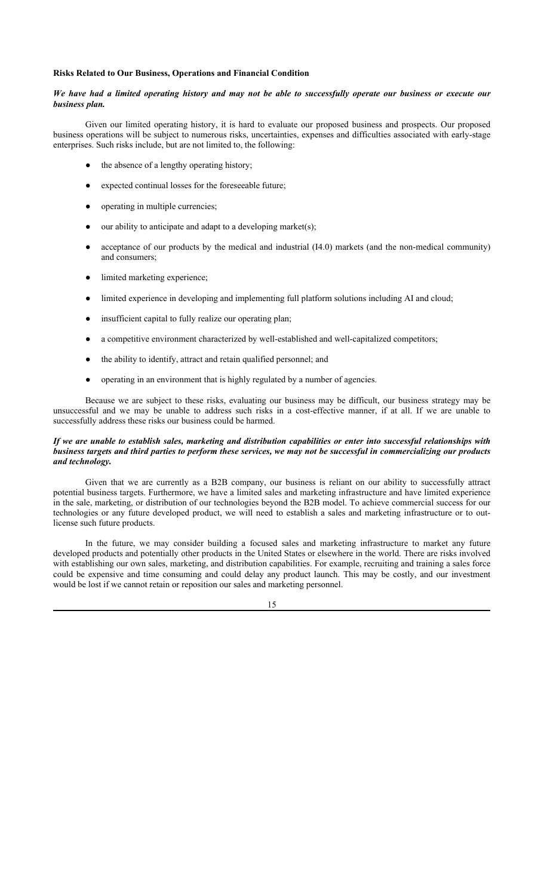#### **Risks Related to Our Business, Operations and Financial Condition**

## *We have had a limited operating history and may not be able to successfully operate our business or execute our business plan.*

Given our limited operating history, it is hard to evaluate our proposed business and prospects. Our proposed business operations will be subject to numerous risks, uncertainties, expenses and difficulties associated with early-stage enterprises. Such risks include, but are not limited to, the following:

- the absence of a lengthy operating history;
- expected continual losses for the foreseeable future;
- operating in multiple currencies;
- our ability to anticipate and adapt to a developing market(s);
- acceptance of our products by the medical and industrial  $(I4.0)$  markets (and the non-medical community) and consumers;
- limited marketing experience;
- limited experience in developing and implementing full platform solutions including AI and cloud;
- insufficient capital to fully realize our operating plan;
- a competitive environment characterized by well-established and well-capitalized competitors;
- the ability to identify, attract and retain qualified personnel; and
- operating in an environment that is highly regulated by a number of agencies.

Because we are subject to these risks, evaluating our business may be difficult, our business strategy may be unsuccessful and we may be unable to address such risks in a cost-effective manner, if at all. If we are unable to successfully address these risks our business could be harmed.

## *If we are unable to establish sales, marketing and distribution capabilities or enter into successful relationships with business targets and third parties to perform these services, we may not be successful in commercializing our products and technology.*

Given that we are currently as a B2B company, our business is reliant on our ability to successfully attract potential business targets. Furthermore, we have a limited sales and marketing infrastructure and have limited experience in the sale, marketing, or distribution of our technologies beyond the B2B model. To achieve commercial success for our technologies or any future developed product, we will need to establish a sales and marketing infrastructure or to outlicense such future products.

In the future, we may consider building a focused sales and marketing infrastructure to market any future developed products and potentially other products in the United States or elsewhere in the world. There are risks involved with establishing our own sales, marketing, and distribution capabilities. For example, recruiting and training a sales force could be expensive and time consuming and could delay any product launch. This may be costly, and our investment would be lost if we cannot retain or reposition our sales and marketing personnel.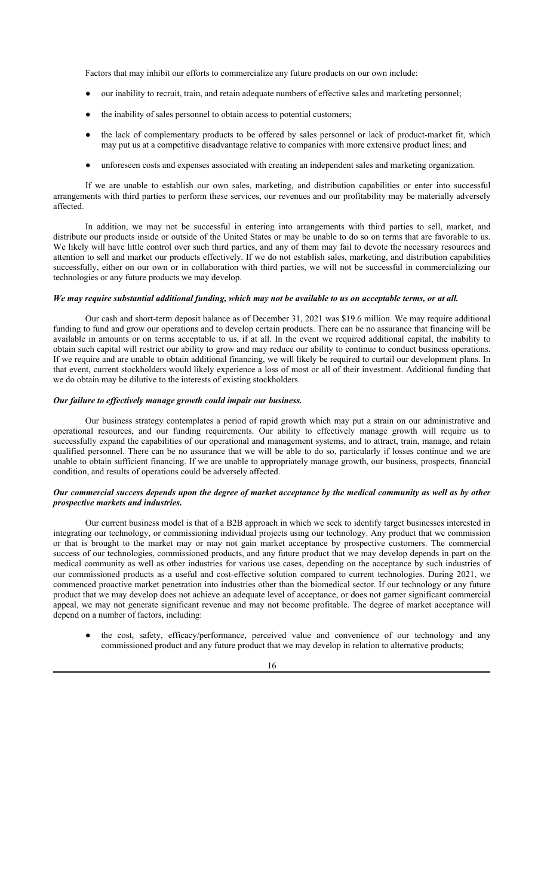Factors that may inhibit our efforts to commercialize any future products on our own include:

- our inability to recruit, train, and retain adequate numbers of effective sales and marketing personnel;
- the inability of sales personnel to obtain access to potential customers;
- the lack of complementary products to be offered by sales personnel or lack of product-market fit, which may put us at a competitive disadvantage relative to companies with more extensive product lines; and
- unforeseen costs and expenses associated with creating an independent sales and marketing organization.

If we are unable to establish our own sales, marketing, and distribution capabilities or enter into successful arrangements with third parties to perform these services, our revenues and our profitability may be materially adversely affected.

In addition, we may not be successful in entering into arrangements with third parties to sell, market, and distribute our products inside or outside of the United States or may be unable to do so on terms that are favorable to us. We likely will have little control over such third parties, and any of them may fail to devote the necessary resources and attention to sell and market our products effectively. If we do not establish sales, marketing, and distribution capabilities successfully, either on our own or in collaboration with third parties, we will not be successful in commercializing our technologies or any future products we may develop.

### *We may require substantial additional funding, which may not be available to us on acceptable terms, or at all.*

Our cash and short-term deposit balance as of December 31, 2021 was \$19.6 million. We may require additional funding to fund and grow our operations and to develop certain products. There can be no assurance that financing will be available in amounts or on terms acceptable to us, if at all. In the event we required additional capital, the inability to obtain such capital will restrict our ability to grow and may reduce our ability to continue to conduct business operations. If we require and are unable to obtain additional financing, we will likely be required to curtail our development plans. In that event, current stockholders would likely experience a loss of most or all of their investment. Additional funding that we do obtain may be dilutive to the interests of existing stockholders.

## *Our failure to effectively manage growth could impair our business.*

Our business strategy contemplates a period of rapid growth which may put a strain on our administrative and operational resources, and our funding requirements. Our ability to effectively manage growth will require us to successfully expand the capabilities of our operational and management systems, and to attract, train, manage, and retain qualified personnel. There can be no assurance that we will be able to do so, particularly if losses continue and we are unable to obtain sufficient financing. If we are unable to appropriately manage growth, our business, prospects, financial condition, and results of operations could be adversely affected.

### *Our commercial success depends upon the degree of market acceptance by the medical community as well as by other prospective markets and industries.*

Our current business model is that of a B2B approach in which we seek to identify target businesses interested in integrating our technology, or commissioning individual projects using our technology. Any product that we commission or that is brought to the market may or may not gain market acceptance by prospective customers. The commercial success of our technologies, commissioned products, and any future product that we may develop depends in part on the medical community as well as other industries for various use cases, depending on the acceptance by such industries of our commissioned products as a useful and cost-effective solution compared to current technologies. During 2021, we commenced proactive market penetration into industries other than the biomedical sector. If our technology or any future product that we may develop does not achieve an adequate level of acceptance, or does not garner significant commercial appeal, we may not generate significant revenue and may not become profitable. The degree of market acceptance will depend on a number of factors, including:

the cost, safety, efficacy/performance, perceived value and convenience of our technology and any commissioned product and any future product that we may develop in relation to alternative products;

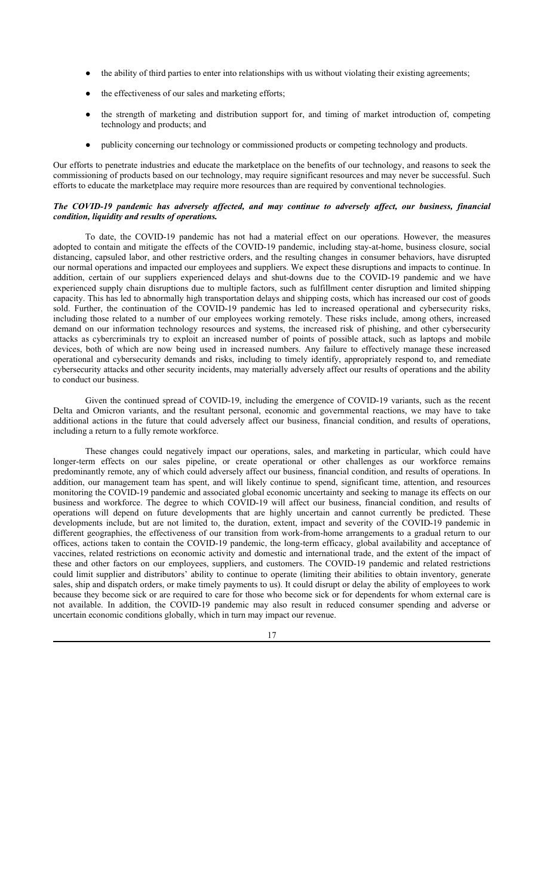- the ability of third parties to enter into relationships with us without violating their existing agreements;
- the effectiveness of our sales and marketing efforts;
- the strength of marketing and distribution support for, and timing of market introduction of, competing technology and products; and
- publicity concerning our technology or commissioned products or competing technology and products.

Our efforts to penetrate industries and educate the marketplace on the benefits of our technology, and reasons to seek the commissioning of products based on our technology, may require significant resources and may never be successful. Such efforts to educate the marketplace may require more resources than are required by conventional technologies.

## *The COVID-19 pandemic has adversely affected, and may continue to adversely affect, our business, financial condition, liquidity and results of operations.*

To date, the COVID-19 pandemic has not had a material effect on our operations. However, the measures adopted to contain and mitigate the effects of the COVID-19 pandemic, including stay-at-home, business closure, social distancing, capsuled labor, and other restrictive orders, and the resulting changes in consumer behaviors, have disrupted our normal operations and impacted our employees and suppliers. We expect these disruptions and impacts to continue. In addition, certain of our suppliers experienced delays and shut-downs due to the COVID-19 pandemic and we have experienced supply chain disruptions due to multiple factors, such as fulfillment center disruption and limited shipping capacity. This has led to abnormally high transportation delays and shipping costs, which has increased our cost of goods sold. Further, the continuation of the COVID-19 pandemic has led to increased operational and cybersecurity risks, including those related to a number of our employees working remotely. These risks include, among others, increased demand on our information technology resources and systems, the increased risk of phishing, and other cybersecurity attacks as cybercriminals try to exploit an increased number of points of possible attack, such as laptops and mobile devices, both of which are now being used in increased numbers. Any failure to effectively manage these increased operational and cybersecurity demands and risks, including to timely identify, appropriately respond to, and remediate cybersecurity attacks and other security incidents, may materially adversely affect our results of operations and the ability to conduct our business.

Given the continued spread of COVID-19, including the emergence of COVID-19 variants, such as the recent Delta and Omicron variants, and the resultant personal, economic and governmental reactions, we may have to take additional actions in the future that could adversely affect our business, financial condition, and results of operations, including a return to a fully remote workforce.

These changes could negatively impact our operations, sales, and marketing in particular, which could have longer-term effects on our sales pipeline, or create operational or other challenges as our workforce remains predominantly remote, any of which could adversely affect our business, financial condition, and results of operations. In addition, our management team has spent, and will likely continue to spend, significant time, attention, and resources monitoring the COVID-19 pandemic and associated global economic uncertainty and seeking to manage its effects on our business and workforce. The degree to which COVID-19 will affect our business, financial condition, and results of operations will depend on future developments that are highly uncertain and cannot currently be predicted. These developments include, but are not limited to, the duration, extent, impact and severity of the COVID-19 pandemic in different geographies, the effectiveness of our transition from work-from-home arrangements to a gradual return to our offices, actions taken to contain the COVID-19 pandemic, the long-term efficacy, global availability and acceptance of vaccines, related restrictions on economic activity and domestic and international trade, and the extent of the impact of these and other factors on our employees, suppliers, and customers. The COVID-19 pandemic and related restrictions could limit supplier and distributors' ability to continue to operate (limiting their abilities to obtain inventory, generate sales, ship and dispatch orders, or make timely payments to us). It could disrupt or delay the ability of employees to work because they become sick or are required to care for those who become sick or for dependents for whom external care is not available. In addition, the COVID-19 pandemic may also result in reduced consumer spending and adverse or uncertain economic conditions globally, which in turn may impact our revenue.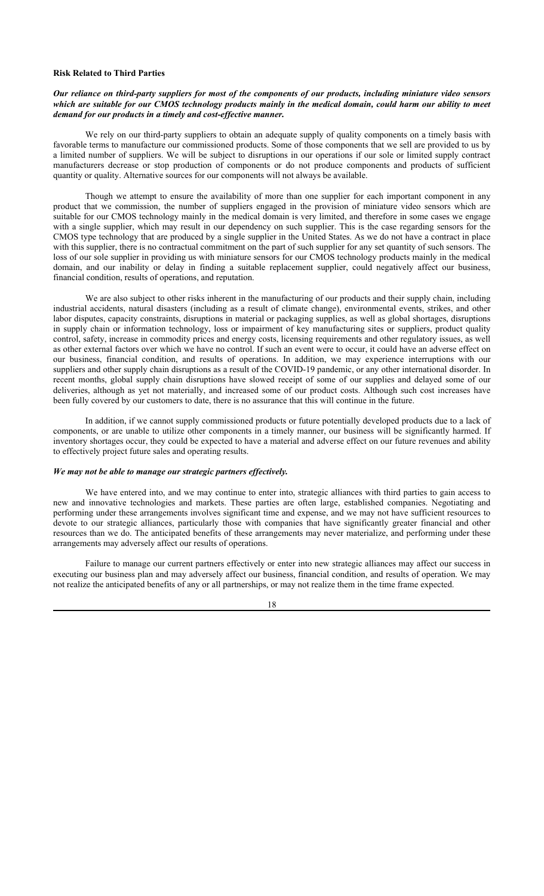# **Risk Related to Third Parties**

### *Our reliance on third-party suppliers for most of the components of our products, including miniature video sensors*  which are suitable for our CMOS technology products mainly in the medical domain, could harm our ability to meet *demand for our products in a timely and cost-effective manner.*

We rely on our third-party suppliers to obtain an adequate supply of quality components on a timely basis with favorable terms to manufacture our commissioned products. Some of those components that we sell are provided to us by a limited number of suppliers. We will be subject to disruptions in our operations if our sole or limited supply contract manufacturers decrease or stop production of components or do not produce components and products of sufficient quantity or quality. Alternative sources for our components will not always be available.

Though we attempt to ensure the availability of more than one supplier for each important component in any product that we commission, the number of suppliers engaged in the provision of miniature video sensors which are suitable for our CMOS technology mainly in the medical domain is very limited, and therefore in some cases we engage with a single supplier, which may result in our dependency on such supplier. This is the case regarding sensors for the CMOS type technology that are produced by a single supplier in the United States. As we do not have a contract in place with this supplier, there is no contractual commitment on the part of such supplier for any set quantity of such sensors. The loss of our sole supplier in providing us with miniature sensors for our CMOS technology products mainly in the medical domain, and our inability or delay in finding a suitable replacement supplier, could negatively affect our business, financial condition, results of operations, and reputation.

We are also subject to other risks inherent in the manufacturing of our products and their supply chain, including industrial accidents, natural disasters (including as a result of climate change), environmental events, strikes, and other labor disputes, capacity constraints, disruptions in material or packaging supplies, as well as global shortages, disruptions in supply chain or information technology, loss or impairment of key manufacturing sites or suppliers, product quality control, safety, increase in commodity prices and energy costs, licensing requirements and other regulatory issues, as well as other external factors over which we have no control. If such an event were to occur, it could have an adverse effect on our business, financial condition, and results of operations. In addition, we may experience interruptions with our suppliers and other supply chain disruptions as a result of the COVID-19 pandemic, or any other international disorder. In recent months, global supply chain disruptions have slowed receipt of some of our supplies and delayed some of our deliveries, although as yet not materially, and increased some of our product costs. Although such cost increases have been fully covered by our customers to date, there is no assurance that this will continue in the future.

In addition, if we cannot supply commissioned products or future potentially developed products due to a lack of components, or are unable to utilize other components in a timely manner, our business will be significantly harmed. If inventory shortages occur, they could be expected to have a material and adverse effect on our future revenues and ability to effectively project future sales and operating results.

## *We may not be able to manage our strategic partners effectively.*

We have entered into, and we may continue to enter into, strategic alliances with third parties to gain access to new and innovative technologies and markets. These parties are often large, established companies. Negotiating and performing under these arrangements involves significant time and expense, and we may not have sufficient resources to devote to our strategic alliances, particularly those with companies that have significantly greater financial and other resources than we do. The anticipated benefits of these arrangements may never materialize, and performing under these arrangements may adversely affect our results of operations.

Failure to manage our current partners effectively or enter into new strategic alliances may affect our success in executing our business plan and may adversely affect our business, financial condition, and results of operation. We may not realize the anticipated benefits of any or all partnerships, or may not realize them in the time frame expected.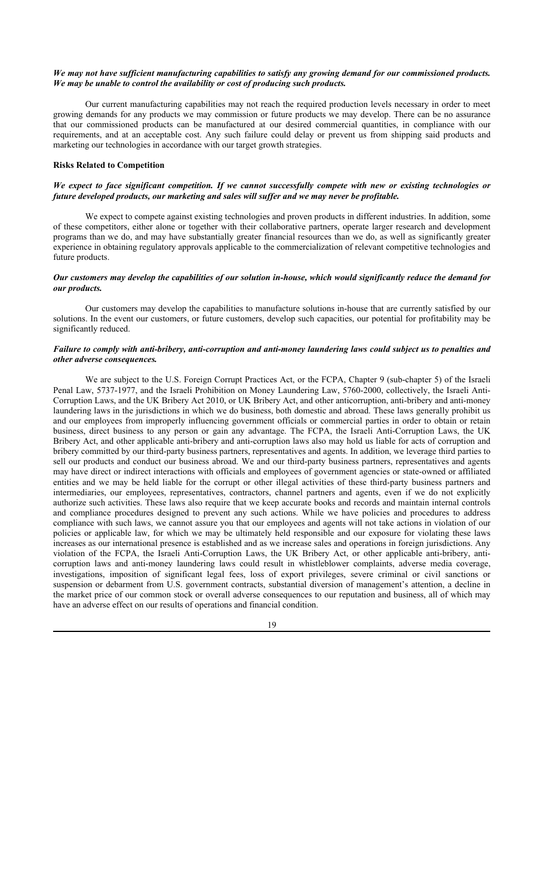# *We may not have sufficient manufacturing capabilities to satisfy any growing demand for our commissioned products. We may be unable to control the availability or cost of producing such products.*

Our current manufacturing capabilities may not reach the required production levels necessary in order to meet growing demands for any products we may commission or future products we may develop. There can be no assurance that our commissioned products can be manufactured at our desired commercial quantities, in compliance with our requirements, and at an acceptable cost. Any such failure could delay or prevent us from shipping said products and marketing our technologies in accordance with our target growth strategies.

#### **Risks Related to Competition**

### *We expect to face significant competition. If we cannot successfully compete with new or existing technologies or future developed products, our marketing and sales will suffer and we may never be profitable.*

We expect to compete against existing technologies and proven products in different industries. In addition, some of these competitors, either alone or together with their collaborative partners, operate larger research and development programs than we do, and may have substantially greater financial resources than we do, as well as significantly greater experience in obtaining regulatory approvals applicable to the commercialization of relevant competitive technologies and future products.

## *Our customers may develop the capabilities of our solution in-house, which would significantly reduce the demand for our products.*

Our customers may develop the capabilities to manufacture solutions in-house that are currently satisfied by our solutions. In the event our customers, or future customers, develop such capacities, our potential for profitability may be significantly reduced.

## *Failure to comply with anti-bribery, anti-corruption and anti-money laundering laws could subject us to penalties and other adverse consequences.*

We are subject to the U.S. Foreign Corrupt Practices Act, or the FCPA, Chapter 9 (sub-chapter 5) of the Israeli Penal Law, 5737-1977, and the Israeli Prohibition on Money Laundering Law, 5760-2000, collectively, the Israeli Anti-Corruption Laws, and the UK Bribery Act 2010, or UK Bribery Act, and other anticorruption, anti-bribery and anti-money laundering laws in the jurisdictions in which we do business, both domestic and abroad. These laws generally prohibit us and our employees from improperly influencing government officials or commercial parties in order to obtain or retain business, direct business to any person or gain any advantage. The FCPA, the Israeli Anti-Corruption Laws, the UK Bribery Act, and other applicable anti-bribery and anti-corruption laws also may hold us liable for acts of corruption and bribery committed by our third-party business partners, representatives and agents. In addition, we leverage third parties to sell our products and conduct our business abroad. We and our third-party business partners, representatives and agents may have direct or indirect interactions with officials and employees of government agencies or state-owned or affiliated entities and we may be held liable for the corrupt or other illegal activities of these third-party business partners and intermediaries, our employees, representatives, contractors, channel partners and agents, even if we do not explicitly authorize such activities. These laws also require that we keep accurate books and records and maintain internal controls and compliance procedures designed to prevent any such actions. While we have policies and procedures to address compliance with such laws, we cannot assure you that our employees and agents will not take actions in violation of our policies or applicable law, for which we may be ultimately held responsible and our exposure for violating these laws increases as our international presence is established and as we increase sales and operations in foreign jurisdictions. Any violation of the FCPA, the Israeli Anti-Corruption Laws, the UK Bribery Act, or other applicable anti-bribery, anticorruption laws and anti-money laundering laws could result in whistleblower complaints, adverse media coverage, investigations, imposition of significant legal fees, loss of export privileges, severe criminal or civil sanctions or suspension or debarment from U.S. government contracts, substantial diversion of management's attention, a decline in the market price of our common stock or overall adverse consequences to our reputation and business, all of which may have an adverse effect on our results of operations and financial condition.

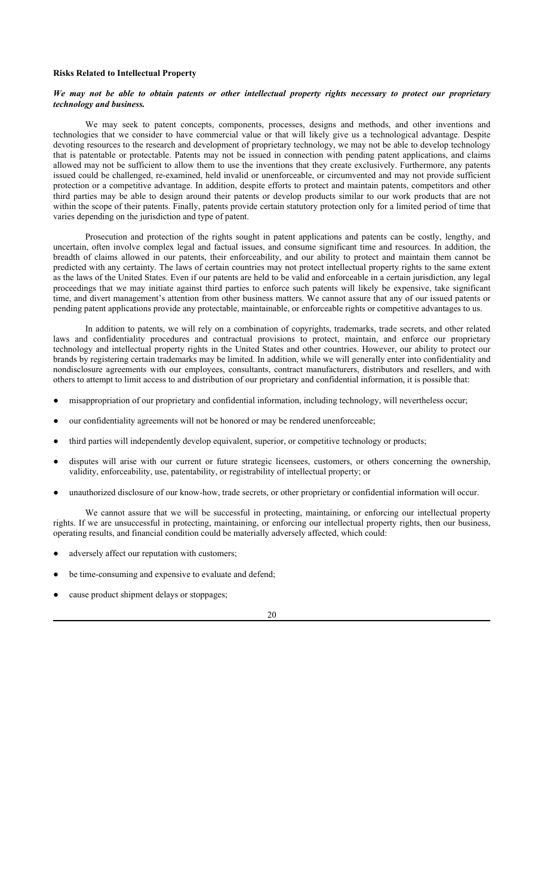#### **Risks Related to Intellectual Property**

## *We may not be able to obtain patents or other intellectual property rights necessary to protect our proprietary technology and business.*

We may seek to patent concepts, components, processes, designs and methods, and other inventions and technologies that we consider to have commercial value or that will likely give us a technological advantage. Despite devoting resources to the research and development of proprietary technology, we may not be able to develop technology that is patentable or protectable. Patents may not be issued in connection with pending patent applications, and claims allowed may not be sufficient to allow them to use the inventions that they create exclusively. Furthermore, any patents issued could be challenged, re-examined, held invalid or unenforceable, or circumvented and may not provide sufficient protection or a competitive advantage. In addition, despite efforts to protect and maintain patents, competitors and other third parties may be able to design around their patents or develop products similar to our work products that are not within the scope of their patents. Finally, patents provide certain statutory protection only for a limited period of time that varies depending on the jurisdiction and type of patent.

Prosecution and protection of the rights sought in patent applications and patents can be costly, lengthy, and uncertain, often involve complex legal and factual issues, and consume significant time and resources. In addition, the breadth of claims allowed in our patents, their enforceability, and our ability to protect and maintain them cannot be predicted with any certainty. The laws of certain countries may not protect intellectual property rights to the same extent as the laws of the United States. Even if our patents are held to be valid and enforceable in a certain jurisdiction, any legal proceedings that we may initiate against third parties to enforce such patents will likely be expensive, take significant time, and divert management's attention from other business matters. We cannot assure that any of our issued patents or pending patent applications provide any protectable, maintainable, or enforceable rights or competitive advantages to us.

In addition to patents, we will rely on a combination of copyrights, trademarks, trade secrets, and other related laws and confidentiality procedures and contractual provisions to protect, maintain, and enforce our proprietary technology and intellectual property rights in the United States and other countries. However, our ability to protect our brands by registering certain trademarks may be limited. In addition, while we will generally enter into confidentiality and nondisclosure agreements with our employees, consultants, contract manufacturers, distributors and resellers, and with others to attempt to limit access to and distribution of our proprietary and confidential information, it is possible that:

- misappropriation of our proprietary and confidential information, including technology, will nevertheless occur;
- our confidentiality agreements will not be honored or may be rendered unenforceable;
- third parties will independently develop equivalent, superior, or competitive technology or products;
- disputes will arise with our current or future strategic licensees, customers, or others concerning the ownership, validity, enforceability, use, patentability, or registrability of intellectual property; or
- unauthorized disclosure of our know-how, trade secrets, or other proprietary or confidential information will occur.

We cannot assure that we will be successful in protecting, maintaining, or enforcing our intellectual property rights. If we are unsuccessful in protecting, maintaining, or enforcing our intellectual property rights, then our business, operating results, and financial condition could be materially adversely affected, which could:

- adversely affect our reputation with customers;
- be time-consuming and expensive to evaluate and defend;
- cause product shipment delays or stoppages;

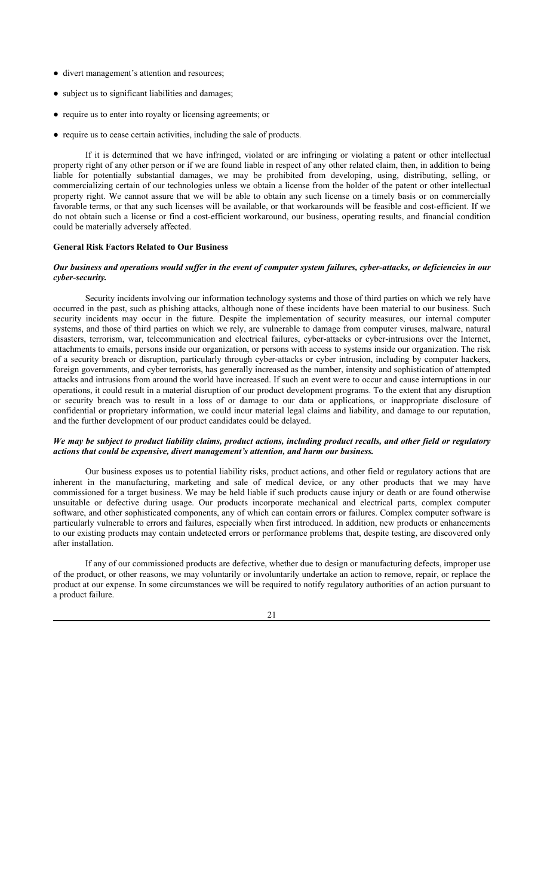- divert management's attention and resources;
- subject us to significant liabilities and damages;
- require us to enter into royalty or licensing agreements; or
- require us to cease certain activities, including the sale of products.

If it is determined that we have infringed, violated or are infringing or violating a patent or other intellectual property right of any other person or if we are found liable in respect of any other related claim, then, in addition to being liable for potentially substantial damages, we may be prohibited from developing, using, distributing, selling, or commercializing certain of our technologies unless we obtain a license from the holder of the patent or other intellectual property right. We cannot assure that we will be able to obtain any such license on a timely basis or on commercially favorable terms, or that any such licenses will be available, or that workarounds will be feasible and cost-efficient. If we do not obtain such a license or find a cost-efficient workaround, our business, operating results, and financial condition could be materially adversely affected.

#### **General Risk Factors Related to Our Business**

### *Our business and operations would suffer in the event of computer system failures, cyber-attacks, or deficiencies in our cyber-security.*

Security incidents involving our information technology systems and those of third parties on which we rely have occurred in the past, such as phishing attacks, although none of these incidents have been material to our business. Such security incidents may occur in the future. Despite the implementation of security measures, our internal computer systems, and those of third parties on which we rely, are vulnerable to damage from computer viruses, malware, natural disasters, terrorism, war, telecommunication and electrical failures, cyber-attacks or cyber-intrusions over the Internet, attachments to emails, persons inside our organization, or persons with access to systems inside our organization. The risk of a security breach or disruption, particularly through cyber-attacks or cyber intrusion, including by computer hackers, foreign governments, and cyber terrorists, has generally increased as the number, intensity and sophistication of attempted attacks and intrusions from around the world have increased. If such an event were to occur and cause interruptions in our operations, it could result in a material disruption of our product development programs. To the extent that any disruption or security breach was to result in a loss of or damage to our data or applications, or inappropriate disclosure of confidential or proprietary information, we could incur material legal claims and liability, and damage to our reputation, and the further development of our product candidates could be delayed.

### *We may be subject to product liability claims, product actions, including product recalls, and other field or regulatory actions that could be expensive, divert management's attention, and harm our business.*

Our business exposes us to potential liability risks, product actions, and other field or regulatory actions that are inherent in the manufacturing, marketing and sale of medical device, or any other products that we may have commissioned for a target business. We may be held liable if such products cause injury or death or are found otherwise unsuitable or defective during usage. Our products incorporate mechanical and electrical parts, complex computer software, and other sophisticated components, any of which can contain errors or failures. Complex computer software is particularly vulnerable to errors and failures, especially when first introduced. In addition, new products or enhancements to our existing products may contain undetected errors or performance problems that, despite testing, are discovered only after installation.

If any of our commissioned products are defective, whether due to design or manufacturing defects, improper use of the product, or other reasons, we may voluntarily or involuntarily undertake an action to remove, repair, or replace the product at our expense. In some circumstances we will be required to notify regulatory authorities of an action pursuant to a product failure.

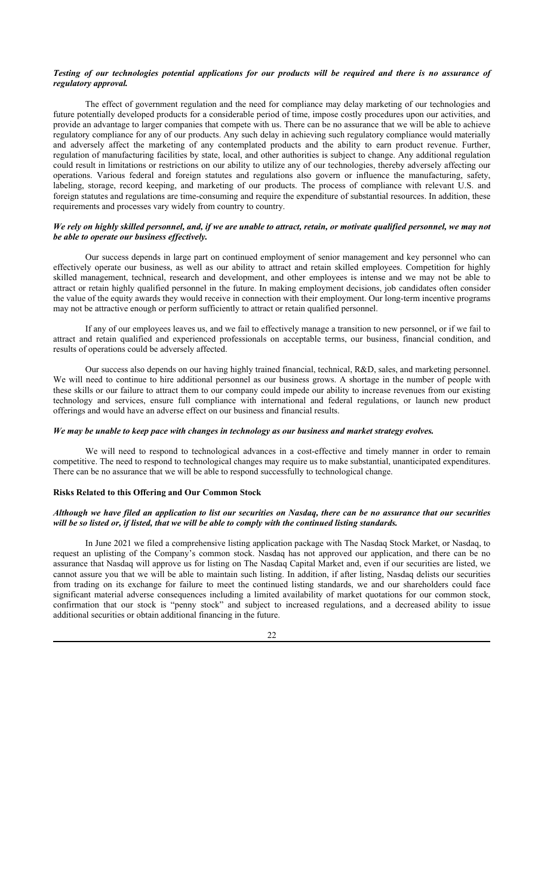## *Testing of our technologies potential applications for our products will be required and there is no assurance of regulatory approval.*

The effect of government regulation and the need for compliance may delay marketing of our technologies and future potentially developed products for a considerable period of time, impose costly procedures upon our activities, and provide an advantage to larger companies that compete with us. There can be no assurance that we will be able to achieve regulatory compliance for any of our products. Any such delay in achieving such regulatory compliance would materially and adversely affect the marketing of any contemplated products and the ability to earn product revenue. Further, regulation of manufacturing facilities by state, local, and other authorities is subject to change. Any additional regulation could result in limitations or restrictions on our ability to utilize any of our technologies, thereby adversely affecting our operations. Various federal and foreign statutes and regulations also govern or influence the manufacturing, safety, labeling, storage, record keeping, and marketing of our products. The process of compliance with relevant U.S. and foreign statutes and regulations are time-consuming and require the expenditure of substantial resources. In addition, these requirements and processes vary widely from country to country.

## *We rely on highly skilled personnel, and, if we are unable to attract, retain, or motivate qualified personnel, we may not be able to operate our business effectively.*

Our success depends in large part on continued employment of senior management and key personnel who can effectively operate our business, as well as our ability to attract and retain skilled employees. Competition for highly skilled management, technical, research and development, and other employees is intense and we may not be able to attract or retain highly qualified personnel in the future. In making employment decisions, job candidates often consider the value of the equity awards they would receive in connection with their employment. Our long-term incentive programs may not be attractive enough or perform sufficiently to attract or retain qualified personnel.

If any of our employees leaves us, and we fail to effectively manage a transition to new personnel, or if we fail to attract and retain qualified and experienced professionals on acceptable terms, our business, financial condition, and results of operations could be adversely affected.

Our success also depends on our having highly trained financial, technical, R&D, sales, and marketing personnel. We will need to continue to hire additional personnel as our business grows. A shortage in the number of people with these skills or our failure to attract them to our company could impede our ability to increase revenues from our existing technology and services, ensure full compliance with international and federal regulations, or launch new product offerings and would have an adverse effect on our business and financial results.

## *We may be unable to keep pace with changes in technology as our business and market strategy evolves.*

We will need to respond to technological advances in a cost-effective and timely manner in order to remain competitive. The need to respond to technological changes may require us to make substantial, unanticipated expenditures. There can be no assurance that we will be able to respond successfully to technological change.

### **Risks Related to this Offering and Our Common Stock**

### *Although we have filed an application to list our securities on Nasdaq, there can be no assurance that our securities will be so listed or, if listed, that we will be able to comply with the continued listing standards.*

In June 2021 we filed a comprehensive listing application package with The Nasdaq Stock Market, or Nasdaq, to request an uplisting of the Company's common stock. Nasdaq has not approved our application, and there can be no assurance that Nasdaq will approve us for listing on The Nasdaq Capital Market and, even if our securities are listed, we cannot assure you that we will be able to maintain such listing. In addition, if after listing, Nasdaq delists our securities from trading on its exchange for failure to meet the continued listing standards, we and our shareholders could face significant material adverse consequences including a limited availability of market quotations for our common stock, confirmation that our stock is "penny stock" and subject to increased regulations, and a decreased ability to issue additional securities or obtain additional financing in the future.

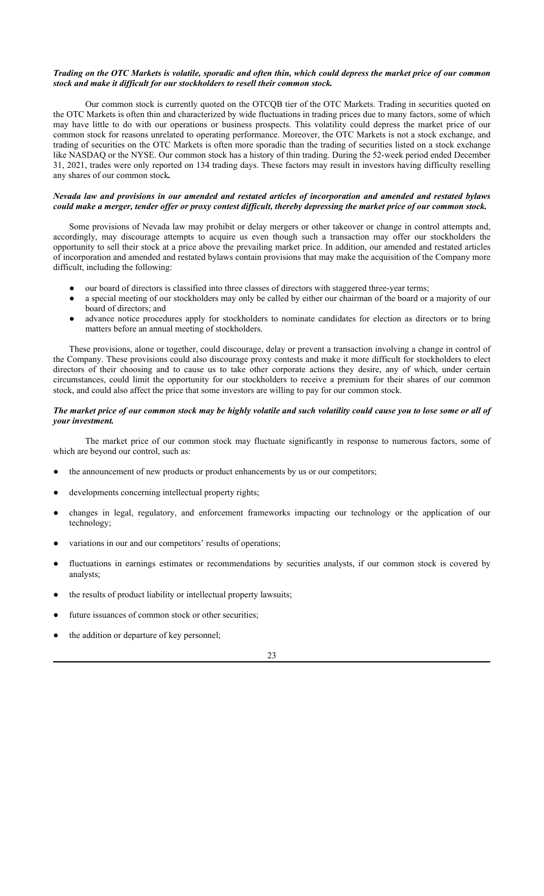## *Trading on the OTC Markets is volatile, sporadic and often thin, which could depress the market price of our common stock and make it difficult for our stockholders to resell their common stock.*

Our common stock is currently quoted on the OTCQB tier of the OTC Markets. Trading in securities quoted on the OTC Markets is often thin and characterized by wide fluctuations in trading prices due to many factors, some of which may have little to do with our operations or business prospects. This volatility could depress the market price of our common stock for reasons unrelated to operating performance. Moreover, the OTC Markets is not a stock exchange, and trading of securities on the OTC Markets is often more sporadic than the trading of securities listed on a stock exchange like NASDAQ or the NYSE. Our common stock has a history of thin trading. During the 52-week period ended December 31, 2021, trades were only reported on 134 trading days. These factors may result in investors having difficulty reselling any shares of our common stock*.*

## *Nevada law and provisions in our amended and restated articles of incorporation and amended and restated bylaws could make a merger, tender offer or proxy contest difficult, thereby depressing the market price of our common stock.*

Some provisions of Nevada law may prohibit or delay mergers or other takeover or change in control attempts and, accordingly, may discourage attempts to acquire us even though such a transaction may offer our stockholders the opportunity to sell their stock at a price above the prevailing market price. In addition, our amended and restated articles of incorporation and amended and restated bylaws contain provisions that may make the acquisition of the Company more difficult, including the following:

- our board of directors is classified into three classes of directors with staggered three-year terms;
- a special meeting of our stockholders may only be called by either our chairman of the board or a majority of our board of directors; and
- advance notice procedures apply for stockholders to nominate candidates for election as directors or to bring matters before an annual meeting of stockholders.

These provisions, alone or together, could discourage, delay or prevent a transaction involving a change in control of the Company. These provisions could also discourage proxy contests and make it more difficult for stockholders to elect directors of their choosing and to cause us to take other corporate actions they desire, any of which, under certain circumstances, could limit the opportunity for our stockholders to receive a premium for their shares of our common stock, and could also affect the price that some investors are willing to pay for our common stock.

## *The market price of our common stock may be highly volatile and such volatility could cause you to lose some or all of your investment.*

The market price of our common stock may fluctuate significantly in response to numerous factors, some of which are beyond our control, such as:

- the announcement of new products or product enhancements by us or our competitors;
- developments concerning intellectual property rights;
- changes in legal, regulatory, and enforcement frameworks impacting our technology or the application of our technology;
- variations in our and our competitors' results of operations;
- fluctuations in earnings estimates or recommendations by securities analysts, if our common stock is covered by analysts;
- the results of product liability or intellectual property lawsuits;
- future issuances of common stock or other securities;
- the addition or departure of key personnel;

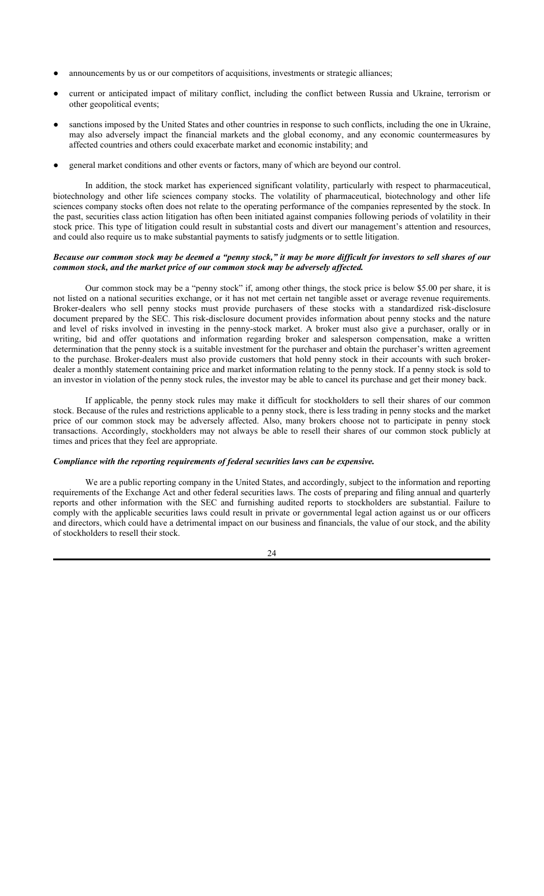- announcements by us or our competitors of acquisitions, investments or strategic alliances;
- current or anticipated impact of military conflict, including the conflict between Russia and Ukraine, terrorism or other geopolitical events;
- sanctions imposed by the United States and other countries in response to such conflicts, including the one in Ukraine, may also adversely impact the financial markets and the global economy, and any economic countermeasures by affected countries and others could exacerbate market and economic instability; and
- general market conditions and other events or factors, many of which are beyond our control.

In addition, the stock market has experienced significant volatility, particularly with respect to pharmaceutical, biotechnology and other life sciences company stocks. The volatility of pharmaceutical, biotechnology and other life sciences company stocks often does not relate to the operating performance of the companies represented by the stock. In the past, securities class action litigation has often been initiated against companies following periods of volatility in their stock price. This type of litigation could result in substantial costs and divert our management's attention and resources, and could also require us to make substantial payments to satisfy judgments or to settle litigation.

### *Because our common stock may be deemed a "penny stock," it may be more difficult for investors to sell shares of our common stock, and the market price of our common stock may be adversely affected.*

Our common stock may be a "penny stock" if, among other things, the stock price is below \$5.00 per share, it is not listed on a national securities exchange, or it has not met certain net tangible asset or average revenue requirements. Broker-dealers who sell penny stocks must provide purchasers of these stocks with a standardized risk-disclosure document prepared by the SEC. This risk-disclosure document provides information about penny stocks and the nature and level of risks involved in investing in the penny-stock market. A broker must also give a purchaser, orally or in writing, bid and offer quotations and information regarding broker and salesperson compensation, make a written determination that the penny stock is a suitable investment for the purchaser and obtain the purchaser's written agreement to the purchase. Broker-dealers must also provide customers that hold penny stock in their accounts with such brokerdealer a monthly statement containing price and market information relating to the penny stock. If a penny stock is sold to an investor in violation of the penny stock rules, the investor may be able to cancel its purchase and get their money back.

If applicable, the penny stock rules may make it difficult for stockholders to sell their shares of our common stock. Because of the rules and restrictions applicable to a penny stock, there is less trading in penny stocks and the market price of our common stock may be adversely affected. Also, many brokers choose not to participate in penny stock transactions. Accordingly, stockholders may not always be able to resell their shares of our common stock publicly at times and prices that they feel are appropriate.

## *Compliance with the reporting requirements of federal securities laws can be expensive.*

We are a public reporting company in the United States, and accordingly, subject to the information and reporting requirements of the Exchange Act and other federal securities laws. The costs of preparing and filing annual and quarterly reports and other information with the SEC and furnishing audited reports to stockholders are substantial. Failure to comply with the applicable securities laws could result in private or governmental legal action against us or our officers and directors, which could have a detrimental impact on our business and financials, the value of our stock, and the ability of stockholders to resell their stock.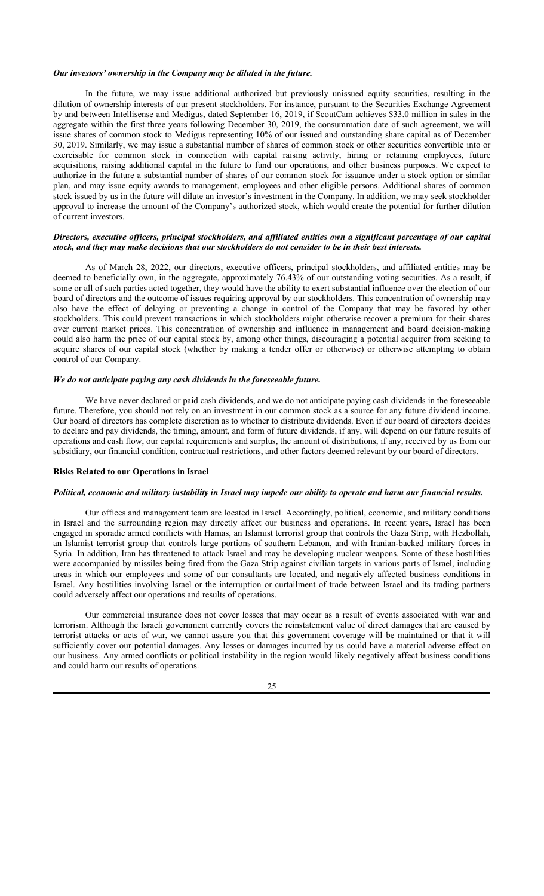#### *Our investors' ownership in the Company may be diluted in the future.*

In the future, we may issue additional authorized but previously unissued equity securities, resulting in the dilution of ownership interests of our present stockholders. For instance, pursuant to the Securities Exchange Agreement by and between Intellisense and Medigus, dated September 16, 2019, if ScoutCam achieves \$33.0 million in sales in the aggregate within the first three years following December 30, 2019, the consummation date of such agreement, we will issue shares of common stock to Medigus representing 10% of our issued and outstanding share capital as of December 30, 2019. Similarly, we may issue a substantial number of shares of common stock or other securities convertible into or exercisable for common stock in connection with capital raising activity, hiring or retaining employees, future acquisitions, raising additional capital in the future to fund our operations, and other business purposes. We expect to authorize in the future a substantial number of shares of our common stock for issuance under a stock option or similar plan, and may issue equity awards to management, employees and other eligible persons. Additional shares of common stock issued by us in the future will dilute an investor's investment in the Company. In addition, we may seek stockholder approval to increase the amount of the Company's authorized stock, which would create the potential for further dilution of current investors.

## *Directors, executive officers, principal stockholders, and affiliated entities own a significant percentage of our capital stock, and they may make decisions that our stockholders do not consider to be in their best interests.*

As of March 28, 2022, our directors, executive officers, principal stockholders, and affiliated entities may be deemed to beneficially own, in the aggregate, approximately 76.43% of our outstanding voting securities. As a result, if some or all of such parties acted together, they would have the ability to exert substantial influence over the election of our board of directors and the outcome of issues requiring approval by our stockholders. This concentration of ownership may also have the effect of delaying or preventing a change in control of the Company that may be favored by other stockholders. This could prevent transactions in which stockholders might otherwise recover a premium for their shares over current market prices. This concentration of ownership and influence in management and board decision-making could also harm the price of our capital stock by, among other things, discouraging a potential acquirer from seeking to acquire shares of our capital stock (whether by making a tender offer or otherwise) or otherwise attempting to obtain control of our Company.

## *We do not anticipate paying any cash dividends in the foreseeable future.*

We have never declared or paid cash dividends, and we do not anticipate paying cash dividends in the foreseeable future. Therefore, you should not rely on an investment in our common stock as a source for any future dividend income. Our board of directors has complete discretion as to whether to distribute dividends. Even if our board of directors decides to declare and pay dividends, the timing, amount, and form of future dividends, if any, will depend on our future results of operations and cash flow, our capital requirements and surplus, the amount of distributions, if any, received by us from our subsidiary, our financial condition, contractual restrictions, and other factors deemed relevant by our board of directors.

#### **Risks Related to our Operations in Israel**

### *Political, economic and military instability in Israel may impede our ability to operate and harm our financial results.*

Our offices and management team are located in Israel. Accordingly, political, economic, and military conditions in Israel and the surrounding region may directly affect our business and operations. In recent years, Israel has been engaged in sporadic armed conflicts with Hamas, an Islamist terrorist group that controls the Gaza Strip, with Hezbollah, an Islamist terrorist group that controls large portions of southern Lebanon, and with Iranian-backed military forces in Syria. In addition, Iran has threatened to attack Israel and may be developing nuclear weapons. Some of these hostilities were accompanied by missiles being fired from the Gaza Strip against civilian targets in various parts of Israel, including areas in which our employees and some of our consultants are located, and negatively affected business conditions in Israel. Any hostilities involving Israel or the interruption or curtailment of trade between Israel and its trading partners could adversely affect our operations and results of operations.

Our commercial insurance does not cover losses that may occur as a result of events associated with war and terrorism. Although the Israeli government currently covers the reinstatement value of direct damages that are caused by terrorist attacks or acts of war, we cannot assure you that this government coverage will be maintained or that it will sufficiently cover our potential damages. Any losses or damages incurred by us could have a material adverse effect on our business. Any armed conflicts or political instability in the region would likely negatively affect business conditions and could harm our results of operations.

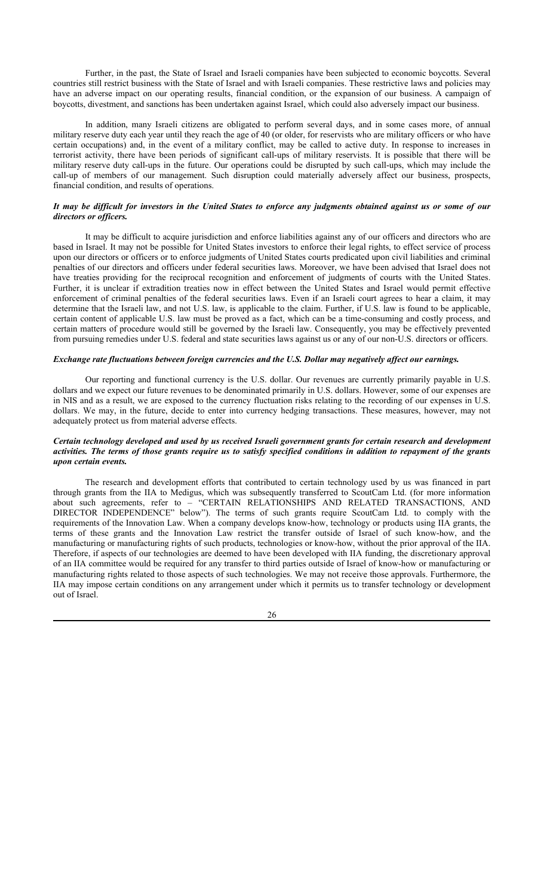Further, in the past, the State of Israel and Israeli companies have been subjected to economic boycotts. Several countries still restrict business with the State of Israel and with Israeli companies. These restrictive laws and policies may have an adverse impact on our operating results, financial condition, or the expansion of our business. A campaign of boycotts, divestment, and sanctions has been undertaken against Israel, which could also adversely impact our business.

In addition, many Israeli citizens are obligated to perform several days, and in some cases more, of annual military reserve duty each year until they reach the age of 40 (or older, for reservists who are military officers or who have certain occupations) and, in the event of a military conflict, may be called to active duty. In response to increases in terrorist activity, there have been periods of significant call-ups of military reservists. It is possible that there will be military reserve duty call-ups in the future. Our operations could be disrupted by such call-ups, which may include the call-up of members of our management. Such disruption could materially adversely affect our business, prospects, financial condition, and results of operations.

## *It may be difficult for investors in the United States to enforce any judgments obtained against us or some of our directors or officers.*

It may be difficult to acquire jurisdiction and enforce liabilities against any of our officers and directors who are based in Israel. It may not be possible for United States investors to enforce their legal rights, to effect service of process upon our directors or officers or to enforce judgments of United States courts predicated upon civil liabilities and criminal penalties of our directors and officers under federal securities laws. Moreover, we have been advised that Israel does not have treaties providing for the reciprocal recognition and enforcement of judgments of courts with the United States. Further, it is unclear if extradition treaties now in effect between the United States and Israel would permit effective enforcement of criminal penalties of the federal securities laws. Even if an Israeli court agrees to hear a claim, it may determine that the Israeli law, and not U.S. law, is applicable to the claim. Further, if U.S. law is found to be applicable, certain content of applicable U.S. law must be proved as a fact, which can be a time-consuming and costly process, and certain matters of procedure would still be governed by the Israeli law. Consequently, you may be effectively prevented from pursuing remedies under U.S. federal and state securities laws against us or any of our non-U.S. directors or officers.

## *Exchange rate fluctuations between foreign currencies and the U.S. Dollar may negatively affect our earnings.*

Our reporting and functional currency is the U.S. dollar. Our revenues are currently primarily payable in U.S. dollars and we expect our future revenues to be denominated primarily in U.S. dollars. However, some of our expenses are in NIS and as a result, we are exposed to the currency fluctuation risks relating to the recording of our expenses in U.S. dollars. We may, in the future, decide to enter into currency hedging transactions. These measures, however, may not adequately protect us from material adverse effects.

### *Certain technology developed and used by us received Israeli government grants for certain research and development activities. The terms of those grants require us to satisfy specified conditions in addition to repayment of the grants upon certain events.*

The research and development efforts that contributed to certain technology used by us was financed in part through grants from the IIA to Medigus, which was subsequently transferred to ScoutCam Ltd. (for more information about such agreements, refer to – "CERTAIN RELATIONSHIPS AND RELATED TRANSACTIONS, AND DIRECTOR INDEPENDENCE" below"). The terms of such grants require ScoutCam Ltd. to comply with the requirements of the Innovation Law. When a company develops know-how, technology or products using IIA grants, the terms of these grants and the Innovation Law restrict the transfer outside of Israel of such know-how, and the manufacturing or manufacturing rights of such products, technologies or know-how, without the prior approval of the IIA. Therefore, if aspects of our technologies are deemed to have been developed with IIA funding, the discretionary approval of an IIA committee would be required for any transfer to third parties outside of Israel of know-how or manufacturing or manufacturing rights related to those aspects of such technologies. We may not receive those approvals. Furthermore, the IIA may impose certain conditions on any arrangement under which it permits us to transfer technology or development out of Israel.

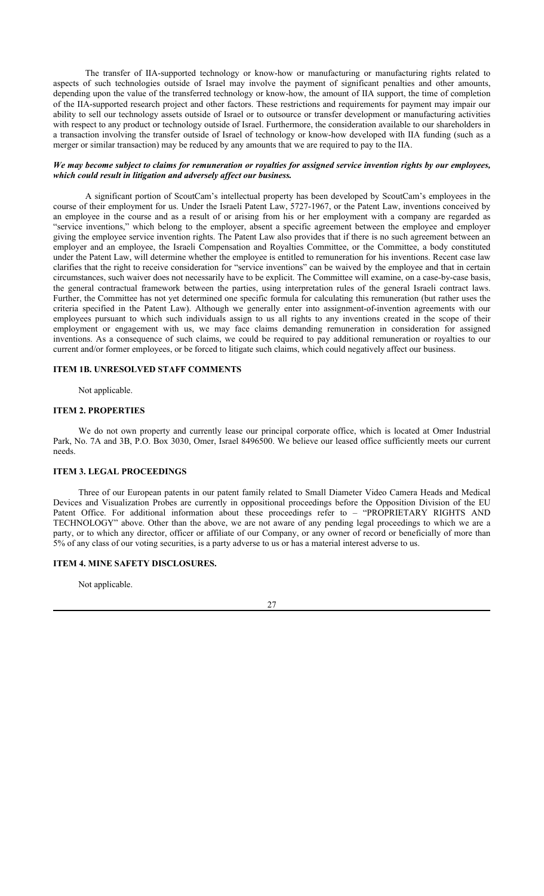The transfer of IIA-supported technology or know-how or manufacturing or manufacturing rights related to aspects of such technologies outside of Israel may involve the payment of significant penalties and other amounts, depending upon the value of the transferred technology or know-how, the amount of IIA support, the time of completion of the IIA-supported research project and other factors. These restrictions and requirements for payment may impair our ability to sell our technology assets outside of Israel or to outsource or transfer development or manufacturing activities with respect to any product or technology outside of Israel. Furthermore, the consideration available to our shareholders in a transaction involving the transfer outside of Israel of technology or know-how developed with IIA funding (such as a merger or similar transaction) may be reduced by any amounts that we are required to pay to the IIA.

## *We may become subject to claims for remuneration or royalties for assigned service invention rights by our employees, which could result in litigation and adversely affect our business.*

A significant portion of ScoutCam's intellectual property has been developed by ScoutCam's employees in the course of their employment for us. Under the Israeli Patent Law, 5727-1967, or the Patent Law, inventions conceived by an employee in the course and as a result of or arising from his or her employment with a company are regarded as "service inventions," which belong to the employer, absent a specific agreement between the employee and employer giving the employee service invention rights. The Patent Law also provides that if there is no such agreement between an employer and an employee, the Israeli Compensation and Royalties Committee, or the Committee, a body constituted under the Patent Law, will determine whether the employee is entitled to remuneration for his inventions. Recent case law clarifies that the right to receive consideration for "service inventions" can be waived by the employee and that in certain circumstances, such waiver does not necessarily have to be explicit. The Committee will examine, on a case-by-case basis, the general contractual framework between the parties, using interpretation rules of the general Israeli contract laws. Further, the Committee has not yet determined one specific formula for calculating this remuneration (but rather uses the criteria specified in the Patent Law). Although we generally enter into assignment-of-invention agreements with our employees pursuant to which such individuals assign to us all rights to any inventions created in the scope of their employment or engagement with us, we may face claims demanding remuneration in consideration for assigned inventions. As a consequence of such claims, we could be required to pay additional remuneration or royalties to our current and/or former employees, or be forced to litigate such claims, which could negatively affect our business.

### **ITEM 1B. UNRESOLVED STAFF COMMENTS**

Not applicable.

## **ITEM 2. PROPERTIES**

We do not own property and currently lease our principal corporate office, which is located at Omer Industrial Park, No. 7A and 3B, P.O. Box 3030, Omer, Israel 8496500. We believe our leased office sufficiently meets our current needs.

## **ITEM 3. LEGAL PROCEEDINGS**

Three of our European patents in our patent family related to Small Diameter Video Camera Heads and Medical Devices and Visualization Probes are currently in oppositional proceedings before the Opposition Division of the EU Patent Office. For additional information about these proceedings refer to – "PROPRIETARY RIGHTS AND TECHNOLOGY" above. Other than the above, we are not aware of any pending legal proceedings to which we are a party, or to which any director, officer or affiliate of our Company, or any owner of record or beneficially of more than 5% of any class of our voting securities, is a party adverse to us or has a material interest adverse to us.

## **ITEM 4. MINE SAFETY DISCLOSURES.**

Not applicable.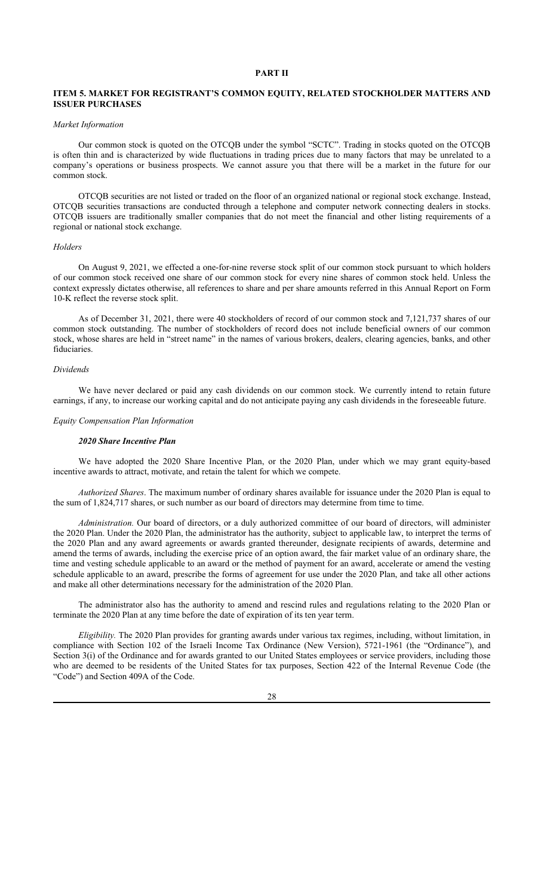#### **PART II**

## **ITEM 5. MARKET FOR REGISTRANT'S COMMON EQUITY, RELATED STOCKHOLDER MATTERS AND ISSUER PURCHASES**

#### *Market Information*

Our common stock is quoted on the OTCQB under the symbol "SCTC". Trading in stocks quoted on the OTCQB is often thin and is characterized by wide fluctuations in trading prices due to many factors that may be unrelated to a company's operations or business prospects. We cannot assure you that there will be a market in the future for our common stock.

OTCQB securities are not listed or traded on the floor of an organized national or regional stock exchange. Instead, OTCQB securities transactions are conducted through a telephone and computer network connecting dealers in stocks. OTCQB issuers are traditionally smaller companies that do not meet the financial and other listing requirements of a regional or national stock exchange.

#### *Holders*

On August 9, 2021, we effected a one-for-nine reverse stock split of our common stock pursuant to which holders of our common stock received one share of our common stock for every nine shares of common stock held. Unless the context expressly dictates otherwise, all references to share and per share amounts referred in this Annual Report on Form 10-K reflect the reverse stock split.

As of December 31, 2021, there were 40 stockholders of record of our common stock and 7,121,737 shares of our common stock outstanding. The number of stockholders of record does not include beneficial owners of our common stock, whose shares are held in "street name" in the names of various brokers, dealers, clearing agencies, banks, and other fiduciaries.

#### *Dividends*

We have never declared or paid any cash dividends on our common stock. We currently intend to retain future earnings, if any, to increase our working capital and do not anticipate paying any cash dividends in the foreseeable future.

# *Equity Compensation Plan Information*

#### *2020 Share Incentive Plan*

We have adopted the 2020 Share Incentive Plan, or the 2020 Plan, under which we may grant equity-based incentive awards to attract, motivate, and retain the talent for which we compete.

*Authorized Shares*. The maximum number of ordinary shares available for issuance under the 2020 Plan is equal to the sum of 1,824,717 shares, or such number as our board of directors may determine from time to time.

*Administration.* Our board of directors, or a duly authorized committee of our board of directors, will administer the 2020 Plan. Under the 2020 Plan, the administrator has the authority, subject to applicable law, to interpret the terms of the 2020 Plan and any award agreements or awards granted thereunder, designate recipients of awards, determine and amend the terms of awards, including the exercise price of an option award, the fair market value of an ordinary share, the time and vesting schedule applicable to an award or the method of payment for an award, accelerate or amend the vesting schedule applicable to an award, prescribe the forms of agreement for use under the 2020 Plan, and take all other actions and make all other determinations necessary for the administration of the 2020 Plan.

The administrator also has the authority to amend and rescind rules and regulations relating to the 2020 Plan or terminate the 2020 Plan at any time before the date of expiration of its ten year term.

*Eligibility.* The 2020 Plan provides for granting awards under various tax regimes, including, without limitation, in compliance with Section 102 of the Israeli Income Tax Ordinance (New Version), 5721-1961 (the "Ordinance"), and Section 3(i) of the Ordinance and for awards granted to our United States employees or service providers, including those who are deemed to be residents of the United States for tax purposes, Section 422 of the Internal Revenue Code (the "Code") and Section 409A of the Code.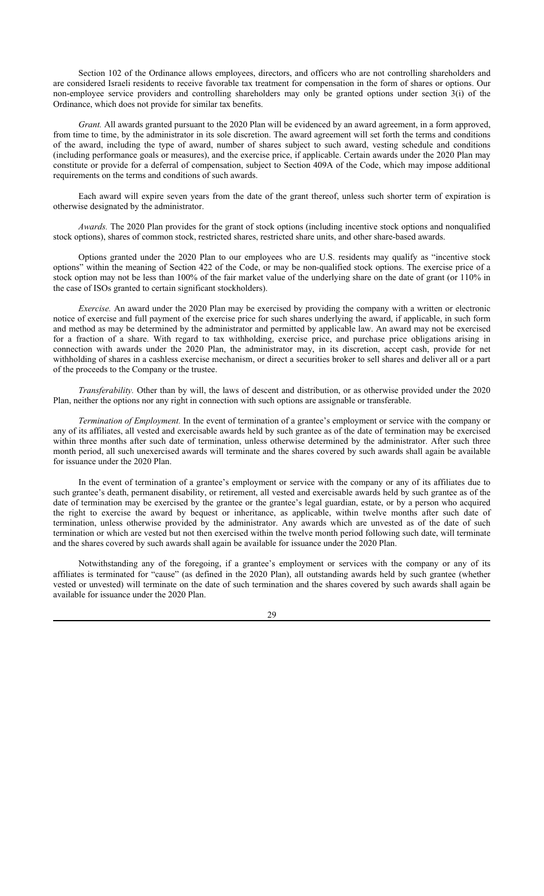Section 102 of the Ordinance allows employees, directors, and officers who are not controlling shareholders and are considered Israeli residents to receive favorable tax treatment for compensation in the form of shares or options. Our non-employee service providers and controlling shareholders may only be granted options under section 3(i) of the Ordinance, which does not provide for similar tax benefits.

*Grant.* All awards granted pursuant to the 2020 Plan will be evidenced by an award agreement, in a form approved, from time to time, by the administrator in its sole discretion. The award agreement will set forth the terms and conditions of the award, including the type of award, number of shares subject to such award, vesting schedule and conditions (including performance goals or measures), and the exercise price, if applicable. Certain awards under the 2020 Plan may constitute or provide for a deferral of compensation, subject to Section 409A of the Code, which may impose additional requirements on the terms and conditions of such awards.

Each award will expire seven years from the date of the grant thereof, unless such shorter term of expiration is otherwise designated by the administrator.

*Awards.* The 2020 Plan provides for the grant of stock options (including incentive stock options and nonqualified stock options), shares of common stock, restricted shares, restricted share units, and other share-based awards.

Options granted under the 2020 Plan to our employees who are U.S. residents may qualify as "incentive stock options" within the meaning of Section 422 of the Code, or may be non-qualified stock options. The exercise price of a stock option may not be less than 100% of the fair market value of the underlying share on the date of grant (or 110% in the case of ISOs granted to certain significant stockholders).

*Exercise.* An award under the 2020 Plan may be exercised by providing the company with a written or electronic notice of exercise and full payment of the exercise price for such shares underlying the award, if applicable, in such form and method as may be determined by the administrator and permitted by applicable law. An award may not be exercised for a fraction of a share. With regard to tax withholding, exercise price, and purchase price obligations arising in connection with awards under the 2020 Plan, the administrator may, in its discretion, accept cash, provide for net withholding of shares in a cashless exercise mechanism, or direct a securities broker to sell shares and deliver all or a part of the proceeds to the Company or the trustee.

*Transferability.* Other than by will, the laws of descent and distribution, or as otherwise provided under the 2020 Plan, neither the options nor any right in connection with such options are assignable or transferable.

*Termination of Employment.* In the event of termination of a grantee's employment or service with the company or any of its affiliates, all vested and exercisable awards held by such grantee as of the date of termination may be exercised within three months after such date of termination, unless otherwise determined by the administrator. After such three month period, all such unexercised awards will terminate and the shares covered by such awards shall again be available for issuance under the 2020 Plan.

In the event of termination of a grantee's employment or service with the company or any of its affiliates due to such grantee's death, permanent disability, or retirement, all vested and exercisable awards held by such grantee as of the date of termination may be exercised by the grantee or the grantee's legal guardian, estate, or by a person who acquired the right to exercise the award by bequest or inheritance, as applicable, within twelve months after such date of termination, unless otherwise provided by the administrator. Any awards which are unvested as of the date of such termination or which are vested but not then exercised within the twelve month period following such date, will terminate and the shares covered by such awards shall again be available for issuance under the 2020 Plan.

Notwithstanding any of the foregoing, if a grantee's employment or services with the company or any of its affiliates is terminated for "cause" (as defined in the 2020 Plan), all outstanding awards held by such grantee (whether vested or unvested) will terminate on the date of such termination and the shares covered by such awards shall again be available for issuance under the 2020 Plan.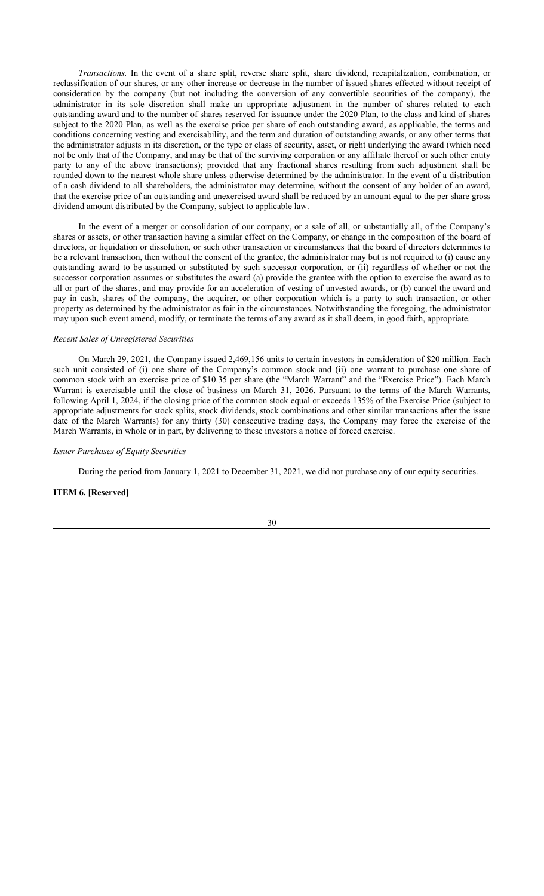*Transactions.* In the event of a share split, reverse share split, share dividend, recapitalization, combination, or reclassification of our shares, or any other increase or decrease in the number of issued shares effected without receipt of consideration by the company (but not including the conversion of any convertible securities of the company), the administrator in its sole discretion shall make an appropriate adjustment in the number of shares related to each outstanding award and to the number of shares reserved for issuance under the 2020 Plan, to the class and kind of shares subject to the 2020 Plan, as well as the exercise price per share of each outstanding award, as applicable, the terms and conditions concerning vesting and exercisability, and the term and duration of outstanding awards, or any other terms that the administrator adjusts in its discretion, or the type or class of security, asset, or right underlying the award (which need not be only that of the Company, and may be that of the surviving corporation or any affiliate thereof or such other entity party to any of the above transactions); provided that any fractional shares resulting from such adjustment shall be rounded down to the nearest whole share unless otherwise determined by the administrator. In the event of a distribution of a cash dividend to all shareholders, the administrator may determine, without the consent of any holder of an award, that the exercise price of an outstanding and unexercised award shall be reduced by an amount equal to the per share gross dividend amount distributed by the Company, subject to applicable law.

In the event of a merger or consolidation of our company, or a sale of all, or substantially all, of the Company's shares or assets, or other transaction having a similar effect on the Company, or change in the composition of the board of directors, or liquidation or dissolution, or such other transaction or circumstances that the board of directors determines to be a relevant transaction, then without the consent of the grantee, the administrator may but is not required to (i) cause any outstanding award to be assumed or substituted by such successor corporation, or (ii) regardless of whether or not the successor corporation assumes or substitutes the award (a) provide the grantee with the option to exercise the award as to all or part of the shares, and may provide for an acceleration of vesting of unvested awards, or (b) cancel the award and pay in cash, shares of the company, the acquirer, or other corporation which is a party to such transaction, or other property as determined by the administrator as fair in the circumstances. Notwithstanding the foregoing, the administrator may upon such event amend, modify, or terminate the terms of any award as it shall deem, in good faith, appropriate.

#### *Recent Sales of Unregistered Securities*

On March 29, 2021, the Company issued 2,469,156 units to certain investors in consideration of \$20 million. Each such unit consisted of (i) one share of the Company's common stock and (ii) one warrant to purchase one share of common stock with an exercise price of \$10.35 per share (the "March Warrant" and the "Exercise Price"). Each March Warrant is exercisable until the close of business on March 31, 2026. Pursuant to the terms of the March Warrants, following April 1, 2024, if the closing price of the common stock equal or exceeds 135% of the Exercise Price (subject to appropriate adjustments for stock splits, stock dividends, stock combinations and other similar transactions after the issue date of the March Warrants) for any thirty (30) consecutive trading days, the Company may force the exercise of the March Warrants, in whole or in part, by delivering to these investors a notice of forced exercise.

### *Issuer Purchases of Equity Securities*

During the period from January 1, 2021 to December 31, 2021, we did not purchase any of our equity securities.

## **ITEM 6. [Reserved]**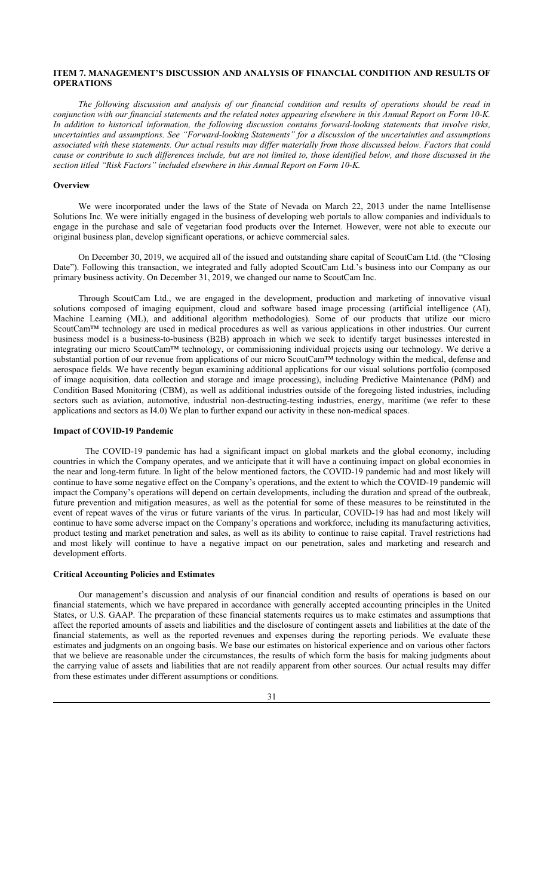# **ITEM 7. MANAGEMENT'S DISCUSSION AND ANALYSIS OF FINANCIAL CONDITION AND RESULTS OF OPERATIONS**

*The following discussion and analysis of our financial condition and results of operations should be read in conjunction with our financial statements and the related notes appearing elsewhere in this Annual Report on Form 10-K. In addition to historical information, the following discussion contains forward-looking statements that involve risks, uncertainties and assumptions. See "Forward-looking Statements" for a discussion of the uncertainties and assumptions associated with these statements. Our actual results may differ materially from those discussed below. Factors that could cause or contribute to such differences include, but are not limited to, those identified below, and those discussed in the section titled "Risk Factors" included elsewhere in this Annual Report on Form 10-K.*

## **Overview**

We were incorporated under the laws of the State of Nevada on March 22, 2013 under the name Intellisense Solutions Inc. We were initially engaged in the business of developing web portals to allow companies and individuals to engage in the purchase and sale of vegetarian food products over the Internet. However, were not able to execute our original business plan, develop significant operations, or achieve commercial sales.

On December 30, 2019, we acquired all of the issued and outstanding share capital of ScoutCam Ltd. (the "Closing Date"). Following this transaction, we integrated and fully adopted ScoutCam Ltd.'s business into our Company as our primary business activity. On December 31, 2019, we changed our name to ScoutCam Inc.

Through ScoutCam Ltd., we are engaged in the development, production and marketing of innovative visual solutions composed of imaging equipment, cloud and software based image processing (artificial intelligence (AI), Machine Learning (ML), and additional algorithm methodologies). Some of our products that utilize our micro ScoutCam™ technology are used in medical procedures as well as various applications in other industries. Our current business model is a business-to-business (B2B) approach in which we seek to identify target businesses interested in integrating our micro ScoutCam™ technology, or commissioning individual projects using our technology. We derive a substantial portion of our revenue from applications of our micro ScoutCam™ technology within the medical, defense and aerospace fields. We have recently begun examining additional applications for our visual solutions portfolio (composed of image acquisition, data collection and storage and image processing), including Predictive Maintenance (PdM) and Condition Based Monitoring (CBM), as well as additional industries outside of the foregoing listed industries, including sectors such as aviation, automotive, industrial non-destructing-testing industries, energy, maritime (we refer to these applications and sectors as I4.0) We plan to further expand our activity in these non-medical spaces.

## **Impact of COVID-19 Pandemic**

The COVID-19 pandemic has had a significant impact on global markets and the global economy, including countries in which the Company operates, and we anticipate that it will have a continuing impact on global economies in the near and long-term future. In light of the below mentioned factors, the COVID-19 pandemic had and most likely will continue to have some negative effect on the Company's operations, and the extent to which the COVID-19 pandemic will impact the Company's operations will depend on certain developments, including the duration and spread of the outbreak, future prevention and mitigation measures, as well as the potential for some of these measures to be reinstituted in the event of repeat waves of the virus or future variants of the virus. In particular, COVID-19 has had and most likely will continue to have some adverse impact on the Company's operations and workforce, including its manufacturing activities, product testing and market penetration and sales, as well as its ability to continue to raise capital. Travel restrictions had and most likely will continue to have a negative impact on our penetration, sales and marketing and research and development efforts.

#### **Critical Accounting Policies and Estimates**

Our management's discussion and analysis of our financial condition and results of operations is based on our financial statements, which we have prepared in accordance with generally accepted accounting principles in the United States, or U.S. GAAP. The preparation of these financial statements requires us to make estimates and assumptions that affect the reported amounts of assets and liabilities and the disclosure of contingent assets and liabilities at the date of the financial statements, as well as the reported revenues and expenses during the reporting periods. We evaluate these estimates and judgments on an ongoing basis. We base our estimates on historical experience and on various other factors that we believe are reasonable under the circumstances, the results of which form the basis for making judgments about the carrying value of assets and liabilities that are not readily apparent from other sources. Our actual results may differ from these estimates under different assumptions or conditions.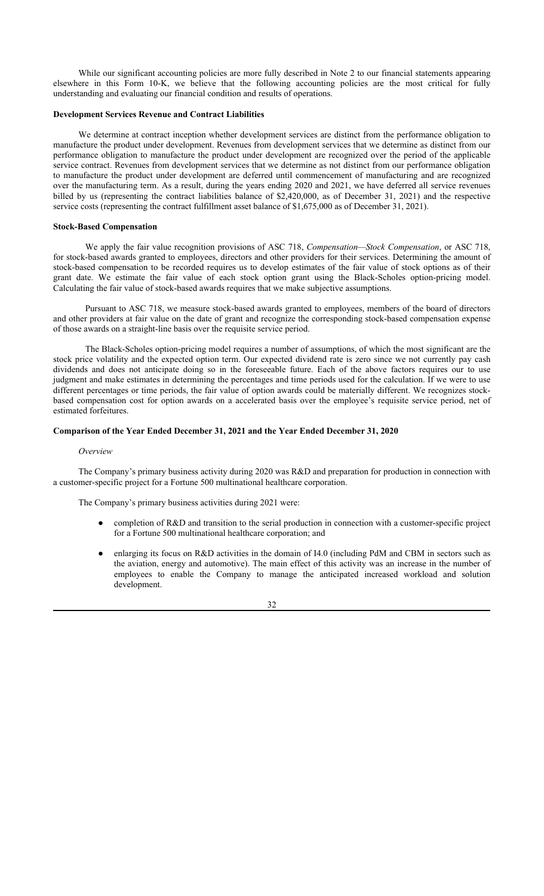While our significant accounting policies are more fully described in Note 2 to our financial statements appearing elsewhere in this Form 10-K, we believe that the following accounting policies are the most critical for fully understanding and evaluating our financial condition and results of operations.

## **Development Services Revenue and Contract Liabilities**

We determine at contract inception whether development services are distinct from the performance obligation to manufacture the product under development. Revenues from development services that we determine as distinct from our performance obligation to manufacture the product under development are recognized over the period of the applicable service contract. Revenues from development services that we determine as not distinct from our performance obligation to manufacture the product under development are deferred until commencement of manufacturing and are recognized over the manufacturing term. As a result, during the years ending 2020 and 2021, we have deferred all service revenues billed by us (representing the contract liabilities balance of \$2,420,000, as of December 31, 2021) and the respective service costs (representing the contract fulfillment asset balance of \$1,675,000 as of December 31, 2021).

## **Stock-Based Compensation**

We apply the fair value recognition provisions of ASC 718, *Compensation—Stock Compensation*, or ASC 718, for stock-based awards granted to employees, directors and other providers for their services. Determining the amount of stock-based compensation to be recorded requires us to develop estimates of the fair value of stock options as of their grant date. We estimate the fair value of each stock option grant using the Black-Scholes option-pricing model. Calculating the fair value of stock-based awards requires that we make subjective assumptions.

Pursuant to ASC 718, we measure stock-based awards granted to employees, members of the board of directors and other providers at fair value on the date of grant and recognize the corresponding stock-based compensation expense of those awards on a straight-line basis over the requisite service period.

The Black-Scholes option-pricing model requires a number of assumptions, of which the most significant are the stock price volatility and the expected option term. Our expected dividend rate is zero since we not currently pay cash dividends and does not anticipate doing so in the foreseeable future. Each of the above factors requires our to use judgment and make estimates in determining the percentages and time periods used for the calculation. If we were to use different percentages or time periods, the fair value of option awards could be materially different. We recognizes stockbased compensation cost for option awards on a accelerated basis over the employee's requisite service period, net of estimated forfeitures.

## **Comparison of the Year Ended December 31, 2021 and the Year Ended December 31, 2020**

#### *Overview*

The Company's primary business activity during 2020 was R&D and preparation for production in connection with a customer-specific project for a Fortune 500 multinational healthcare corporation.

The Company's primary business activities during 2021 were:

- completion of R&D and transition to the serial production in connection with a customer-specific project for a Fortune 500 multinational healthcare corporation; and
- enlarging its focus on R&D activities in the domain of I4.0 (including PdM and CBM in sectors such as the aviation, energy and automotive). The main effect of this activity was an increase in the number of employees to enable the Company to manage the anticipated increased workload and solution development.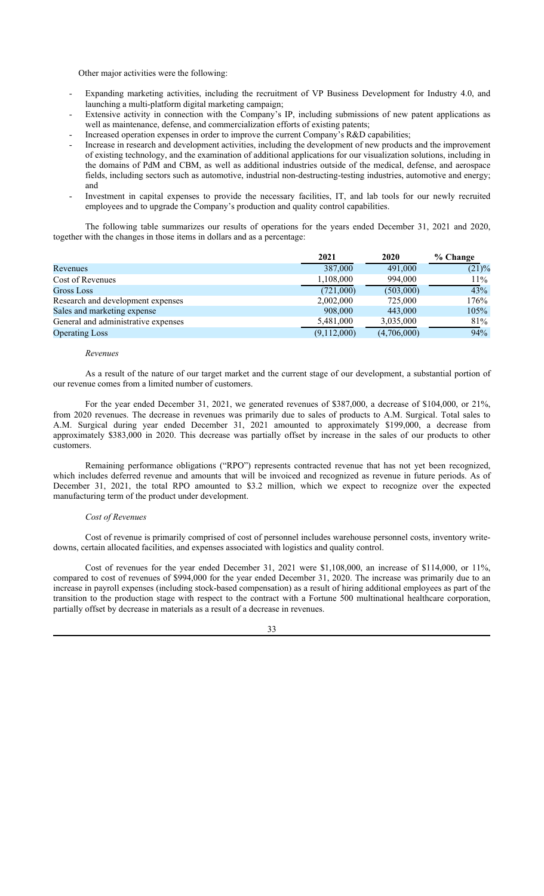Other major activities were the following:

- Expanding marketing activities, including the recruitment of VP Business Development for Industry 4.0, and launching a multi-platform digital marketing campaign;
- Extensive activity in connection with the Company's IP, including submissions of new patent applications as well as maintenance, defense, and commercialization efforts of existing patents;
- Increased operation expenses in order to improve the current Company's R&D capabilities;
- Increase in research and development activities, including the development of new products and the improvement of existing technology, and the examination of additional applications for our visualization solutions, including in the domains of PdM and CBM, as well as additional industries outside of the medical, defense, and aerospace fields, including sectors such as automotive, industrial non-destructing-testing industries, automotive and energy; and
- Investment in capital expenses to provide the necessary facilities, IT, and lab tools for our newly recruited employees and to upgrade the Company's production and quality control capabilities.

The following table summarizes our results of operations for the years ended December 31, 2021 and 2020, together with the changes in those items in dollars and as a percentage:

|                                     | 2021        | 2020        | % Change |
|-------------------------------------|-------------|-------------|----------|
| Revenues                            | 387,000     | 491,000     | (21)%    |
| Cost of Revenues                    | 1,108,000   | 994,000     | $11\%$   |
| Gross Loss                          | (721,000)   | (503,000)   | 43%      |
| Research and development expenses   | 2,002,000   | 725,000     | 176%     |
| Sales and marketing expense         | 908,000     | 443,000     | 105%     |
| General and administrative expenses | 5,481,000   | 3,035,000   | 81%      |
| <b>Operating Loss</b>               | (9,112,000) | (4,706,000) | 94%      |

#### *Revenues*

As a result of the nature of our target market and the current stage of our development, a substantial portion of our revenue comes from a limited number of customers.

For the year ended December 31, 2021, we generated revenues of \$387,000, a decrease of \$104,000, or 21%, from 2020 revenues. The decrease in revenues was primarily due to sales of products to A.M. Surgical. Total sales to A.M. Surgical during year ended December 31, 2021 amounted to approximately \$199,000, a decrease from approximately \$383,000 in 2020. This decrease was partially offset by increase in the sales of our products to other customers.

Remaining performance obligations ("RPO") represents contracted revenue that has not yet been recognized, which includes deferred revenue and amounts that will be invoiced and recognized as revenue in future periods. As of December 31, 2021, the total RPO amounted to \$3.2 million, which we expect to recognize over the expected manufacturing term of the product under development.

#### *Cost of Revenues*

Cost of revenue is primarily comprised of cost of personnel includes warehouse personnel costs, inventory writedowns, certain allocated facilities, and expenses associated with logistics and quality control.

Cost of revenues for the year ended December 31, 2021 were \$1,108,000, an increase of \$114,000, or 11%, compared to cost of revenues of \$994,000 for the year ended December 31, 2020. The increase was primarily due to an increase in payroll expenses (including stock-based compensation) as a result of hiring additional employees as part of the transition to the production stage with respect to the contract with a Fortune 500 multinational healthcare corporation, partially offset by decrease in materials as a result of a decrease in revenues.

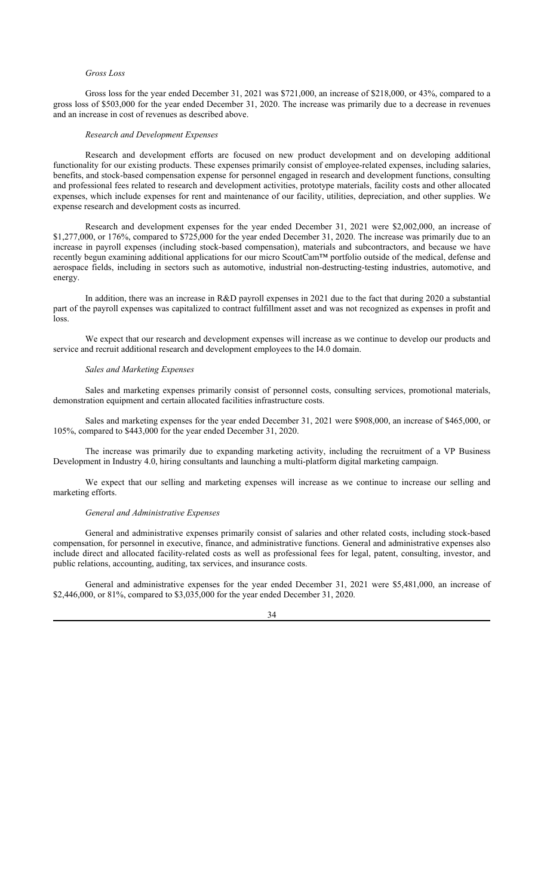### *Gross Loss*

Gross loss for the year ended December 31, 2021 was \$721,000, an increase of \$218,000, or 43%, compared to a gross loss of \$503,000 for the year ended December 31, 2020. The increase was primarily due to a decrease in revenues and an increase in cost of revenues as described above.

## *Research and Development Expenses*

Research and development efforts are focused on new product development and on developing additional functionality for our existing products. These expenses primarily consist of employee-related expenses, including salaries, benefits, and stock-based compensation expense for personnel engaged in research and development functions, consulting and professional fees related to research and development activities, prototype materials, facility costs and other allocated expenses, which include expenses for rent and maintenance of our facility, utilities, depreciation, and other supplies. We expense research and development costs as incurred.

Research and development expenses for the year ended December 31, 2021 were \$2,002,000, an increase of \$1,277,000, or 176%, compared to \$725,000 for the year ended December 31, 2020. The increase was primarily due to an increase in payroll expenses (including stock-based compensation), materials and subcontractors, and because we have recently begun examining additional applications for our micro ScoutCam™ portfolio outside of the medical, defense and aerospace fields, including in sectors such as automotive, industrial non-destructing-testing industries, automotive, and energy.

In addition, there was an increase in R&D payroll expenses in 2021 due to the fact that during 2020 a substantial part of the payroll expenses was capitalized to contract fulfillment asset and was not recognized as expenses in profit and loss.

We expect that our research and development expenses will increase as we continue to develop our products and service and recruit additional research and development employees to the I4.0 domain.

## *Sales and Marketing Expenses*

Sales and marketing expenses primarily consist of personnel costs, consulting services, promotional materials, demonstration equipment and certain allocated facilities infrastructure costs.

Sales and marketing expenses for the year ended December 31, 2021 were \$908,000, an increase of \$465,000, or 105%, compared to \$443,000 for the year ended December 31, 2020.

The increase was primarily due to expanding marketing activity, including the recruitment of a VP Business Development in Industry 4.0, hiring consultants and launching a multi-platform digital marketing campaign.

We expect that our selling and marketing expenses will increase as we continue to increase our selling and marketing efforts.

#### *General and Administrative Expenses*

General and administrative expenses primarily consist of salaries and other related costs, including stock-based compensation, for personnel in executive, finance, and administrative functions. General and administrative expenses also include direct and allocated facility-related costs as well as professional fees for legal, patent, consulting, investor, and public relations, accounting, auditing, tax services, and insurance costs.

General and administrative expenses for the year ended December 31, 2021 were \$5,481,000, an increase of \$2,446,000, or 81%, compared to \$3,035,000 for the year ended December 31, 2020.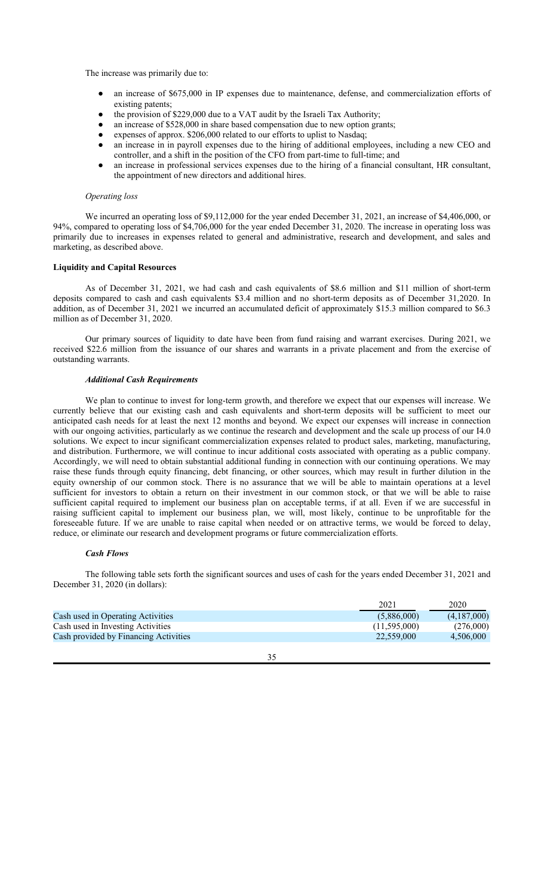The increase was primarily due to:

- an increase of \$675,000 in IP expenses due to maintenance, defense, and commercialization efforts of existing patents;
- the provision of \$229,000 due to a VAT audit by the Israeli Tax Authority;
- an increase of \$528,000 in share based compensation due to new option grants;
- expenses of approx.  $$206,000$  related to our efforts to uplist to Nasdaq;
- an increase in in payroll expenses due to the hiring of additional employees, including a new CEO and controller, and a shift in the position of the CFO from part-time to full-time; and
- an increase in professional services expenses due to the hiring of a financial consultant, HR consultant, the appointment of new directors and additional hires.

#### *Operating loss*

We incurred an operating loss of \$9,112,000 for the year ended December 31, 2021, an increase of \$4,406,000, or 94%, compared to operating loss of \$4,706,000 for the year ended December 31, 2020. The increase in operating loss was primarily due to increases in expenses related to general and administrative, research and development, and sales and marketing, as described above.

#### **Liquidity and Capital Resources**

As of December 31, 2021, we had cash and cash equivalents of \$8.6 million and \$11 million of short-term deposits compared to cash and cash equivalents \$3.4 million and no short-term deposits as of December 31,2020. In addition, as of December 31, 2021 we incurred an accumulated deficit of approximately \$15.3 million compared to \$6.3 million as of December 31, 2020.

Our primary sources of liquidity to date have been from fund raising and warrant exercises. During 2021, we received \$22.6 million from the issuance of our shares and warrants in a private placement and from the exercise of outstanding warrants.

#### *Additional Cash Requirements*

We plan to continue to invest for long-term growth, and therefore we expect that our expenses will increase. We currently believe that our existing cash and cash equivalents and short-term deposits will be sufficient to meet our anticipated cash needs for at least the next 12 months and beyond. We expect our expenses will increase in connection with our ongoing activities, particularly as we continue the research and development and the scale up process of our I4.0 solutions. We expect to incur significant commercialization expenses related to product sales, marketing, manufacturing, and distribution. Furthermore, we will continue to incur additional costs associated with operating as a public company. Accordingly, we will need to obtain substantial additional funding in connection with our continuing operations. We may raise these funds through equity financing, debt financing, or other sources, which may result in further dilution in the equity ownership of our common stock. There is no assurance that we will be able to maintain operations at a level sufficient for investors to obtain a return on their investment in our common stock, or that we will be able to raise sufficient capital required to implement our business plan on acceptable terms, if at all. Even if we are successful in raising sufficient capital to implement our business plan, we will, most likely, continue to be unprofitable for the foreseeable future. If we are unable to raise capital when needed or on attractive terms, we would be forced to delay, reduce, or eliminate our research and development programs or future commercialization efforts.

#### *Cash Flows*

The following table sets forth the significant sources and uses of cash for the years ended December 31, 2021 and December 31, 2020 (in dollars):

|                                       | 2021         | 2020        |
|---------------------------------------|--------------|-------------|
| Cash used in Operating Activities     | (5,886,000)  | (4,187,000) |
| Cash used in Investing Activities     | (11,595,000) | (276,000)   |
| Cash provided by Financing Activities | 22,559,000   | 4,506,000   |
|                                       |              |             |

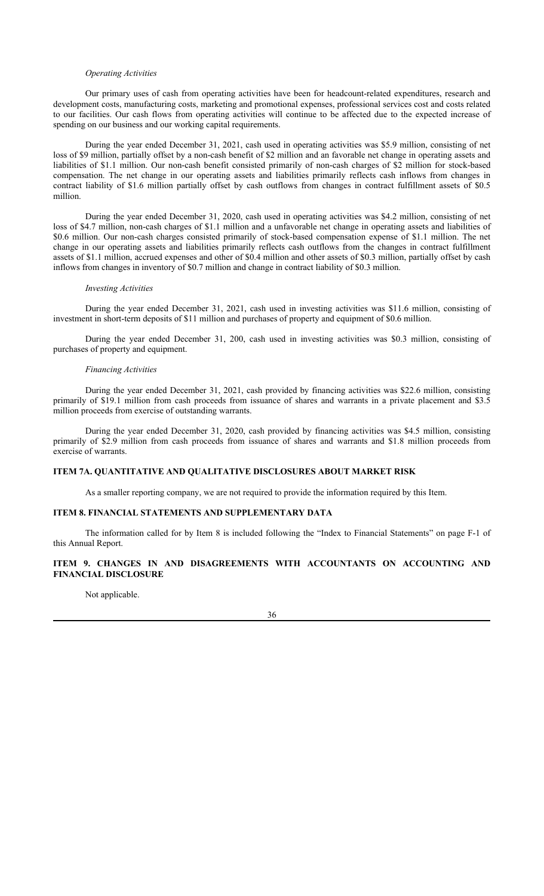#### *Operating Activities*

Our primary uses of cash from operating activities have been for headcount-related expenditures, research and development costs, manufacturing costs, marketing and promotional expenses, professional services cost and costs related to our facilities. Our cash flows from operating activities will continue to be affected due to the expected increase of spending on our business and our working capital requirements.

During the year ended December 31, 2021, cash used in operating activities was \$5.9 million, consisting of net loss of \$9 million, partially offset by a non-cash benefit of \$2 million and an favorable net change in operating assets and liabilities of \$1.1 million. Our non-cash benefit consisted primarily of non-cash charges of \$2 million for stock-based compensation. The net change in our operating assets and liabilities primarily reflects cash inflows from changes in contract liability of \$1.6 million partially offset by cash outflows from changes in contract fulfillment assets of \$0.5 million.

During the year ended December 31, 2020, cash used in operating activities was \$4.2 million, consisting of net loss of \$4.7 million, non-cash charges of \$1.1 million and a unfavorable net change in operating assets and liabilities of \$0.6 million. Our non-cash charges consisted primarily of stock-based compensation expense of \$1.1 million. The net change in our operating assets and liabilities primarily reflects cash outflows from the changes in contract fulfillment assets of \$1.1 million, accrued expenses and other of \$0.4 million and other assets of \$0.3 million, partially offset by cash inflows from changes in inventory of \$0.7 million and change in contract liability of \$0.3 million.

#### *Investing Activities*

During the year ended December 31, 2021, cash used in investing activities was \$11.6 million, consisting of investment in short-term deposits of \$11 million and purchases of property and equipment of \$0.6 million.

During the year ended December 31, 200, cash used in investing activities was \$0.3 million, consisting of purchases of property and equipment.

#### *Financing Activities*

During the year ended December 31, 2021, cash provided by financing activities was \$22.6 million, consisting primarily of \$19.1 million from cash proceeds from issuance of shares and warrants in a private placement and \$3.5 million proceeds from exercise of outstanding warrants.

During the year ended December 31, 2020, cash provided by financing activities was \$4.5 million, consisting primarily of \$2.9 million from cash proceeds from issuance of shares and warrants and \$1.8 million proceeds from exercise of warrants.

#### **ITEM 7A. QUANTITATIVE AND QUALITATIVE DISCLOSURES ABOUT MARKET RISK**

As a smaller reporting company, we are not required to provide the information required by this Item.

#### **ITEM 8. FINANCIAL STATEMENTS AND SUPPLEMENTARY DATA**

The information called for by Item 8 is included following the "Index to Financial Statements" on page F-1 of this Annual Report.

# **ITEM 9. CHANGES IN AND DISAGREEMENTS WITH ACCOUNTANTS ON ACCOUNTING AND FINANCIAL DISCLOSURE**

Not applicable.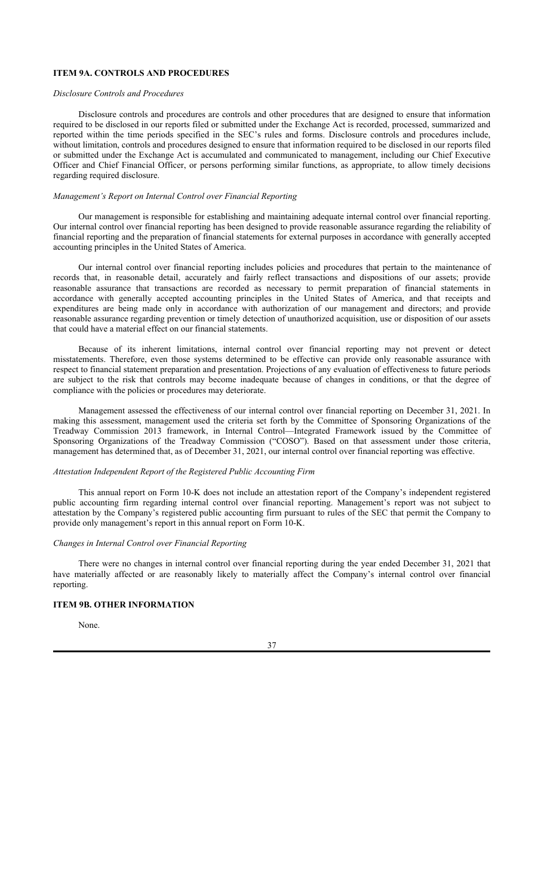# **ITEM 9A. CONTROLS AND PROCEDURES**

#### *Disclosure Controls and Procedures*

Disclosure controls and procedures are controls and other procedures that are designed to ensure that information required to be disclosed in our reports filed or submitted under the Exchange Act is recorded, processed, summarized and reported within the time periods specified in the SEC's rules and forms. Disclosure controls and procedures include, without limitation, controls and procedures designed to ensure that information required to be disclosed in our reports filed or submitted under the Exchange Act is accumulated and communicated to management, including our Chief Executive Officer and Chief Financial Officer, or persons performing similar functions, as appropriate, to allow timely decisions regarding required disclosure.

#### *Management's Report on Internal Control over Financial Reporting*

Our management is responsible for establishing and maintaining adequate internal control over financial reporting. Our internal control over financial reporting has been designed to provide reasonable assurance regarding the reliability of financial reporting and the preparation of financial statements for external purposes in accordance with generally accepted accounting principles in the United States of America.

Our internal control over financial reporting includes policies and procedures that pertain to the maintenance of records that, in reasonable detail, accurately and fairly reflect transactions and dispositions of our assets; provide reasonable assurance that transactions are recorded as necessary to permit preparation of financial statements in accordance with generally accepted accounting principles in the United States of America, and that receipts and expenditures are being made only in accordance with authorization of our management and directors; and provide reasonable assurance regarding prevention or timely detection of unauthorized acquisition, use or disposition of our assets that could have a material effect on our financial statements.

Because of its inherent limitations, internal control over financial reporting may not prevent or detect misstatements. Therefore, even those systems determined to be effective can provide only reasonable assurance with respect to financial statement preparation and presentation. Projections of any evaluation of effectiveness to future periods are subject to the risk that controls may become inadequate because of changes in conditions, or that the degree of compliance with the policies or procedures may deteriorate.

Management assessed the effectiveness of our internal control over financial reporting on December 31, 2021. In making this assessment, management used the criteria set forth by the Committee of Sponsoring Organizations of the Treadway Commission 2013 framework, in Internal Control—Integrated Framework issued by the Committee of Sponsoring Organizations of the Treadway Commission ("COSO"). Based on that assessment under those criteria, management has determined that, as of December 31, 2021, our internal control over financial reporting was effective.

#### *Attestation Independent Report of the Registered Public Accounting Firm*

This annual report on Form 10-K does not include an attestation report of the Company's independent registered public accounting firm regarding internal control over financial reporting. Management's report was not subject to attestation by the Company's registered public accounting firm pursuant to rules of the SEC that permit the Company to provide only management's report in this annual report on Form 10-K.

# *Changes in Internal Control over Financial Reporting*

There were no changes in internal control over financial reporting during the year ended December 31, 2021 that have materially affected or are reasonably likely to materially affect the Company's internal control over financial reporting.

# **ITEM 9B. OTHER INFORMATION**

None.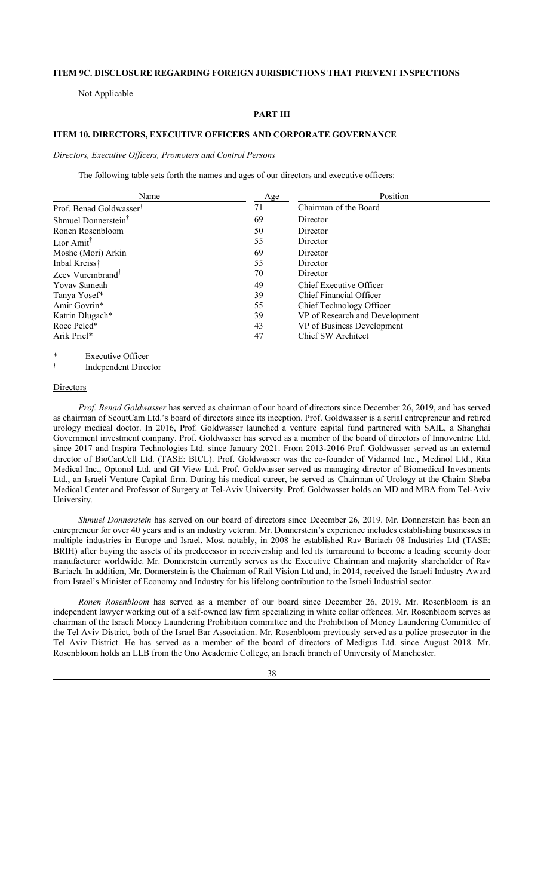# **ITEM 9C. DISCLOSURE REGARDING FOREIGN JURISDICTIONS THAT PREVENT INSPECTIONS**

Not Applicable

## **PART III**

# **ITEM 10. DIRECTORS, EXECUTIVE OFFICERS AND CORPORATE GOVERNANCE**

*Directors, Executive Officers, Promoters and Control Persons*

The following table sets forth the names and ages of our directors and executive officers:

| Name                                             | Age | Position                       |
|--------------------------------------------------|-----|--------------------------------|
| Prof. Benad Goldwasser <sup>T</sup>              | 71  | Chairman of the Board          |
| Shmuel Donnerstein <sup>T</sup>                  | 69  | Director                       |
| Ronen Rosenbloom                                 | 50  | Director                       |
| Lior Amit <sup>†</sup>                           | 55  | Director                       |
| Moshe (Mori) Arkin                               | 69  | Director                       |
| Inbal Kreiss†                                    | 55  | Director                       |
| Zeev Vurembrand <sup><math>\uparrow</math></sup> | 70  | Director                       |
| Yovay Sameah                                     | 49  | Chief Executive Officer        |
| Tanya Yosef*                                     | 39  | Chief Financial Officer        |
| Amir Govrin*                                     | 55  | Chief Technology Officer       |
| Katrin Dlugach*                                  | 39  | VP of Research and Development |
| Roee Peled*                                      | 43  | VP of Business Development     |
| Arik Priel*                                      | 47  | Chief SW Architect             |

**Executive Officer** 

† Independent Director

#### **Directors**

*Prof. Benad Goldwasser* has served as chairman of our board of directors since December 26, 2019, and has served as chairman of ScoutCam Ltd.'s board of directors since its inception. Prof. Goldwasser is a serial entrepreneur and retired urology medical doctor. In 2016, Prof. Goldwasser launched a venture capital fund partnered with SAIL, a Shanghai Government investment company. Prof. Goldwasser has served as a member of the board of directors of Innoventric Ltd. since 2017 and Inspira Technologies Ltd. since January 2021. From 2013-2016 Prof. Goldwasser served as an external director of BioCanCell Ltd. (TASE: BICL). Prof. Goldwasser was the co-founder of Vidamed Inc., Medinol Ltd., Rita Medical Inc., Optonol Ltd. and GI View Ltd. Prof. Goldwasser served as managing director of Biomedical Investments Ltd., an Israeli Venture Capital firm. During his medical career, he served as Chairman of Urology at the Chaim Sheba Medical Center and Professor of Surgery at Tel-Aviv University. Prof. Goldwasser holds an MD and MBA from Tel-Aviv University*.*

*Shmuel Donnerstein* has served on our board of directors since December 26, 2019. Mr. Donnerstein has been an entrepreneur for over 40 years and is an industry veteran. Mr. Donnerstein's experience includes establishing businesses in multiple industries in Europe and Israel. Most notably, in 2008 he established Rav Bariach 08 Industries Ltd (TASE: BRIH) after buying the assets of its predecessor in receivership and led its turnaround to become a leading security door manufacturer worldwide. Mr. Donnerstein currently serves as the Executive Chairman and majority shareholder of Rav Bariach. In addition, Mr. Donnerstein is the Chairman of Rail Vision Ltd and, in 2014, received the Israeli Industry Award from Israel's Minister of Economy and Industry for his lifelong contribution to the Israeli Industrial sector.

*Ronen Rosenbloom* has served as a member of our board since December 26, 2019. Mr. Rosenbloom is an independent lawyer working out of a self-owned law firm specializing in white collar offences. Mr. Rosenbloom serves as chairman of the Israeli Money Laundering Prohibition committee and the Prohibition of Money Laundering Committee of the Tel Aviv District, both of the Israel Bar Association. Mr. Rosenbloom previously served as a police prosecutor in the Tel Aviv District. He has served as a member of the board of directors of Medigus Ltd. since August 2018. Mr. Rosenbloom holds an LLB from the Ono Academic College, an Israeli branch of University of Manchester.

38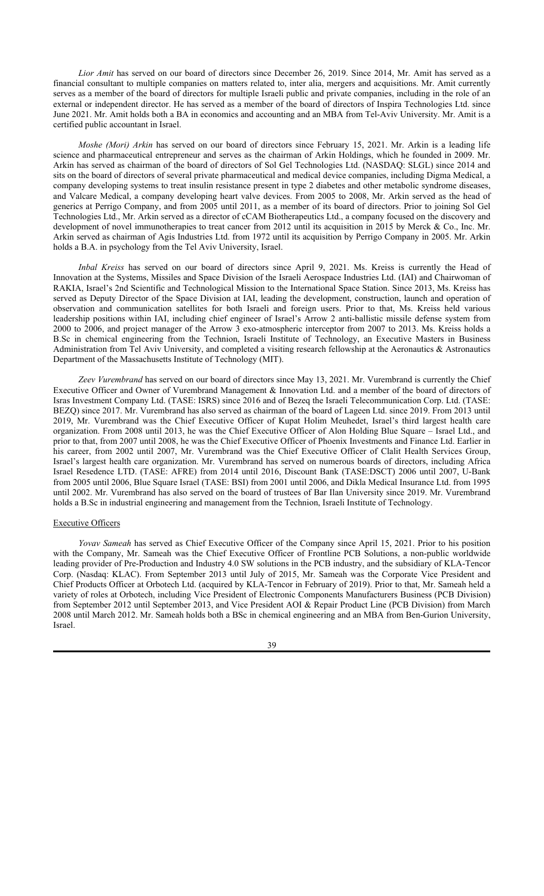Lior Amit has served on our board of directors since December 26, 2019. Since 2014, Mr. Amit has served as a financial consultant to multiple companies on matters related to, inter alia, mergers and acquisitions. Mr. Amit currently serves as a member of the board of directors for multiple Israeli public and private companies, including in the role of an external or independent director. He has served as a member of the board of directors of Inspira Technologies Ltd. since June 2021. Mr. Amit holds both a BA in economics and accounting and an MBA from Tel-Aviv University. Mr. Amit is a certified public accountant in Israel.

*Moshe (Mori) Arkin* has served on our board of directors since February 15, 2021. Mr. Arkin is a leading life science and pharmaceutical entrepreneur and serves as the chairman of Arkin Holdings, which he founded in 2009. Mr. Arkin has served as chairman of the board of directors of Sol Gel Technologies Ltd. (NASDAQ: SLGL) since 2014 and sits on the board of directors of several private pharmaceutical and medical device companies, including Digma Medical, a company developing systems to treat insulin resistance present in type 2 diabetes and other metabolic syndrome diseases, and Valcare Medical, a company developing heart valve devices. From 2005 to 2008, Mr. Arkin served as the head of generics at Perrigo Company, and from 2005 until 2011, as a member of its board of directors. Prior to joining Sol Gel Technologies Ltd., Mr. Arkin served as a director of cCAM Biotherapeutics Ltd., a company focused on the discovery and development of novel immunotherapies to treat cancer from 2012 until its acquisition in 2015 by Merck & Co., Inc. Mr. Arkin served as chairman of Agis Industries Ltd. from 1972 until its acquisition by Perrigo Company in 2005. Mr. Arkin holds a B.A. in psychology from the Tel Aviv University, Israel.

*Inbal Kreiss* has served on our board of directors since April 9, 2021. Ms. Kreiss is currently the Head of Innovation at the Systems, Missiles and Space Division of the Israeli Aerospace Industries Ltd. (IAI) and Chairwoman of RAKIA, Israel's 2nd Scientific and Technological Mission to the International Space Station. Since 2013, Ms. Kreiss has served as Deputy Director of the Space Division at IAI, leading the development, construction, launch and operation of observation and communication satellites for both Israeli and foreign users. Prior to that, Ms. Kreiss held various leadership positions within IAI, including chief engineer of Israel's Arrow 2 anti-ballistic missile defense system from 2000 to 2006, and project manager of the Arrow 3 exo-atmospheric interceptor from 2007 to 2013. Ms. Kreiss holds a B.Sc in chemical engineering from the Technion, Israeli Institute of Technology, an Executive Masters in Business Administration from Tel Aviv University, and completed a visiting research fellowship at the Aeronautics & Astronautics Department of the Massachusetts Institute of Technology (MIT).

*Zeev Vurembrand* has served on our board of directors since May 13, 2021. Mr. Vurembrand is currently the Chief Executive Officer and Owner of Vurembrand Management & Innovation Ltd. and a member of the board of directors of Isras Investment Company Ltd. (TASE: ISRS) since 2016 and of Bezeq the Israeli Telecommunication Corp. Ltd. (TASE: BEZQ) since 2017. Mr. Vurembrand has also served as chairman of the board of Lageen Ltd. since 2019. From 2013 until 2019, Mr. Vurembrand was the Chief Executive Officer of Kupat Holim Meuhedet, Israel's third largest health care organization. From 2008 until 2013, he was the Chief Executive Officer of Alon Holding Blue Square – Israel Ltd., and prior to that, from 2007 until 2008, he was the Chief Executive Officer of Phoenix Investments and Finance Ltd. Earlier in his career, from 2002 until 2007, Mr. Vurembrand was the Chief Executive Officer of Clalit Health Services Group, Israel's largest health care organization. Mr. Vurembrand has served on numerous boards of directors, including Africa Israel Resedence LTD. (TASE: AFRE) from 2014 until 2016, Discount Bank (TASE:DSCT) 2006 until 2007, U-Bank from 2005 until 2006, Blue Square Israel (TASE: BSI) from 2001 until 2006, and Dikla Medical Insurance Ltd. from 1995 until 2002. Mr. Vurembrand has also served on the board of trustees of Bar Ilan University since 2019. Mr. Vurembrand holds a B.Sc in industrial engineering and management from the Technion, Israeli Institute of Technology.

#### Executive Officers

*Yovav Sameah* has served as Chief Executive Officer of the Company since April 15, 2021. Prior to his position with the Company, Mr. Sameah was the Chief Executive Officer of Frontline PCB Solutions, a non-public worldwide leading provider of Pre-Production and Industry 4.0 SW solutions in the PCB industry, and the subsidiary of KLA-Tencor Corp. (Nasdaq: KLAC). From September 2013 until July of 2015, Mr. Sameah was the Corporate Vice President and Chief Products Officer at Orbotech Ltd. (acquired by KLA-Tencor in February of 2019). Prior to that, Mr. Sameah held a variety of roles at Orbotech, including Vice President of Electronic Components Manufacturers Business (PCB Division) from September 2012 until September 2013, and Vice President AOI & Repair Product Line (PCB Division) from March 2008 until March 2012. Mr. Sameah holds both a BSc in chemical engineering and an MBA from Ben-Gurion University, Israel.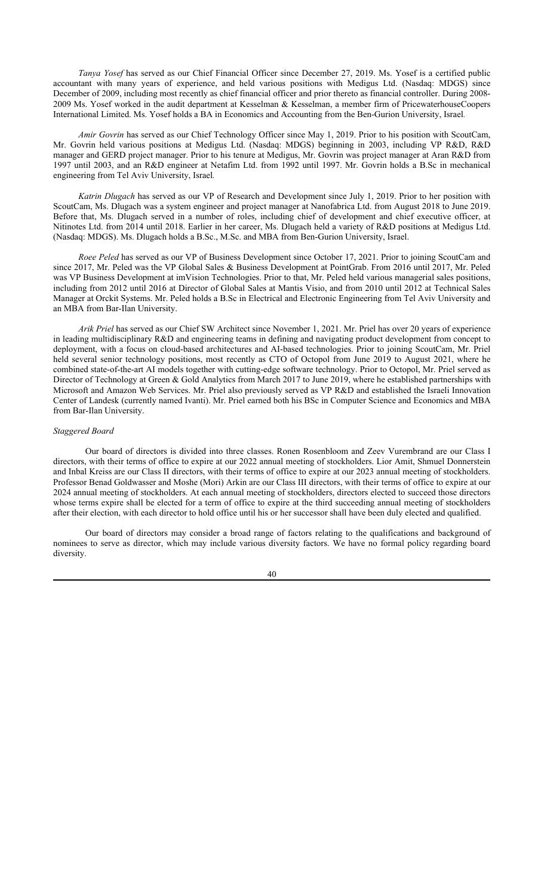*Tanya Yosef* has served as our Chief Financial Officer since December 27, 2019. Ms. Yosef is a certified public accountant with many years of experience, and held various positions with Medigus Ltd. (Nasdaq: MDGS) since December of 2009, including most recently as chief financial officer and prior thereto as financial controller. During 2008- 2009 Ms. Yosef worked in the audit department at Kesselman & Kesselman, a member firm of PricewaterhouseCoopers International Limited. Ms. Yosef holds a BA in Economics and Accounting from the Ben-Gurion University, Israel*.*

*Amir Govrin* has served as our Chief Technology Officer since May 1, 2019. Prior to his position with ScoutCam, Mr. Govrin held various positions at Medigus Ltd. (Nasdaq: MDGS) beginning in 2003, including VP R&D, R&D manager and GERD project manager. Prior to his tenure at Medigus, Mr. Govrin was project manager at Aran R&D from 1997 until 2003, and an R&D engineer at Netafim Ltd. from 1992 until 1997. Mr. Govrin holds a B.Sc in mechanical engineering from Tel Aviv University, Israel*.*

*Katrin Dlugach* has served as our VP of Research and Development since July 1, 2019. Prior to her position with ScoutCam, Ms. Dlugach was a system engineer and project manager at Nanofabrica Ltd. from August 2018 to June 2019. Before that, Ms. Dlugach served in a number of roles, including chief of development and chief executive officer, at Nitinotes Ltd. from 2014 until 2018. Earlier in her career, Ms. Dlugach held a variety of R&D positions at Medigus Ltd. (Nasdaq: MDGS). Ms. Dlugach holds a B.Sc., M.Sc. and MBA from Ben-Gurion University, Israel.

*Roee Peled* has served as our VP of Business Development since October 17, 2021. Prior to joining ScoutCam and since 2017, Mr. Peled was the VP Global Sales & Business Development at PointGrab. From 2016 until 2017, Mr. Peled was VP Business Development at imVision Technologies. Prior to that, Mr. Peled held various managerial sales positions, including from 2012 until 2016 at Director of Global Sales at Mantis Visio, and from 2010 until 2012 at Technical Sales Manager at Orckit Systems. Mr. Peled holds a B.Sc in Electrical and Electronic Engineering from Tel Aviv University and an MBA from Bar-Ilan University.

*Arik Priel* has served as our Chief SW Architect since November 1, 2021. Mr. Priel has over 20 years of experience in leading multidisciplinary R&D and engineering teams in defining and navigating product development from concept to deployment, with a focus on cloud-based architectures and AI-based technologies. Prior to joining ScoutCam, Mr. Priel held several senior technology positions, most recently as CTO of Octopol from June 2019 to August 2021, where he combined state-of-the-art AI models together with cutting-edge software technology. Prior to Octopol, Mr. Priel served as Director of Technology at Green & Gold Analytics from March 2017 to June 2019, where he established partnerships with Microsoft and Amazon Web Services. Mr. Priel also previously served as VP R&D and established the Israeli Innovation Center of Landesk (currently named Ivanti). Mr. Priel earned both his BSc in Computer Science and Economics and MBA from Bar-Ilan University.

#### *Staggered Board*

Our board of directors is divided into three classes. Ronen Rosenbloom and Zeev Vurembrand are our Class I directors, with their terms of office to expire at our 2022 annual meeting of stockholders. Lior Amit, Shmuel Donnerstein and Inbal Kreiss are our Class II directors, with their terms of office to expire at our 2023 annual meeting of stockholders. Professor Benad Goldwasser and Moshe (Mori) Arkin are our Class III directors, with their terms of office to expire at our 2024 annual meeting of stockholders. At each annual meeting of stockholders, directors elected to succeed those directors whose terms expire shall be elected for a term of office to expire at the third succeeding annual meeting of stockholders after their election, with each director to hold office until his or her successor shall have been duly elected and qualified.

Our board of directors may consider a broad range of factors relating to the qualifications and background of nominees to serve as director, which may include various diversity factors. We have no formal policy regarding board diversity.

40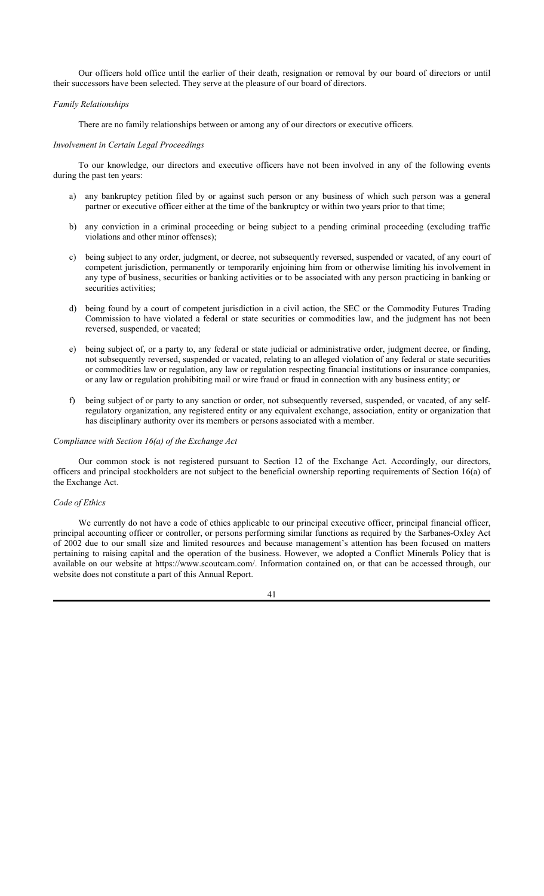Our officers hold office until the earlier of their death, resignation or removal by our board of directors or until their successors have been selected. They serve at the pleasure of our board of directors.

#### *Family Relationships*

There are no family relationships between or among any of our directors or executive officers.

#### *Involvement in Certain Legal Proceedings*

To our knowledge, our directors and executive officers have not been involved in any of the following events during the past ten years:

- a) any bankruptcy petition filed by or against such person or any business of which such person was a general partner or executive officer either at the time of the bankruptcy or within two years prior to that time;
- b) any conviction in a criminal proceeding or being subject to a pending criminal proceeding (excluding traffic violations and other minor offenses);
- c) being subject to any order, judgment, or decree, not subsequently reversed, suspended or vacated, of any court of competent jurisdiction, permanently or temporarily enjoining him from or otherwise limiting his involvement in any type of business, securities or banking activities or to be associated with any person practicing in banking or securities activities;
- d) being found by a court of competent jurisdiction in a civil action, the SEC or the Commodity Futures Trading Commission to have violated a federal or state securities or commodities law, and the judgment has not been reversed, suspended, or vacated;
- e) being subject of, or a party to, any federal or state judicial or administrative order, judgment decree, or finding, not subsequently reversed, suspended or vacated, relating to an alleged violation of any federal or state securities or commodities law or regulation, any law or regulation respecting financial institutions or insurance companies, or any law or regulation prohibiting mail or wire fraud or fraud in connection with any business entity; or
- f) being subject of or party to any sanction or order, not subsequently reversed, suspended, or vacated, of any selfregulatory organization, any registered entity or any equivalent exchange, association, entity or organization that has disciplinary authority over its members or persons associated with a member.

#### *Compliance with Section 16(a) of the Exchange Act*

Our common stock is not registered pursuant to Section 12 of the Exchange Act. Accordingly, our directors, officers and principal stockholders are not subject to the beneficial ownership reporting requirements of Section 16(a) of the Exchange Act.

#### *Code of Ethics*

We currently do not have a code of ethics applicable to our principal executive officer, principal financial officer, principal accounting officer or controller, or persons performing similar functions as required by the Sarbanes-Oxley Act of 2002 due to our small size and limited resources and because management's attention has been focused on matters pertaining to raising capital and the operation of the business. However, we adopted a Conflict Minerals Policy that is available on our website at https://www.scoutcam.com/. Information contained on, or that can be accessed through, our website does not constitute a part of this Annual Report.

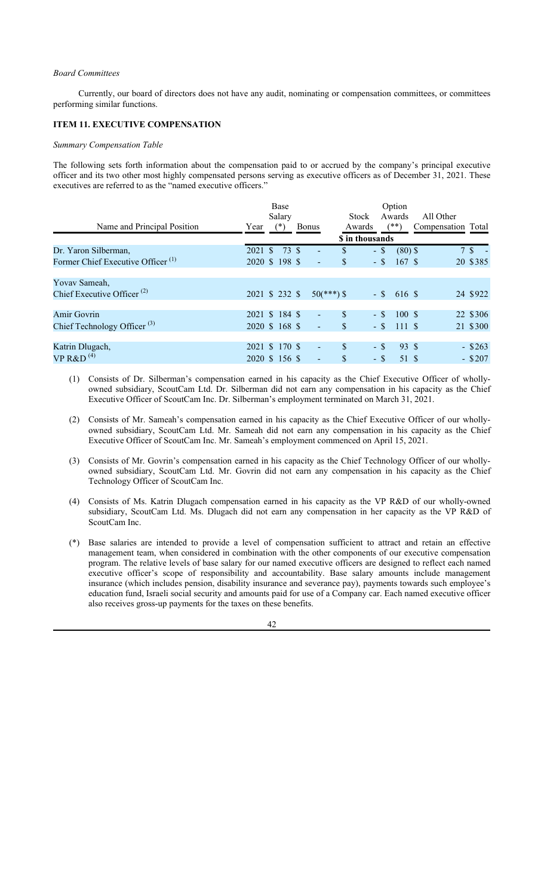#### *Board Committees*

Currently, our board of directors does not have any audit, nominating or compensation committees, or committees performing similar functions.

#### **ITEM 11. EXECUTIVE COMPENSATION**

#### *Summary Compensation Table*

The following sets forth information about the compensation paid to or accrued by the company's principal executive officer and its two other most highly compensated persons serving as executive officers as of December 31, 2021. These executives are referred to as the "named executive officers."

| Name and Principal Position                   | Year           | Base<br>Salary<br>$(*)$ | Bonus                    |               | Stock<br>Awards       |        | Option<br>Awards<br>$(**)$ | All Other<br>Compensation Total |           |
|-----------------------------------------------|----------------|-------------------------|--------------------------|---------------|-----------------------|--------|----------------------------|---------------------------------|-----------|
|                                               |                |                         |                          |               | <b>S</b> in thousands |        |                            |                                 |           |
| Dr. Yaron Silberman,                          | 2021 \$        | 73 \$                   | $\blacksquare$           | \$.           |                       | - \$   | $(80)$ \$                  | 7 <sup>°</sup>                  |           |
| Former Chief Executive Officer <sup>(1)</sup> | 2020 \$ 198 \$ |                         |                          | <sup>\$</sup> |                       | $-$ \$ | 167 \$                     |                                 | 20 \$385  |
|                                               |                |                         |                          |               |                       |        |                            |                                 |           |
| Yovav Sameah,                                 |                |                         |                          |               |                       |        |                            |                                 |           |
| Chief Executive Officer <sup>(2)</sup>        | 2021 \$ 232 \$ |                         | $50$ (***) \$            |               |                       |        | $-$ \$ 616 \$              |                                 | 24 \$922  |
|                                               |                |                         |                          |               |                       |        |                            |                                 |           |
| Amir Govrin                                   | 2021 \$ 184 \$ |                         | $\overline{\phantom{a}}$ | \$.           |                       | $-$ S  | 100S                       |                                 | 22 \$306  |
| Chief Technology Officer <sup>(3)</sup>       | 2020 \$ 168 \$ |                         | $\blacksquare$           | $\mathcal{S}$ |                       |        | $-S$ 111 \$                |                                 | 21 \$300  |
|                                               |                |                         |                          |               |                       |        |                            |                                 |           |
| Katrin Dlugach,                               | 2021 \$ 170 \$ |                         | $\blacksquare$           | $\mathbb{S}$  |                       | - \$   | 93 \$                      |                                 | $-$ \$263 |
| $VP$ R&D <sup><math>(4)</math></sup>          | 2020 \$ 156 \$ |                         |                          | $\mathcal{S}$ |                       | - \$   | 51 \$                      |                                 | $-$ \$207 |

- (1) Consists of Dr. Silberman's compensation earned in his capacity as the Chief Executive Officer of whollyowned subsidiary, ScoutCam Ltd. Dr. Silberman did not earn any compensation in his capacity as the Chief Executive Officer of ScoutCam Inc. Dr. Silberman's employment terminated on March 31, 2021.
- (2) Consists of Mr. Sameah's compensation earned in his capacity as the Chief Executive Officer of our whollyowned subsidiary, ScoutCam Ltd. Mr. Sameah did not earn any compensation in his capacity as the Chief Executive Officer of ScoutCam Inc. Mr. Sameah's employment commenced on April 15, 2021.
- (3) Consists of Mr. Govrin's compensation earned in his capacity as the Chief Technology Officer of our whollyowned subsidiary, ScoutCam Ltd. Mr. Govrin did not earn any compensation in his capacity as the Chief Technology Officer of ScoutCam Inc.
- (4) Consists of Ms. Katrin Dlugach compensation earned in his capacity as the VP R&D of our wholly-owned subsidiary, ScoutCam Ltd. Ms. Dlugach did not earn any compensation in her capacity as the VP R&D of ScoutCam Inc.
- (\*) Base salaries are intended to provide a level of compensation sufficient to attract and retain an effective management team, when considered in combination with the other components of our executive compensation program. The relative levels of base salary for our named executive officers are designed to reflect each named executive officer's scope of responsibility and accountability. Base salary amounts include management insurance (which includes pension, disability insurance and severance pay), payments towards such employee's education fund, Israeli social security and amounts paid for use of a Company car. Each named executive officer also receives gross-up payments for the taxes on these benefits.

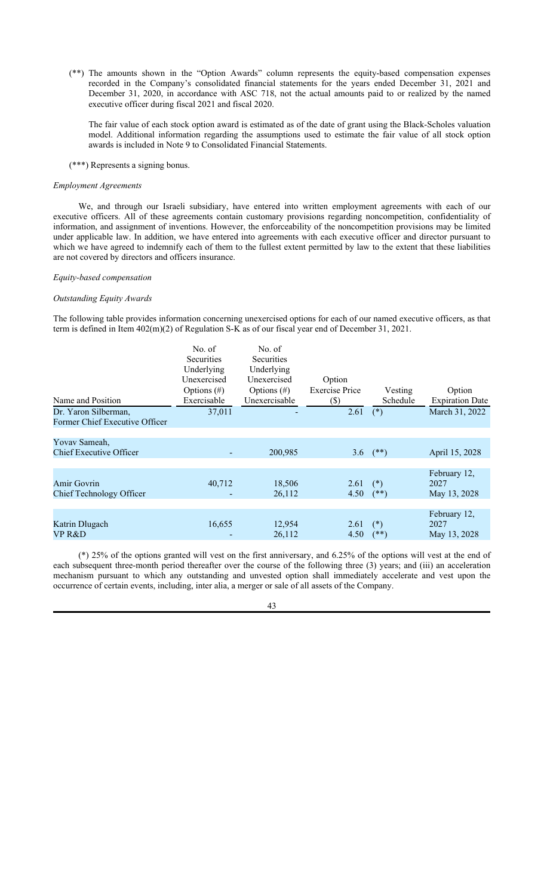(\*\*) The amounts shown in the "Option Awards" column represents the equity-based compensation expenses recorded in the Company's consolidated financial statements for the years ended December 31, 2021 and December 31, 2020, in accordance with ASC 718, not the actual amounts paid to or realized by the named executive officer during fiscal 2021 and fiscal 2020.

The fair value of each stock option award is estimated as of the date of grant using the Black-Scholes valuation model. Additional information regarding the assumptions used to estimate the fair value of all stock option awards is included in Note 9 to Consolidated Financial Statements.

(\*\*\*) Represents a signing bonus.

#### *Employment Agreements*

We, and through our Israeli subsidiary, have entered into written employment agreements with each of our executive officers. All of these agreements contain customary provisions regarding noncompetition, confidentiality of information, and assignment of inventions. However, the enforceability of the noncompetition provisions may be limited under applicable law. In addition, we have entered into agreements with each executive officer and director pursuant to which we have agreed to indemnify each of them to the fullest extent permitted by law to the extent that these liabilities are not covered by directors and officers insurance.

#### *Equity-based compensation*

#### *Outstanding Equity Awards*

The following table provides information concerning unexercised options for each of our named executive officers, as that term is defined in Item 402(m)(2) of Regulation S-K as of our fiscal year end of December 31, 2021.

| Name and Position                                      | No. of<br><b>Securities</b><br>Underlying<br>Unexercised<br>Options $(\#)$<br>Exercisable | No. of<br><b>Securities</b><br>Underlying<br>Unexercised<br>Options $(\#)$<br>Unexercisable | Option<br><b>Exercise Price</b><br>$(\$)$ | Vesting<br>Schedule | Option<br><b>Expiration Date</b>     |
|--------------------------------------------------------|-------------------------------------------------------------------------------------------|---------------------------------------------------------------------------------------------|-------------------------------------------|---------------------|--------------------------------------|
| Dr. Yaron Silberman,<br>Former Chief Executive Officer | 37,011                                                                                    |                                                                                             | 2.61                                      | $(*)$               | March 31, 2022                       |
| Yovav Sameah,<br>Chief Executive Officer               |                                                                                           | 200,985                                                                                     | 3.6                                       | $(**)$              | April 15, 2028                       |
| Amir Govrin<br>Chief Technology Officer                | 40,712                                                                                    | 18,506<br>26,112                                                                            | 2.61<br>4.50                              | $(*)$<br>$(**)$     | February 12,<br>2027<br>May 13, 2028 |
| Katrin Dlugach<br>VP R&D                               | 16,655                                                                                    | 12,954<br>26,112                                                                            | 2.61<br>4.50                              | $(*)$<br>(**)       | February 12,<br>2027<br>May 13, 2028 |

(\*) 25% of the options granted will vest on the first anniversary, and 6.25% of the options will vest at the end of each subsequent three-month period thereafter over the course of the following three (3) years; and (iii) an acceleration mechanism pursuant to which any outstanding and unvested option shall immediately accelerate and vest upon the occurrence of certain events, including, inter alia, a merger or sale of all assets of the Company.

43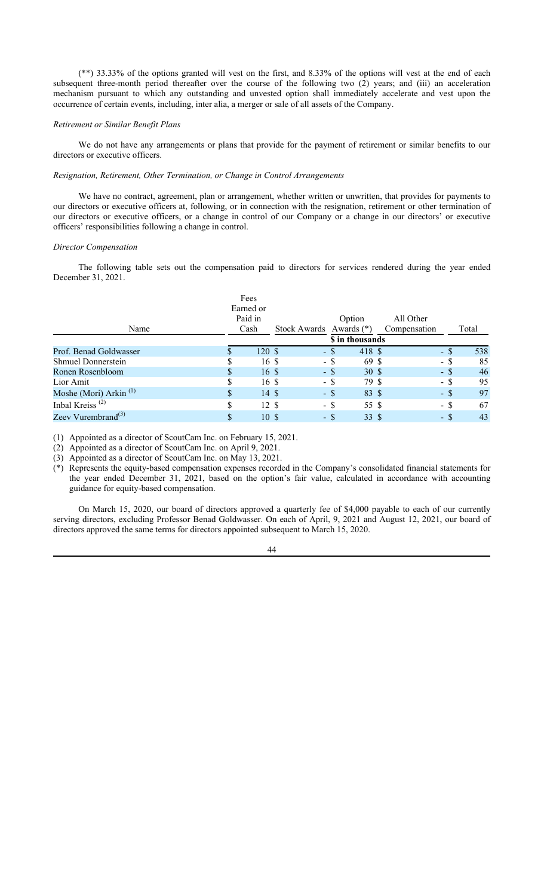(\*\*) 33.33% of the options granted will vest on the first, and 8.33% of the options will vest at the end of each subsequent three-month period thereafter over the course of the following two (2) years; and (iii) an acceleration mechanism pursuant to which any outstanding and unvested option shall immediately accelerate and vest upon the occurrence of certain events, including, inter alia, a merger or sale of all assets of the Company.

#### *Retirement or Similar Benefit Plans*

We do not have any arrangements or plans that provide for the payment of retirement or similar benefits to our directors or executive officers.

#### *Resignation, Retirement, Other Termination, or Change in Control Arrangements*

We have no contract, agreement, plan or arrangement, whether written or unwritten, that provides for payments to our directors or executive officers at, following, or in connection with the resignation, retirement or other termination of our directors or executive officers, or a change in control of our Company or a change in our directors' or executive officers' responsibilities following a change in control.

#### *Director Compensation*

The following table sets out the compensation paid to directors for services rendered during the year ended December 31, 2021.

| Name                                     |    | Fees<br>Earned or<br>Paid in<br>Cash | Stock Awards Awards (*) |       | Option          | All Other<br>Compensation |      | Total |
|------------------------------------------|----|--------------------------------------|-------------------------|-------|-----------------|---------------------------|------|-------|
|                                          |    |                                      |                         |       | \$ in thousands |                           |      |       |
| Prof. Benad Goldwasser                   |    | 120S                                 |                         | - S   | 418 \$          |                           | - \$ | 538   |
| Shmuel Donnerstein                       | S  | 16 \$                                |                         | - \$  | 69 \$           |                           | - \$ | 85    |
| Ronen Rosenbloom                         | \$ | $16 \text{ }$ \$                     |                         | $-$ S | 30 <sup>°</sup> |                           | - \$ | 46    |
| Lior Amit                                | \$ | 16 \$                                |                         | - \$  | 79 \$           |                           | - \$ | 95    |
| Moshe (Mori) Arkin $^{(1)}$              | \$ | 14S                                  |                         | $-$ S | 83 \$           |                           | - \$ | 97    |
| Inbal Kreiss <sup><math>(2)</math></sup> | \$ | 12S                                  |                         | - \$  | 55 \$           |                           | - \$ | 67    |
| Zeev Vurembrand $^{(3)}$                 | \$ | 10S                                  |                         | - \$  | 33 \$           |                           | - \$ | 43    |
|                                          |    |                                      |                         |       |                 |                           |      |       |

(1) Appointed as a director of ScoutCam Inc. on February 15, 2021.

(2) Appointed as a director of ScoutCam Inc. on April 9, 2021.

(3) Appointed as a director of ScoutCam Inc. on May 13, 2021.

(\*) Represents the equity-based compensation expenses recorded in the Company's consolidated financial statements for the year ended December 31, 2021, based on the option's fair value, calculated in accordance with accounting guidance for equity-based compensation.

On March 15, 2020, our board of directors approved a quarterly fee of \$4,000 payable to each of our currently serving directors, excluding Professor Benad Goldwasser. On each of April, 9, 2021 and August 12, 2021, our board of directors approved the same terms for directors appointed subsequent to March 15, 2020.

44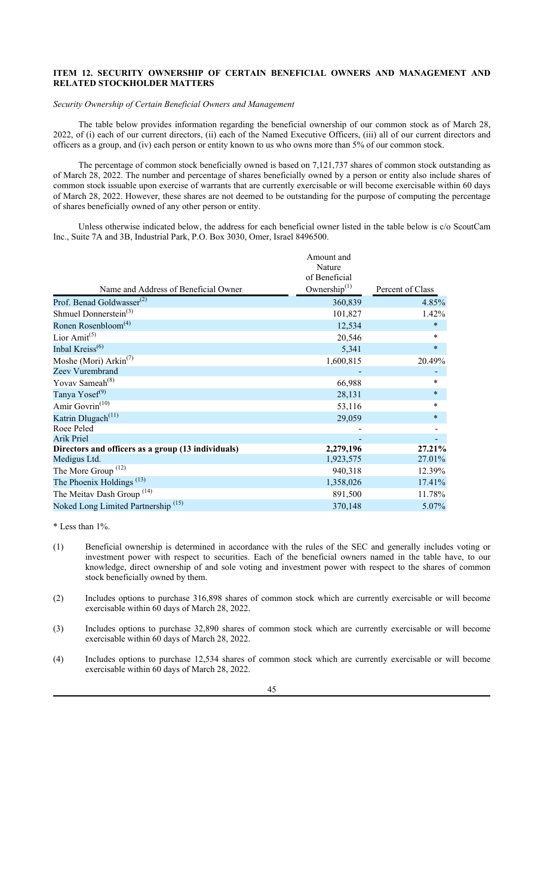# **ITEM 12. SECURITY OWNERSHIP OF CERTAIN BENEFICIAL OWNERS AND MANAGEMENT AND RELATED STOCKHOLDER MATTERS**

# *Security Ownership of Certain Beneficial Owners and Management*

The table below provides information regarding the beneficial ownership of our common stock as of March 28, 2022, of (i) each of our current directors, (ii) each of the Named Executive Officers, (iii) all of our current directors and officers as a group, and (iv) each person or entity known to us who owns more than 5% of our common stock.

The percentage of common stock beneficially owned is based on 7,121,737 shares of common stock outstanding as of March 28, 2022. The number and percentage of shares beneficially owned by a person or entity also include shares of common stock issuable upon exercise of warrants that are currently exercisable or will become exercisable within 60 days of March 28, 2022. However, these shares are not deemed to be outstanding for the purpose of computing the percentage of shares beneficially owned of any other person or entity.

Unless otherwise indicated below, the address for each beneficial owner listed in the table below is c/o ScoutCam Inc., Suite 7A and 3B, Industrial Park, P.O. Box 3030, Omer, Israel 8496500.

|                                                    | Amount and<br>Nature |                  |
|----------------------------------------------------|----------------------|------------------|
|                                                    | of Beneficial        |                  |
| Name and Address of Beneficial Owner               | Ownership $^{(1)}$   | Percent of Class |
| Prof. Benad Goldwasser <sup>(2)</sup>              | 360,839              | 4.85%            |
| Shmuel Donnerstein <sup>(3)</sup>                  | 101,827              | 1.42%            |
| Ronen Rosenbloom <sup>(4)</sup>                    | 12,534               | $\ast$           |
| Lior $\text{Amit}^{(5)}$                           | 20,546               | *                |
| Inbal Kreiss <sup>(6)</sup>                        | 5,341                | $\ast$           |
| Moshe (Mori) $Arkin^{(7)}$                         | 1,600,815            | 20.49%           |
| Zeev Vurembrand                                    |                      |                  |
| Yovav Sameah <sup>(8)</sup>                        | 66,988               | *                |
| Tanya Yosef <sup>(9)</sup>                         | 28,131               | $\ast$           |
| Amir Govrin <sup>(10)</sup>                        | 53,116               | *                |
| Katrin Dlugach <sup>(11)</sup>                     | 29,059               | $\ast$           |
| Roee Peled                                         |                      |                  |
| <b>Arik Priel</b>                                  |                      |                  |
| Directors and officers as a group (13 individuals) | 2,279,196            | 27.21%           |
| Medigus Ltd.                                       | 1,923,575            | 27.01%           |
| The More Group <sup>(12)</sup>                     | 940,318              | 12.39%           |
| The Phoenix Holdings <sup>(13)</sup>               | 1,358,026            | 17.41%           |
| The Meitav Dash Group <sup>(14)</sup>              | 891,500              | 11.78%           |
| Noked Long Limited Partnership <sup>(15)</sup>     | 370,148              | 5.07%            |

\* Less than 1%.

- (1) Beneficial ownership is determined in accordance with the rules of the SEC and generally includes voting or investment power with respect to securities. Each of the beneficial owners named in the table have, to our knowledge, direct ownership of and sole voting and investment power with respect to the shares of common stock beneficially owned by them.
- (2) Includes options to purchase 316,898 shares of common stock which are currently exercisable or will become exercisable within 60 days of March 28, 2022.
- (3) Includes options to purchase 32,890 shares of common stock which are currently exercisable or will become exercisable within 60 days of March 28, 2022.
- (4) Includes options to purchase 12,534 shares of common stock which are currently exercisable or will become exercisable within 60 days of March 28, 2022.

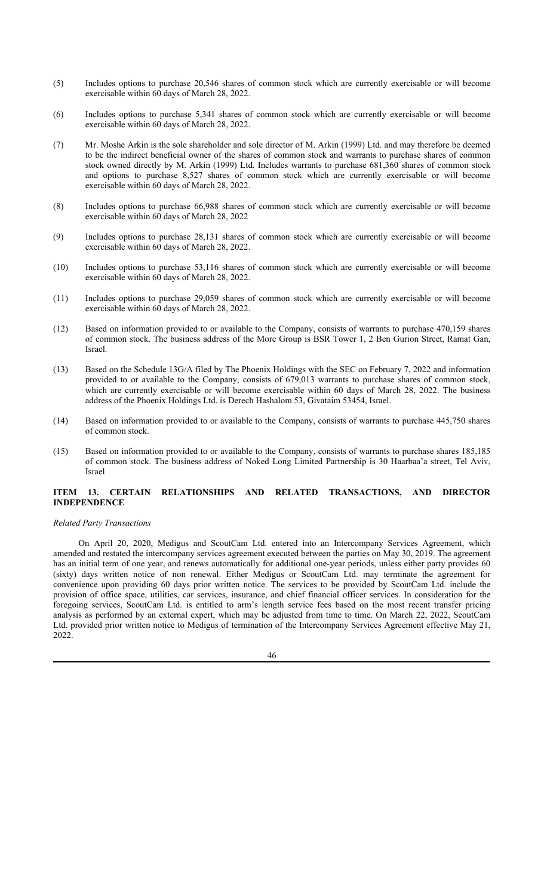- (5) Includes options to purchase 20,546 shares of common stock which are currently exercisable or will become exercisable within 60 days of March 28, 2022.
- (6) Includes options to purchase 5,341 shares of common stock which are currently exercisable or will become exercisable within 60 days of March 28, 2022.
- (7) Mr. Moshe Arkin is the sole shareholder and sole director of M. Arkin (1999) Ltd. and may therefore be deemed to be the indirect beneficial owner of the shares of common stock and warrants to purchase shares of common stock owned directly by M. Arkin (1999) Ltd. Includes warrants to purchase 681,360 shares of common stock and options to purchase 8,527 shares of common stock which are currently exercisable or will become exercisable within 60 days of March 28, 2022.
- (8) Includes options to purchase 66,988 shares of common stock which are currently exercisable or will become exercisable within 60 days of March 28, 2022
- (9) Includes options to purchase 28,131 shares of common stock which are currently exercisable or will become exercisable within 60 days of March 28, 2022.
- (10) Includes options to purchase 53,116 shares of common stock which are currently exercisable or will become exercisable within 60 days of March 28, 2022.
- (11) Includes options to purchase 29,059 shares of common stock which are currently exercisable or will become exercisable within 60 days of March 28, 2022.
- (12) Based on information provided to or available to the Company, consists of warrants to purchase 470,159 shares of common stock. The business address of the More Group is BSR Tower 1, 2 Ben Gurion Street, Ramat Gan, Israel.
- (13) Based on the Schedule 13G/A filed by The Phoenix Holdings with the SEC on February 7, 2022 and information provided to or available to the Company, consists of 679,013 warrants to purchase shares of common stock, which are currently exercisable or will become exercisable within 60 days of March 28, 2022. The business address of the Phoenix Holdings Ltd. is Derech Hashalom 53, Givataim 53454, Israel.
- (14) Based on information provided to or available to the Company, consists of warrants to purchase 445,750 shares of common stock.
- (15) Based on information provided to or available to the Company, consists of warrants to purchase shares 185,185 of common stock. The business address of Noked Long Limited Partnership is 30 Haarbaa'a street, Tel Aviv, Israel

# **ITEM 13. CERTAIN RELATIONSHIPS AND RELATED TRANSACTIONS, AND DIRECTOR INDEPENDENCE**

#### *Related Party Transactions*

On April 20, 2020, Medigus and ScoutCam Ltd. entered into an Intercompany Services Agreement, which amended and restated the intercompany services agreement executed between the parties on May 30, 2019. The agreement has an initial term of one year, and renews automatically for additional one-year periods, unless either party provides 60 (sixty) days written notice of non renewal. Either Medigus or ScoutCam Ltd. may terminate the agreement for convenience upon providing 60 days prior written notice. The services to be provided by ScoutCam Ltd. include the provision of office space, utilities, car services, insurance, and chief financial officer services. In consideration for the foregoing services, ScoutCam Ltd. is entitled to arm's length service fees based on the most recent transfer pricing analysis as performed by an external expert, which may be adjusted from time to time. On March 22, 2022, ScoutCam Ltd. provided prior written notice to Medigus of termination of the Intercompany Services Agreement effective May 21, 2022.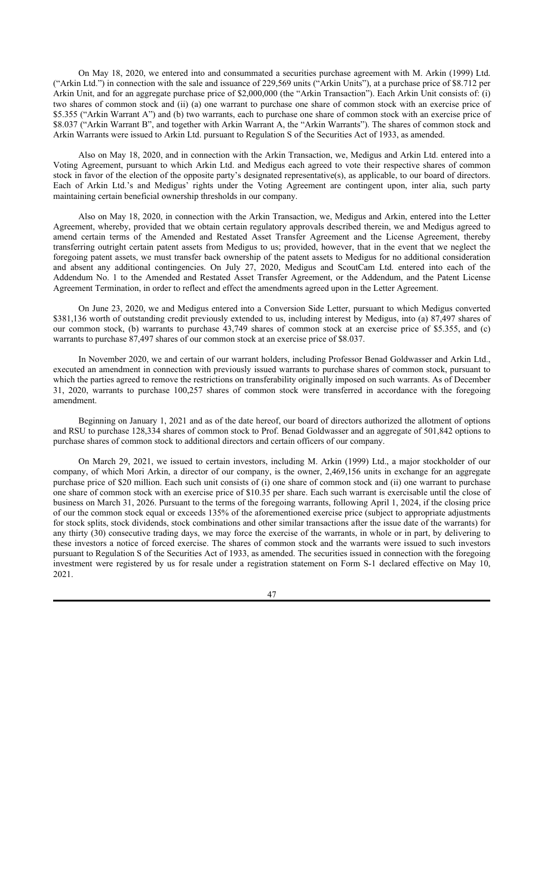On May 18, 2020, we entered into and consummated a securities purchase agreement with M. Arkin (1999) Ltd. ("Arkin Ltd.") in connection with the sale and issuance of 229,569 units ("Arkin Units"), at a purchase price of \$8.712 per Arkin Unit, and for an aggregate purchase price of \$2,000,000 (the "Arkin Transaction"). Each Arkin Unit consists of: (i) two shares of common stock and (ii) (a) one warrant to purchase one share of common stock with an exercise price of \$5.355 ("Arkin Warrant A") and (b) two warrants, each to purchase one share of common stock with an exercise price of \$8.037 ("Arkin Warrant B", and together with Arkin Warrant A, the "Arkin Warrants"). The shares of common stock and Arkin Warrants were issued to Arkin Ltd. pursuant to Regulation S of the Securities Act of 1933, as amended.

Also on May 18, 2020, and in connection with the Arkin Transaction, we, Medigus and Arkin Ltd. entered into a Voting Agreement, pursuant to which Arkin Ltd. and Medigus each agreed to vote their respective shares of common stock in favor of the election of the opposite party's designated representative(s), as applicable, to our board of directors. Each of Arkin Ltd.'s and Medigus' rights under the Voting Agreement are contingent upon, inter alia, such party maintaining certain beneficial ownership thresholds in our company.

Also on May 18, 2020, in connection with the Arkin Transaction, we, Medigus and Arkin, entered into the Letter Agreement, whereby, provided that we obtain certain regulatory approvals described therein, we and Medigus agreed to amend certain terms of the Amended and Restated Asset Transfer Agreement and the License Agreement, thereby transferring outright certain patent assets from Medigus to us; provided, however, that in the event that we neglect the foregoing patent assets, we must transfer back ownership of the patent assets to Medigus for no additional consideration and absent any additional contingencies. On July 27, 2020, Medigus and ScoutCam Ltd. entered into each of the Addendum No. 1 to the Amended and Restated Asset Transfer Agreement, or the Addendum, and the Patent License Agreement Termination, in order to reflect and effect the amendments agreed upon in the Letter Agreement.

On June 23, 2020, we and Medigus entered into a Conversion Side Letter, pursuant to which Medigus converted \$381,136 worth of outstanding credit previously extended to us, including interest by Medigus, into (a) 87,497 shares of our common stock, (b) warrants to purchase 43,749 shares of common stock at an exercise price of \$5.355, and (c) warrants to purchase 87,497 shares of our common stock at an exercise price of \$8.037.

In November 2020, we and certain of our warrant holders, including Professor Benad Goldwasser and Arkin Ltd., executed an amendment in connection with previously issued warrants to purchase shares of common stock, pursuant to which the parties agreed to remove the restrictions on transferability originally imposed on such warrants. As of December 31, 2020, warrants to purchase 100,257 shares of common stock were transferred in accordance with the foregoing amendment.

Beginning on January 1, 2021 and as of the date hereof, our board of directors authorized the allotment of options and RSU to purchase 128,334 shares of common stock to Prof. Benad Goldwasser and an aggregate of 501,842 options to purchase shares of common stock to additional directors and certain officers of our company.

On March 29, 2021, we issued to certain investors, including M. Arkin (1999) Ltd., a major stockholder of our company, of which Mori Arkin, a director of our company, is the owner, 2,469,156 units in exchange for an aggregate purchase price of \$20 million. Each such unit consists of (i) one share of common stock and (ii) one warrant to purchase one share of common stock with an exercise price of \$10.35 per share. Each such warrant is exercisable until the close of business on March 31, 2026. Pursuant to the terms of the foregoing warrants, following April 1, 2024, if the closing price of our the common stock equal or exceeds 135% of the aforementioned exercise price (subject to appropriate adjustments for stock splits, stock dividends, stock combinations and other similar transactions after the issue date of the warrants) for any thirty (30) consecutive trading days, we may force the exercise of the warrants, in whole or in part, by delivering to these investors a notice of forced exercise. The shares of common stock and the warrants were issued to such investors pursuant to Regulation S of the Securities Act of 1933, as amended. The securities issued in connection with the foregoing investment were registered by us for resale under a registration statement on Form S-1 declared effective on May 10, 2021.

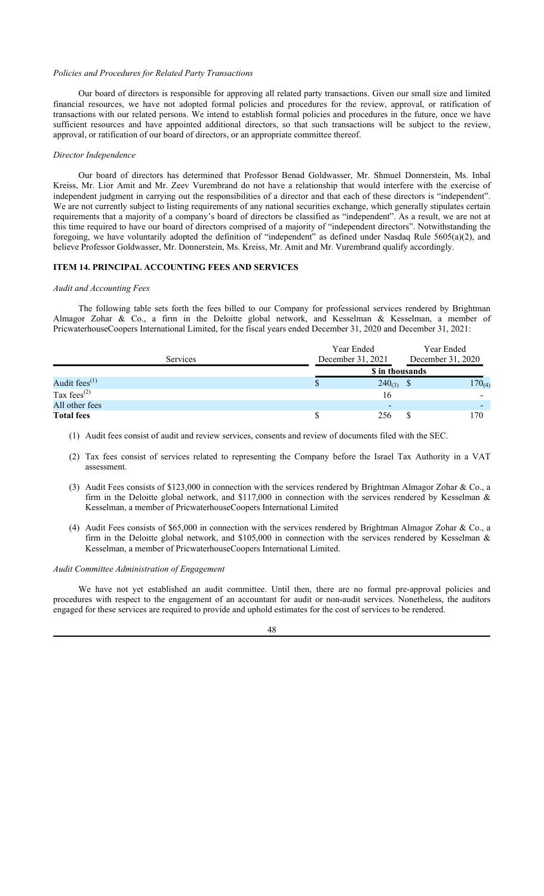#### *Policies and Procedures for Related Party Transactions*

Our board of directors is responsible for approving all related party transactions. Given our small size and limited financial resources, we have not adopted formal policies and procedures for the review, approval, or ratification of transactions with our related persons. We intend to establish formal policies and procedures in the future, once we have sufficient resources and have appointed additional directors, so that such transactions will be subject to the review, approval, or ratification of our board of directors, or an appropriate committee thereof.

#### *Director Independence*

Our board of directors has determined that Professor Benad Goldwasser, Mr. Shmuel Donnerstein, Ms. Inbal Kreiss, Mr. Lior Amit and Mr. Zeev Vurembrand do not have a relationship that would interfere with the exercise of independent judgment in carrying out the responsibilities of a director and that each of these directors is "independent". We are not currently subject to listing requirements of any national securities exchange, which generally stipulates certain requirements that a majority of a company's board of directors be classified as "independent". As a result, we are not at this time required to have our board of directors comprised of a majority of "independent directors". Notwithstanding the foregoing, we have voluntarily adopted the definition of "independent" as defined under Nasdaq Rule 5605(a)(2), and believe Professor Goldwasser, Mr. Donnerstein, Ms. Kreiss, Mr. Amit and Mr. Vurembrand qualify accordingly.

# **ITEM 14. PRINCIPAL ACCOUNTING FEES AND SERVICES**

#### *Audit and Accounting Fees*

The following table sets forth the fees billed to our Company for professional services rendered by Brightman Almagor Zohar & Co., a firm in the Deloitte global network, and Kesselman & Kesselman, a member of PricwaterhouseCoopers International Limited, for the fiscal years ended December 31, 2020 and December 31, 2021:

| Services            | Year Ended<br>December 31, 2021 |  |                   |
|---------------------|---------------------------------|--|-------------------|
|                     | \$ in thousands                 |  | December 31, 2020 |
| Audit fees $^{(1)}$ | $240_{(3)}$ \$                  |  | $170_{(4)}$       |
| Tax fees $^{(2)}$   | 16                              |  |                   |
| All other fees      | ٠                               |  |                   |
| <b>Total fees</b>   | 256                             |  | 170               |

(1) Audit fees consist of audit and review services, consents and review of documents filed with the SEC.

- (2) Tax fees consist of services related to representing the Company before the Israel Tax Authority in a VAT assessment.
- (3) Audit Fees consists of \$123,000 in connection with the services rendered by Brightman Almagor Zohar & Co., a firm in the Deloitte global network, and \$117,000 in connection with the services rendered by Kesselman & Kesselman, a member of PricwaterhouseCoopers International Limited
- (4) Audit Fees consists of \$65,000 in connection with the services rendered by Brightman Almagor Zohar & Co., a firm in the Deloitte global network, and \$105,000 in connection with the services rendered by Kesselman & Kesselman, a member of PricwaterhouseCoopers International Limited.

#### *Audit Committee Administration of Engagement*

We have not yet established an audit committee. Until then, there are no formal pre-approval policies and procedures with respect to the engagement of an accountant for audit or non-audit services. Nonetheless, the auditors engaged for these services are required to provide and uphold estimates for the cost of services to be rendered.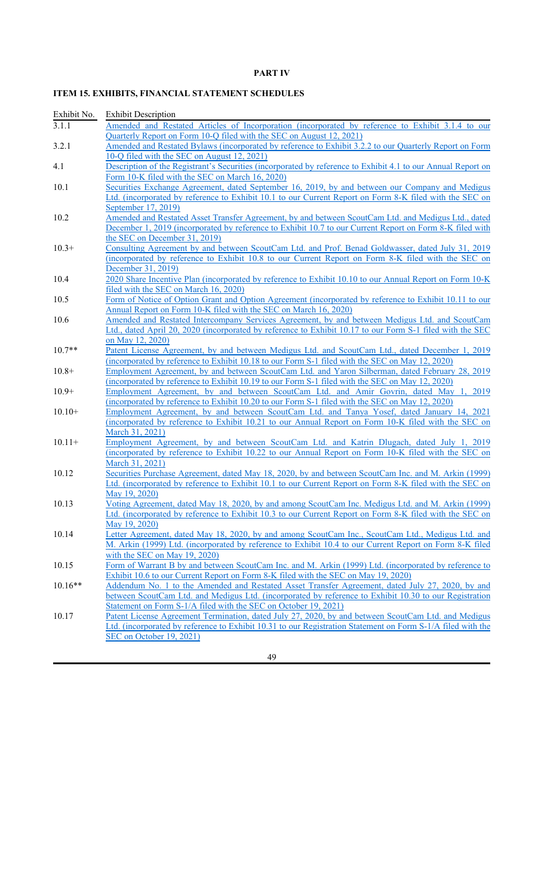# **PART IV**

# **ITEM 15. EXHIBITS, FINANCIAL STATEMENT SCHEDULES**

| Exhibit No. | <b>Exhibit Description</b>                                                                                                                                                                                 |
|-------------|------------------------------------------------------------------------------------------------------------------------------------------------------------------------------------------------------------|
| 3.1.1       | Amended and Restated Articles of Incorporation (incorporated by reference to Exhibit 3.1.4 to our                                                                                                          |
|             | Quarterly Report on Form 10-Q filed with the SEC on August 12, 2021)                                                                                                                                       |
| 3.2.1       | Amended and Restated Bylaws (incorporated by reference to Exhibit 3.2.2 to our Quarterly Report on Form                                                                                                    |
|             | 10-Q filed with the SEC on August 12, 2021)                                                                                                                                                                |
| 4.1         | Description of the Registrant's Securities (incorporated by reference to Exhibit 4.1 to our Annual Report on                                                                                               |
|             | Form 10-K filed with the SEC on March 16, 2020)                                                                                                                                                            |
| 10.1        | Securities Exchange Agreement, dated September 16, 2019, by and between our Company and Medigus                                                                                                            |
|             | Ltd. (incorporated by reference to Exhibit 10.1 to our Current Report on Form 8-K filed with the SEC on                                                                                                    |
|             | September 17, 2019)                                                                                                                                                                                        |
| 10.2        | Amended and Restated Asset Transfer Agreement, by and between ScoutCam Ltd. and Medigus Ltd., dated                                                                                                        |
|             | December 1, 2019 (incorporated by reference to Exhibit 10.7 to our Current Report on Form 8-K filed with                                                                                                   |
| $10.3+$     | the SEC on December 31, 2019)<br>Consulting Agreement by and between ScoutCam Ltd. and Prof. Benad Goldwasser, dated July 31, 2019                                                                         |
|             | (incorporated by reference to Exhibit 10.8 to our Current Report on Form 8-K filed with the SEC on                                                                                                         |
|             | December 31, 2019)                                                                                                                                                                                         |
| 10.4        | 2020 Share Incentive Plan (incorporated by reference to Exhibit 10.10 to our Annual Report on Form 10-K                                                                                                    |
|             | filed with the SEC on March 16, 2020)                                                                                                                                                                      |
| 10.5        | Form of Notice of Option Grant and Option Agreement (incorporated by reference to Exhibit 10.11 to our                                                                                                     |
|             | Annual Report on Form 10-K filed with the SEC on March 16, 2020)                                                                                                                                           |
| 10.6        | Amended and Restated Intercompany Services Agreement, by and between Medigus Ltd. and ScoutCam                                                                                                             |
|             | Ltd., dated April 20, 2020 (incorporated by reference to Exhibit 10.17 to our Form S-1 filed with the SEC                                                                                                  |
|             | on May 12, 2020)                                                                                                                                                                                           |
| $10.7**$    | Patent License Agreement, by and between Medigus Ltd. and ScoutCam Ltd., dated December 1, 2019                                                                                                            |
|             | (incorporated by reference to Exhibit 10.18 to our Form S-1 filed with the SEC on May 12, 2020)                                                                                                            |
| $10.8+$     | Employment Agreement, by and between ScoutCam Ltd. and Yaron Silberman, dated February 28, 2019                                                                                                            |
|             | (incorporated by reference to Exhibit 10.19 to our Form S-1 filed with the SEC on May 12, 2020)                                                                                                            |
| $10.9+$     | Employment Agreement, by and between ScoutCam Ltd. and Amir Govrin, dated May 1, 2019                                                                                                                      |
|             | <u>(incorporated by reference to Exhibit 10.20 to our Form S-1 filed with the SEC on May 12, 2020)</u>                                                                                                     |
| $10.10+$    | Employment Agreement, by and between ScoutCam Ltd. and Tanya Yosef, dated January 14, 2021<br>(incorporated by reference to Exhibit 10.21 to our Annual Report on Form 10-K filed with the SEC on          |
|             | March 31, 2021)                                                                                                                                                                                            |
| $10.11+$    | Employment Agreement, by and between ScoutCam Ltd. and Katrin Dlugach, dated July 1, 2019                                                                                                                  |
|             | (incorporated by reference to Exhibit 10.22 to our Annual Report on Form 10-K filed with the SEC on                                                                                                        |
|             | March 31, 2021)                                                                                                                                                                                            |
| 10.12       | Securities Purchase Agreement, dated May 18, 2020, by and between ScoutCam Inc. and M. Arkin (1999)                                                                                                        |
|             | Ltd. (incorporated by reference to Exhibit 10.1 to our Current Report on Form 8-K filed with the SEC on                                                                                                    |
|             | May 19, 2020)                                                                                                                                                                                              |
| 10.13       | Voting Agreement, dated May 18, 2020, by and among ScoutCam Inc. Medigus Ltd. and M. Arkin (1999)                                                                                                          |
|             | Ltd. (incorporated by reference to Exhibit 10.3 to our Current Report on Form 8-K filed with the SEC on                                                                                                    |
|             | May 19, 2020)                                                                                                                                                                                              |
| 10.14       | Letter Agreement, dated May 18, 2020, by and among ScoutCam Inc., ScoutCam Ltd., Medigus Ltd. and                                                                                                          |
|             | M. Arkin (1999) Ltd. (incorporated by reference to Exhibit 10.4 to our Current Report on Form 8-K filed                                                                                                    |
|             | with the SEC on May 19, 2020)                                                                                                                                                                              |
| 10.15       | Form of Warrant B by and between ScoutCam Inc. and M. Arkin (1999) Ltd. (incorporated by reference to                                                                                                      |
| $10.16**$   | Exhibit 10.6 to our Current Report on Form 8-K filed with the SEC on May 19, 2020)                                                                                                                         |
|             | Addendum No. 1 to the Amended and Restated Asset Transfer Agreement, dated July 27, 2020, by and<br>between ScoutCam Ltd. and Medigus Ltd. (incorporated by reference to Exhibit 10.30 to our Registration |
|             | Statement on Form S-1/A filed with the SEC on October 19, 2021)                                                                                                                                            |
| 10.17       | Patent License Agreement Termination, dated July 27, 2020, by and between ScoutCam Ltd. and Medigus                                                                                                        |
|             | Ltd. (incorporated by reference to Exhibit 10.31 to our Registration Statement on Form S-1/A filed with the                                                                                                |
|             | SEC on October 19, 2021)                                                                                                                                                                                   |
|             |                                                                                                                                                                                                            |
|             | 49                                                                                                                                                                                                         |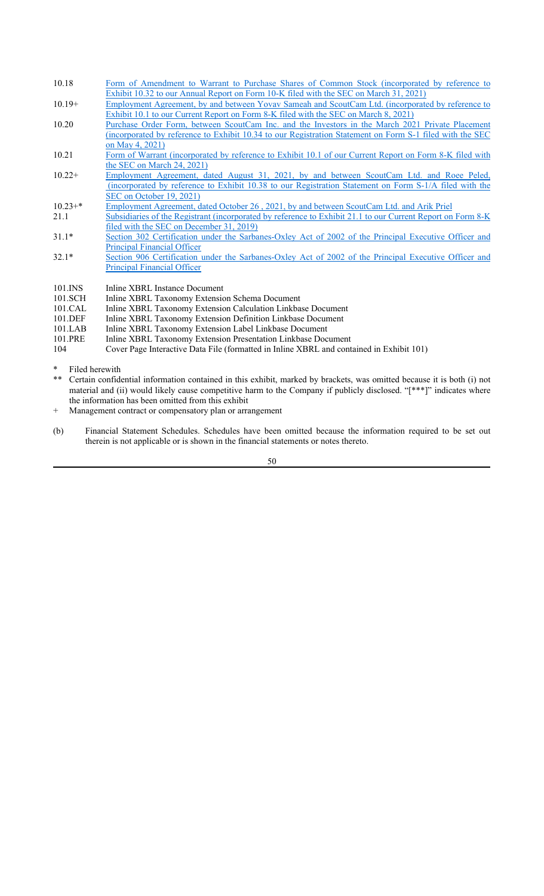- 10.18 Form of Amendment to Warrant to Purchase Shares of Common Stock (incorporated by reference to Exhibit 10.32 to our Annual Report on Form 10-K filed with the SEC on March 31, 2021)
- 10.19+ Employment Agreement, by and between Yovav Sameah and ScoutCam Ltd. (incorporated by reference to Exhibit 10.1 to our Current Report on Form 8-K filed with the SEC on March 8, 2021)
- 10.20 Purchase Order Form, between ScoutCam Inc. and the Investors in the March 2021 Private Placement (incorporated by reference to Exhibit 10.34 to our Registration Statement on Form S-1 filed with the SEC on May 4, 2021)
- 10.21 Form of Warrant (incorporated by reference to Exhibit 10.1 of our Current Report on Form 8-K filed with the SEC on March 24, 2021)
- 10.22+ Employment Agreement, dated August 31, 2021, by and between ScoutCam Ltd. and Roee Peled, (incorporated by reference to Exhibit 10.38 to our Registration Statement on Form S-1/A filed with the SEC on October 19, 2021)
- 10.23+\* Employment Agreement, dated October 26 , 2021, by and between ScoutCam Ltd. and Arik Priel
- 21.1 Subsidiaries of the Registrant (incorporated by reference to Exhibit 21.1 to our Current Report on Form 8-K filed with the SEC on December 31, 2019)
- 31.1\* Section 302 Certification under the Sarbanes-Oxley Act of 2002 of the Principal Executive Officer and Principal Financial Officer
- 32.1\* Section 906 Certification under the Sarbanes-Oxley Act of 2002 of the Principal Executive Officer and Principal Financial Officer
- 101.INS Inline XBRL Instance Document
- 101.SCH Inline XBRL Taxonomy Extension Schema Document<br>101.CAL Inline XBRL Taxonomy Extension Calculation Linkba
- Inline XBRL Taxonomy Extension Calculation Linkbase Document
- 101.DEF Inline XBRL Taxonomy Extension Definition Linkbase Document
- 101.LAB Inline XBRL Taxonomy Extension Label Linkbase Document<br>101.PRE Inline XBRL Taxonomy Extension Presentation Linkbase Doc
- Inline XBRL Taxonomy Extension Presentation Linkbase Document
- 104 Cover Page Interactive Data File (formatted in Inline XBRL and contained in Exhibit 101)

\* Filed herewith

- \*\* Certain confidential information contained in this exhibit, marked by brackets, was omitted because it is both (i) not material and (ii) would likely cause competitive harm to the Company if publicly disclosed. "[\*\*\*]" indicates where the information has been omitted from this exhibit
- + Management contract or compensatory plan or arrangement
- (b) Financial Statement Schedules. Schedules have been omitted because the information required to be set out therein is not applicable or is shown in the financial statements or notes thereto.

50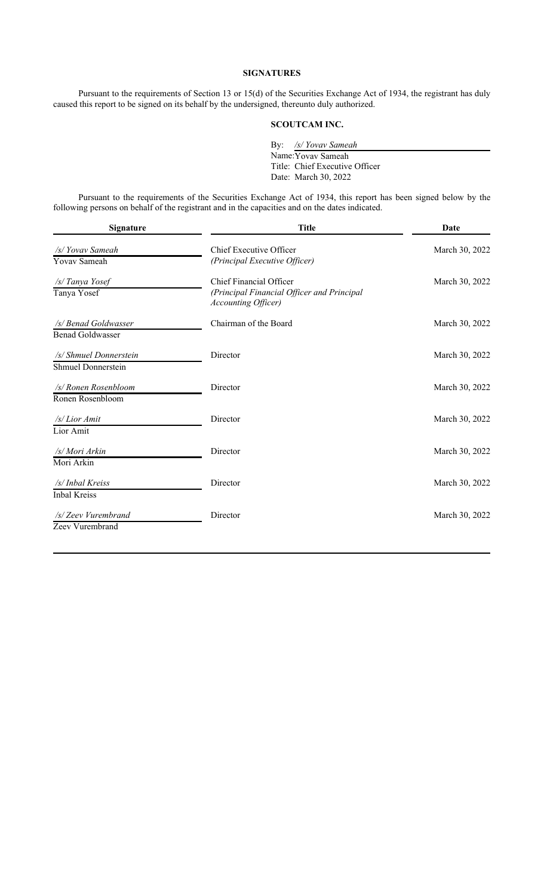# **SIGNATURES**

Pursuant to the requirements of Section 13 or 15(d) of the Securities Exchange Act of 1934, the registrant has duly caused this report to be signed on its behalf by the undersigned, thereunto duly authorized.

# **SCOUTCAM INC.**

By: */s/ Yovav Sameah* Name:Yovav Sameah Title: Chief Executive Officer Date: March 30, 2022

Pursuant to the requirements of the Securities Exchange Act of 1934, this report has been signed below by the following persons on behalf of the registrant and in the capacities and on the dates indicated.

| <b>Signature</b>        | <b>Title</b>                                                              | Date           |
|-------------------------|---------------------------------------------------------------------------|----------------|
| /s/ Yovav Sameah        | Chief Executive Officer                                                   | March 30, 2022 |
| Yovav Sameah            | (Principal Executive Officer)                                             |                |
| /s/ Tanya Yosef         | Chief Financial Officer                                                   | March 30, 2022 |
| Tanya Yosef             | (Principal Financial Officer and Principal<br><b>Accounting Officer</b> ) |                |
| /s/ Benad Goldwasser    | Chairman of the Board                                                     | March 30, 2022 |
| <b>Benad Goldwasser</b> |                                                                           |                |
| /s/ Shmuel Donnerstein  | Director                                                                  | March 30, 2022 |
| Shmuel Donnerstein      |                                                                           |                |
| /s/ Ronen Rosenbloom    | Director                                                                  | March 30, 2022 |
| Ronen Rosenbloom        |                                                                           |                |
| /s/Lior Amit            | Director                                                                  | March 30, 2022 |
| Lior Amit               |                                                                           |                |
| /s/ Mori Arkin          | Director                                                                  | March 30, 2022 |
| Mori Arkin              |                                                                           |                |
| /s/ Inbal Kreiss        | Director                                                                  | March 30, 2022 |
| Inbal Kreiss            |                                                                           |                |
| /s/ Zeev Vurembrand     | Director                                                                  | March 30, 2022 |
| Zeev Vurembrand         |                                                                           |                |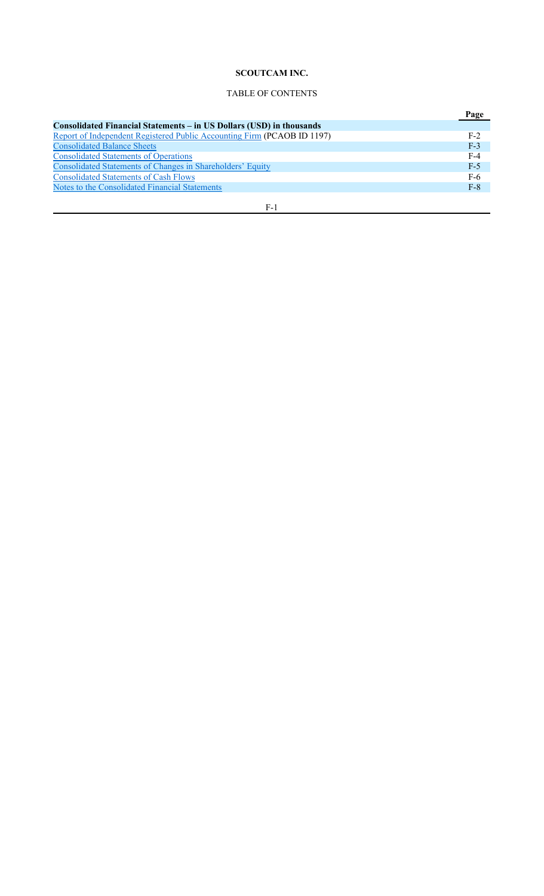# TABLE OF CONTENTS

|                                                                         | Page  |
|-------------------------------------------------------------------------|-------|
| Consolidated Financial Statements – in US Dollars (USD) in thousands    |       |
| Report of Independent Registered Public Accounting Firm (PCAOB ID 1197) | $F-2$ |
| <b>Consolidated Balance Sheets</b>                                      | $F-3$ |
| <b>Consolidated Statements of Operations</b>                            | $F-4$ |
| Consolidated Statements of Changes in Shareholders' Equity              | $F-5$ |
| <b>Consolidated Statements of Cash Flows</b>                            | $F-6$ |
| Notes to the Consolidated Financial Statements                          | $F-8$ |
|                                                                         |       |

| I<br>٠ |  |
|--------|--|
|--------|--|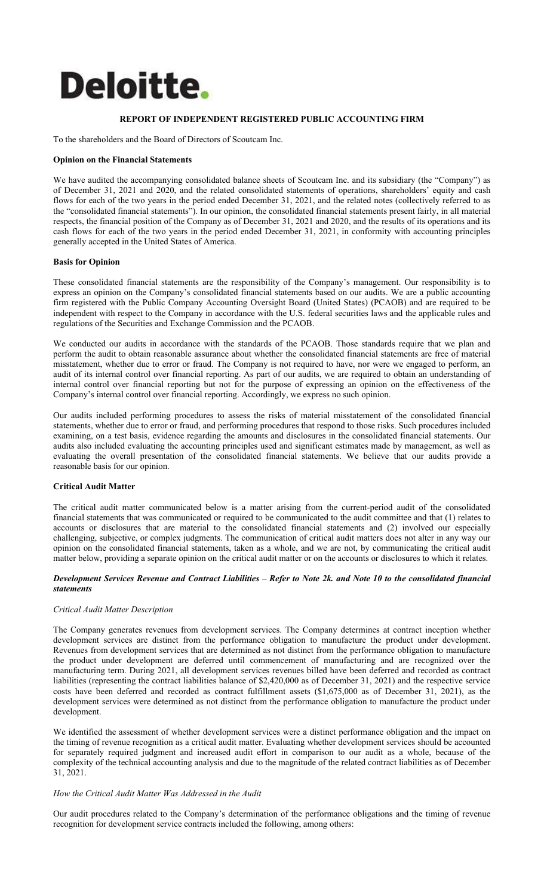# **Deloitte.**

# **REPORT OF INDEPENDENT REGISTERED PUBLIC ACCOUNTING FIRM**

To the shareholders and the Board of Directors of Scoutcam Inc.

#### **Opinion on the Financial Statements**

We have audited the accompanying consolidated balance sheets of Scoutcam Inc. and its subsidiary (the "Company") as of December 31, 2021 and 2020, and the related consolidated statements of operations, shareholders' equity and cash flows for each of the two years in the period ended December 31, 2021, and the related notes (collectively referred to as the "consolidated financial statements"). In our opinion, the consolidated financial statements present fairly, in all material respects, the financial position of the Company as of December 31, 2021 and 2020, and the results of its operations and its cash flows for each of the two years in the period ended December 31, 2021, in conformity with accounting principles generally accepted in the United States of America.

# **Basis for Opinion**

These consolidated financial statements are the responsibility of the Company's management. Our responsibility is to express an opinion on the Company's consolidated financial statements based on our audits. We are a public accounting firm registered with the Public Company Accounting Oversight Board (United States) (PCAOB) and are required to be independent with respect to the Company in accordance with the U.S. federal securities laws and the applicable rules and regulations of the Securities and Exchange Commission and the PCAOB.

We conducted our audits in accordance with the standards of the PCAOB. Those standards require that we plan and perform the audit to obtain reasonable assurance about whether the consolidated financial statements are free of material misstatement, whether due to error or fraud. The Company is not required to have, nor were we engaged to perform, an audit of its internal control over financial reporting. As part of our audits, we are required to obtain an understanding of internal control over financial reporting but not for the purpose of expressing an opinion on the effectiveness of the Company's internal control over financial reporting. Accordingly, we express no such opinion.

Our audits included performing procedures to assess the risks of material misstatement of the consolidated financial statements, whether due to error or fraud, and performing procedures that respond to those risks. Such procedures included examining, on a test basis, evidence regarding the amounts and disclosures in the consolidated financial statements. Our audits also included evaluating the accounting principles used and significant estimates made by management, as well as evaluating the overall presentation of the consolidated financial statements. We believe that our audits provide a reasonable basis for our opinion.

# **Critical Audit Matter**

The critical audit matter communicated below is a matter arising from the current-period audit of the consolidated financial statements that was communicated or required to be communicated to the audit committee and that (1) relates to accounts or disclosures that are material to the consolidated financial statements and (2) involved our especially challenging, subjective, or complex judgments. The communication of critical audit matters does not alter in any way our opinion on the consolidated financial statements, taken as a whole, and we are not, by communicating the critical audit matter below, providing a separate opinion on the critical audit matter or on the accounts or disclosures to which it relates.

# *Development Services Revenue and Contract Liabilities – Refer to Note 2k. and Note 10 to the consolidated financial statements*

#### *Critical Audit Matter Description*

The Company generates revenues from development services. The Company determines at contract inception whether development services are distinct from the performance obligation to manufacture the product under development. Revenues from development services that are determined as not distinct from the performance obligation to manufacture the product under development are deferred until commencement of manufacturing and are recognized over the manufacturing term. During 2021, all development services revenues billed have been deferred and recorded as contract liabilities (representing the contract liabilities balance of \$2,420,000 as of December 31, 2021) and the respective service costs have been deferred and recorded as contract fulfillment assets (\$1,675,000 as of December 31, 2021), as the development services were determined as not distinct from the performance obligation to manufacture the product under development.

We identified the assessment of whether development services were a distinct performance obligation and the impact on the timing of revenue recognition as a critical audit matter. Evaluating whether development services should be accounted for separately required judgment and increased audit effort in comparison to our audit as a whole, because of the complexity of the technical accounting analysis and due to the magnitude of the related contract liabilities as of December 31, 2021.

# *How the Critical Audit Matter Was Addressed in the Audit*

Our audit procedures related to the Company's determination of the performance obligations and the timing of revenue recognition for development service contracts included the following, among others: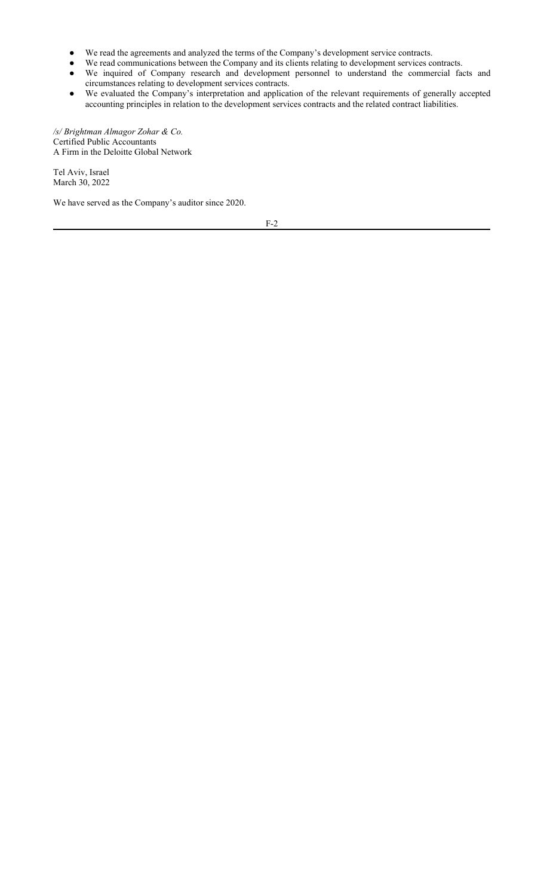- We read the agreements and analyzed the terms of the Company's development service contracts.
- We read communications between the Company and its clients relating to development services contracts.
- We inquired of Company research and development personnel to understand the commercial facts and circumstances relating to development services contracts.
- We evaluated the Company's interpretation and application of the relevant requirements of generally accepted accounting principles in relation to the development services contracts and the related contract liabilities.

*/s/ Brightman Almagor Zohar & Co.* Certified Public Accountants A Firm in the Deloitte Global Network

Tel Aviv, Israel March 30, 2022

We have served as the Company's auditor since 2020.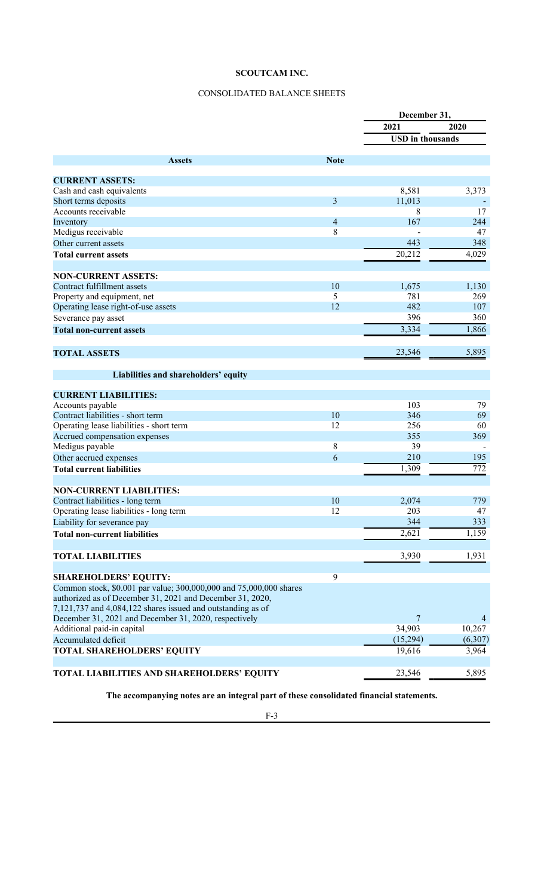# CONSOLIDATED BALANCE SHEETS

|                                                                    |                | December 31,            |             |
|--------------------------------------------------------------------|----------------|-------------------------|-------------|
|                                                                    |                | 2021                    | 2020        |
|                                                                    |                | <b>USD</b> in thousands |             |
| <b>Assets</b>                                                      | <b>Note</b>    |                         |             |
| <b>CURRENT ASSETS:</b>                                             |                |                         |             |
| Cash and cash equivalents                                          |                | 8,581                   | 3,373       |
| Short terms deposits                                               | 3              | 11,013                  |             |
| Accounts receivable                                                |                | 8                       | 17          |
| Inventory                                                          | $\overline{4}$ | 167                     | 244         |
| Medigus receivable                                                 | 8              |                         | 47          |
| Other current assets                                               |                | 443                     | 348         |
| <b>Total current assets</b>                                        |                | 20,212                  | 4,029       |
|                                                                    |                |                         |             |
| <b>NON-CURRENT ASSETS:</b>                                         |                |                         |             |
| Contract fulfillment assets                                        | 10             | 1,675                   | 1,130       |
| Property and equipment, net                                        | 5              | 781                     | 269         |
| Operating lease right-of-use assets                                | 12             | 482                     | 107         |
| Severance pay asset                                                |                | 396                     | 360         |
| <b>Total non-current assets</b>                                    |                | 3,334                   | 1,866       |
|                                                                    |                |                         |             |
| <b>TOTAL ASSETS</b>                                                |                | 23,546                  | 5,895       |
|                                                                    |                |                         |             |
| Liabilities and shareholders' equity                               |                |                         |             |
| <b>CURRENT LIABILITIES:</b>                                        |                |                         |             |
| Accounts payable                                                   |                | 103                     | 79          |
| Contract liabilities - short term                                  | 10             | 346                     | 69          |
| Operating lease liabilities - short term                           | 12             | 256                     | 60          |
| Accrued compensation expenses                                      |                | 355                     | 369         |
| Medigus payable                                                    | $8\,$          | 39                      |             |
| Other accrued expenses                                             | 6              | 210                     | 195         |
| <b>Total current liabilities</b>                                   |                | 1,309                   | 772         |
| <b>NON-CURRENT LIABILITIES:</b>                                    |                |                         |             |
| Contract liabilities - long term                                   | 10             | 2,074                   | 779         |
| Operating lease liabilities - long term                            | 12             | 203                     | 47          |
| Liability for severance pay                                        |                | 344                     | 333         |
| <b>Total non-current liabilities</b>                               |                | 2,621                   | 1,159       |
|                                                                    |                |                         |             |
| <b>TOTAL LIABILITIES</b>                                           |                | 3,930                   | 1,931       |
|                                                                    |                |                         |             |
| <b>SHAREHOLDERS' EQUITY:</b>                                       | 9              |                         |             |
| Common stock, \$0.001 par value; 300,000,000 and 75,000,000 shares |                |                         |             |
| authorized as of December 31, 2021 and December 31, 2020,          |                |                         |             |
| $7,121,737$ and $4,084,122$ shares issued and outstanding as of    |                | 7                       |             |
| December 31, 2021 and December 31, 2020, respectively              |                | 34,903                  | 4<br>10,267 |
| Additional paid-in capital<br>Accumulated deficit                  |                |                         |             |
|                                                                    |                | (15,294)                | (6,307)     |
| <b>TOTAL SHAREHOLDERS' EQUITY</b>                                  |                | 19,616                  | 3,964       |
| <b>TOTAL LIABILITIES AND SHAREHOLDERS' EQUITY</b>                  |                | 23,546                  | 5,895       |
|                                                                    |                |                         |             |

**The accompanying notes are an integral part of these consolidated financial statements.**

F-3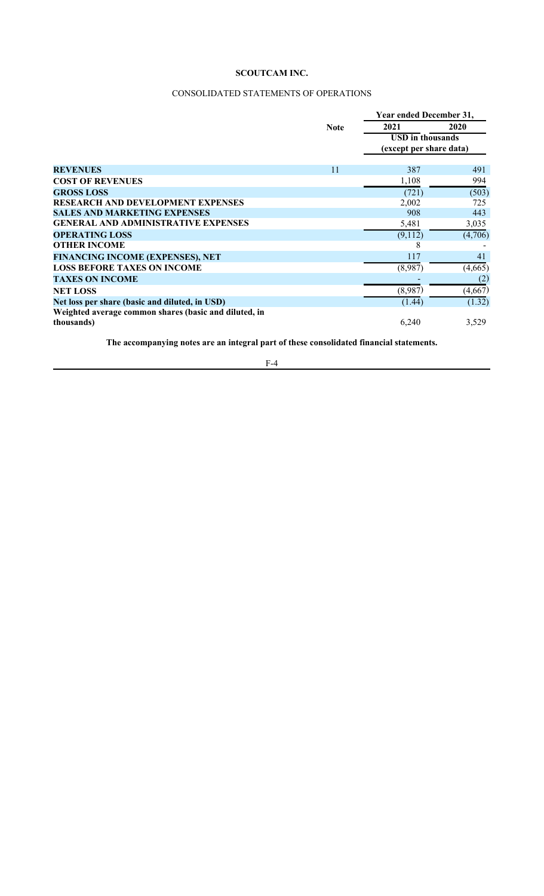# CONSOLIDATED STATEMENTS OF OPERATIONS

|                                                       |             | Year ended December 31,                            |         |  |
|-------------------------------------------------------|-------------|----------------------------------------------------|---------|--|
|                                                       | <b>Note</b> | 2021                                               | 2020    |  |
|                                                       |             | <b>USD</b> in thousands<br>(except per share data) |         |  |
| <b>REVENUES</b>                                       | 11          | 387                                                | 491     |  |
| <b>COST OF REVENUES</b>                               |             | 1,108                                              | 994     |  |
| <b>GROSS LOSS</b>                                     |             | (721)                                              | (503)   |  |
| <b>RESEARCH AND DEVELOPMENT EXPENSES</b>              |             | 2,002                                              | 725     |  |
| <b>SALES AND MARKETING EXPENSES</b>                   |             | 908                                                | 443     |  |
| <b>GENERAL AND ADMINISTRATIVE EXPENSES</b>            |             | 5,481                                              | 3,035   |  |
| <b>OPERATING LOSS</b>                                 |             | (9,112)                                            | (4,706) |  |
| <b>OTHER INCOME</b>                                   |             | 8                                                  |         |  |
| <b>FINANCING INCOME (EXPENSES), NET</b>               |             | 117                                                | 41      |  |
| <b>LOSS BEFORE TAXES ON INCOME</b>                    |             | (8,987)                                            | (4,665) |  |
| <b>TAXES ON INCOME</b>                                |             |                                                    | (2)     |  |
| <b>NET LOSS</b>                                       |             | (8,987)                                            | (4,667) |  |
| Net loss per share (basic and diluted, in USD)        |             | (1.44)                                             | (1.32)  |  |
| Weighted average common shares (basic and diluted, in |             |                                                    |         |  |
| thousands)                                            |             | 6,240                                              | 3,529   |  |

**The accompanying notes are an integral part of these consolidated financial statements.**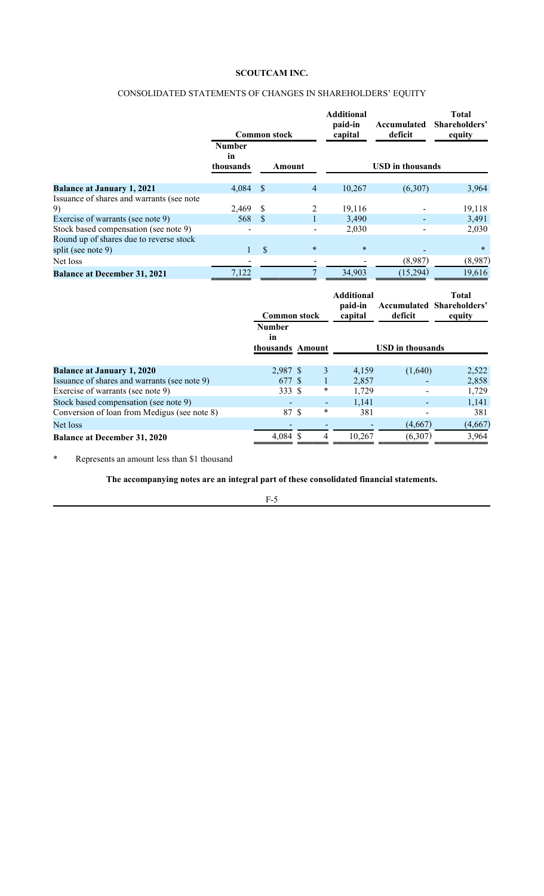# CONSOLIDATED STATEMENTS OF CHANGES IN SHAREHOLDERS' EQUITY

|                                           |                     |              | <b>Common stock</b> |                | <b>Additional</b><br>paid-in<br>capital | Accumulated<br>deficit  | <b>Total</b><br>Shareholders'<br>equity |
|-------------------------------------------|---------------------|--------------|---------------------|----------------|-----------------------------------------|-------------------------|-----------------------------------------|
|                                           | <b>Number</b><br>in |              |                     |                |                                         |                         |                                         |
|                                           | thousands           |              | Amount              |                |                                         | <b>USD</b> in thousands |                                         |
| <b>Balance at January 1, 2021</b>         | 4,084               | - \$         |                     | $\overline{4}$ | 10,267                                  | (6,307)                 | 3,964                                   |
| Issuance of shares and warrants (see note |                     |              |                     |                |                                         |                         |                                         |
| 9)                                        | 2,469               | <sup>S</sup> |                     | 2              | 19,116                                  |                         | 19,118                                  |
| Exercise of warrants (see note 9)         | 568                 | - \$         |                     |                | 3,490                                   |                         | 3,491                                   |
| Stock based compensation (see note 9)     |                     |              |                     |                | 2,030                                   |                         | 2,030                                   |
| Round up of shares due to reverse stock   |                     |              |                     |                |                                         |                         |                                         |
| split (see note 9)                        |                     | \$           |                     | $\ast$         | $\ast$                                  |                         | $\ast$                                  |
| Net loss                                  |                     |              |                     |                |                                         | (8,987)                 | (8,987)                                 |
| <b>Balance at December 31, 2021</b>       | 7,122               |              |                     |                | 34,903                                  | (15, 294)               | 19,616                                  |

|                                              |                     |        | <b>Additional</b><br>paid-in |         | Total<br>Accumulated Shareholders' |
|----------------------------------------------|---------------------|--------|------------------------------|---------|------------------------------------|
|                                              | <b>Common stock</b> |        | capital                      | deficit | equity                             |
|                                              | <b>Number</b>       |        |                              |         |                                    |
|                                              | in                  |        |                              |         |                                    |
|                                              | thousands Amount    |        | <b>USD</b> in thousands      |         |                                    |
|                                              |                     |        |                              |         |                                    |
| <b>Balance at January 1, 2020</b>            | 2,987 \$            | 3      | 4,159                        | (1,640) | 2,522                              |
| Issuance of shares and warrants (see note 9) | 677 \$              |        | 2,857                        |         | 2,858                              |
| Exercise of warrants (see note 9)            | 333 \$              | ∗      | 1,729                        |         | 1,729                              |
| Stock based compensation (see note 9)        |                     |        | 1,141                        |         | 1,141                              |
| Conversion of loan from Medigus (see note 8) | 87 \$               | $\ast$ | 381                          |         | 381                                |
| Net loss                                     |                     |        |                              | (4,667) | (4,667)                            |
| <b>Balance at December 31, 2020</b>          | $4.084~{\rm s}$     | 4      | 10.267                       | (6,307) | 3,964                              |

\* Represents an amount less than \$1 thousand

**The accompanying notes are an integral part of these consolidated financial statements.**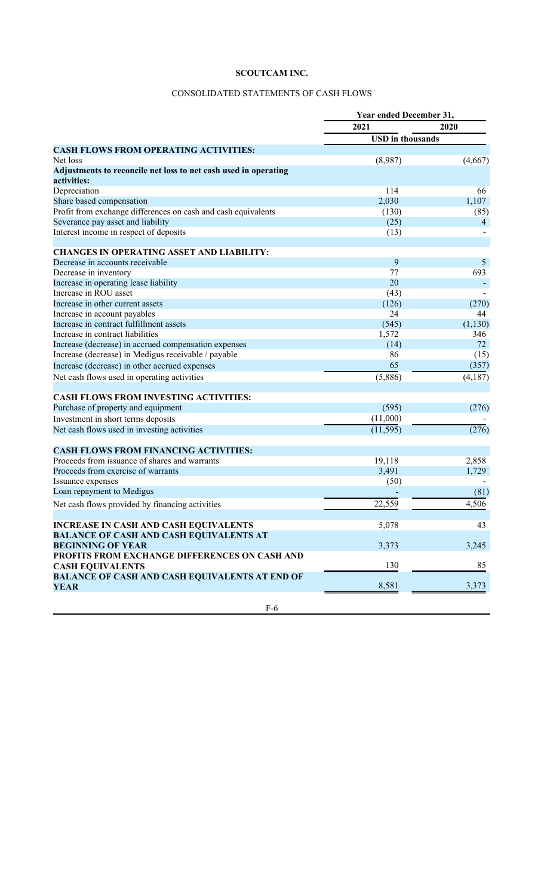# CONSOLIDATED STATEMENTS OF CASH FLOWS

|                                                                 | Year ended December 31, |                |  |
|-----------------------------------------------------------------|-------------------------|----------------|--|
|                                                                 | 2020<br>2021            |                |  |
|                                                                 | <b>USD</b> in thousands |                |  |
| <b>CASH FLOWS FROM OPERATING ACTIVITIES:</b>                    |                         |                |  |
| Net loss                                                        | (8,987)                 | (4,667)        |  |
| Adjustments to reconcile net loss to net cash used in operating |                         |                |  |
| activities:                                                     |                         |                |  |
| Depreciation                                                    | 114                     | 66             |  |
| Share based compensation                                        | 2,030                   | 1,107          |  |
| Profit from exchange differences on cash and cash equivalents   | (130)                   | (85)           |  |
| Severance pay asset and liability                               | (25)                    | $\overline{4}$ |  |
| Interest income in respect of deposits                          | (13)                    |                |  |
| <b>CHANGES IN OPERATING ASSET AND LIABILITY:</b>                |                         |                |  |
| Decrease in accounts receivable                                 | 9                       | 5              |  |
| Decrease in inventory                                           | 77                      | 693            |  |
| Increase in operating lease liability                           | 20                      |                |  |
| Increase in ROU asset                                           | (43)                    |                |  |
| Increase in other current assets                                | (126)                   | (270)          |  |
| Increase in account payables                                    | 24                      | 44             |  |
| Increase in contract fulfillment assets                         | (545)                   | (1,130)        |  |
| Increase in contract liabilities                                | 1,572                   | 346            |  |
| Increase (decrease) in accrued compensation expenses            | (14)                    | 72             |  |
| Increase (decrease) in Medigus receivable / payable             | 86                      | (15)           |  |
| Increase (decrease) in other accrued expenses                   | 65                      | (357)          |  |
| Net cash flows used in operating activities                     | (5,886)                 | (4,187)        |  |
| <b>CASH FLOWS FROM INVESTING ACTIVITIES:</b>                    |                         |                |  |
| Purchase of property and equipment                              | (595)                   | (276)          |  |
| Investment in short terms deposits                              | (11,000)                |                |  |
| Net cash flows used in investing activities                     | (11, 595)               | (276)          |  |
|                                                                 |                         |                |  |
| <b>CASH FLOWS FROM FINANCING ACTIVITIES:</b>                    |                         |                |  |
| Proceeds from issuance of shares and warrants                   | 19,118                  | 2,858          |  |
| Proceeds from exercise of warrants                              | 3,491                   | 1,729          |  |
| Issuance expenses                                               | (50)                    |                |  |
| Loan repayment to Medigus                                       |                         | (81)           |  |
| Net cash flows provided by financing activities                 | 22,559                  | 4,506          |  |
| <b>INCREASE IN CASH AND CASH EQUIVALENTS</b>                    | 5,078                   | 43             |  |
| <b>BALANCE OF CASH AND CASH EQUIVALENTS AT</b>                  |                         |                |  |
| <b>BEGINNING OF YEAR</b>                                        | 3,373                   | 3,245          |  |
| PROFITS FROM EXCHANGE DIFFERENCES ON CASH AND                   |                         |                |  |
| <b>CASH EQUIVALENTS</b>                                         | 130                     | 85             |  |
| <b>BALANCE OF CASH AND CASH EQUIVALENTS AT END OF</b>           |                         |                |  |
| <b>YEAR</b>                                                     | 8,581                   | 3,373          |  |
|                                                                 |                         |                |  |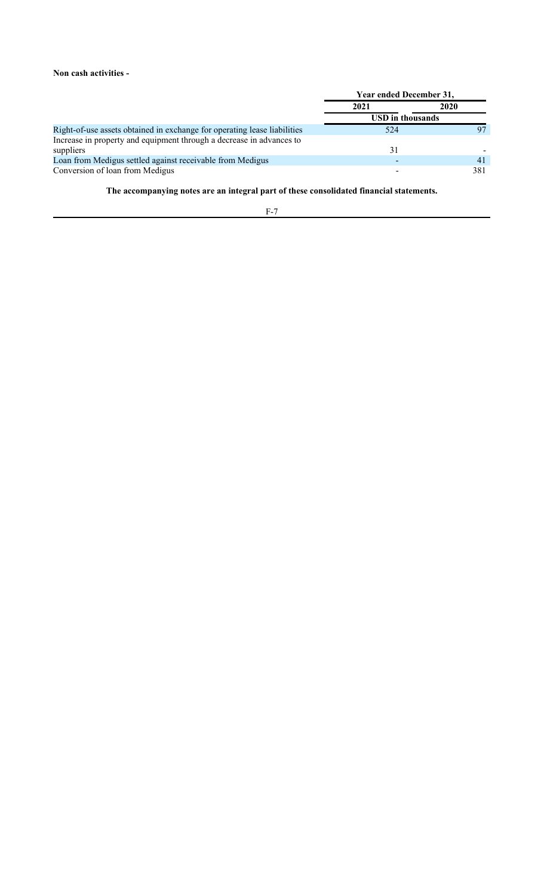# **Non cash activities -**

|                                                                          | Year ended December 31, |                |  |
|--------------------------------------------------------------------------|-------------------------|----------------|--|
|                                                                          | 2021                    | 2020           |  |
|                                                                          | <b>USD</b> in thousands |                |  |
| Right-of-use assets obtained in exchange for operating lease liabilities | 524                     |                |  |
| Increase in property and equipment through a decrease in advances to     |                         |                |  |
| suppliers                                                                | 31                      |                |  |
| Loan from Medigus settled against receivable from Medigus                |                         | 4 <sub>1</sub> |  |
| Conversion of loan from Medigus                                          |                         | 381            |  |

**The accompanying notes are an integral part of these consolidated financial statements.**

$$
F-7
$$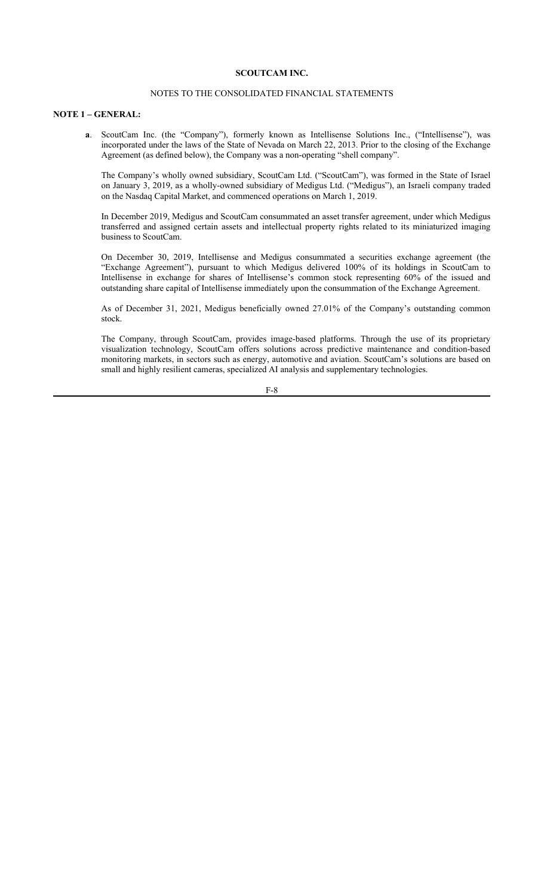#### NOTES TO THE CONSOLIDATED FINANCIAL STATEMENTS

# **NOTE 1 – GENERAL:**

**a**. ScoutCam Inc. (the "Company"), formerly known as Intellisense Solutions Inc., ("Intellisense"), was incorporated under the laws of the State of Nevada on March 22, 2013. Prior to the closing of the Exchange Agreement (as defined below), the Company was a non-operating "shell company".

The Company's wholly owned subsidiary, ScoutCam Ltd. ("ScoutCam"), was formed in the State of Israel on January 3, 2019, as a wholly-owned subsidiary of Medigus Ltd. ("Medigus"), an Israeli company traded on the Nasdaq Capital Market, and commenced operations on March 1, 2019.

In December 2019, Medigus and ScoutCam consummated an asset transfer agreement, under which Medigus transferred and assigned certain assets and intellectual property rights related to its miniaturized imaging business to ScoutCam.

On December 30, 2019, Intellisense and Medigus consummated a securities exchange agreement (the "Exchange Agreement"), pursuant to which Medigus delivered 100% of its holdings in ScoutCam to Intellisense in exchange for shares of Intellisense's common stock representing 60% of the issued and outstanding share capital of Intellisense immediately upon the consummation of the Exchange Agreement.

As of December 31, 2021, Medigus beneficially owned 27.01% of the Company's outstanding common stock.

The Company, through ScoutCam, provides image-based platforms. Through the use of its proprietary visualization technology, ScoutCam offers solutions across predictive maintenance and condition-based monitoring markets, in sectors such as energy, automotive and aviation. ScoutCam's solutions are based on small and highly resilient cameras, specialized AI analysis and supplementary technologies.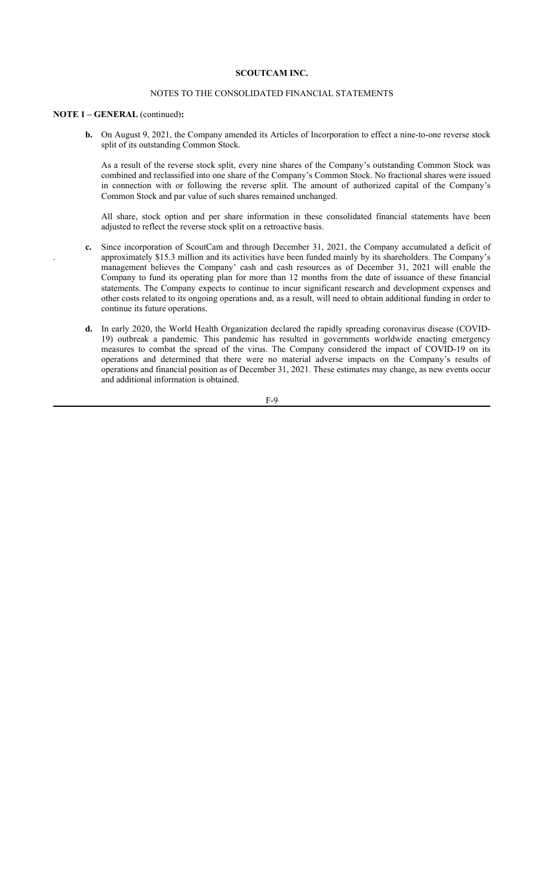# NOTES TO THE CONSOLIDATED FINANCIAL STATEMENTS

# **NOTE 1 – GENERAL** (continued)**:**

.

**b.** On August 9, 2021, the Company amended its Articles of Incorporation to effect a nine-to-one reverse stock split of its outstanding Common Stock.

As a result of the reverse stock split, every nine shares of the Company's outstanding Common Stock was combined and reclassified into one share of the Company's Common Stock. No fractional shares were issued in connection with or following the reverse split. The amount of authorized capital of the Company's Common Stock and par value of such shares remained unchanged.

All share, stock option and per share information in these consolidated financial statements have been adjusted to reflect the reverse stock split on a retroactive basis.

- Since incorporation of ScoutCam and through December 31, 2021, the Company accumulated a deficit of approximately \$15.3 million and its activities have been funded mainly by its shareholders. The Company's management believes the Company' cash and cash resources as of December 31, 2021 will enable the Company to fund its operating plan for more than 12 months from the date of issuance of these financial statements. The Company expects to continue to incur significant research and development expenses and other costs related to its ongoing operations and, as a result, will need to obtain additional funding in order to continue its future operations.
- **d.** In early 2020, the World Health Organization declared the rapidly spreading coronavirus disease (COVID-19) outbreak a pandemic. This pandemic has resulted in governments worldwide enacting emergency measures to combat the spread of the virus. The Company considered the impact of COVID-19 on its operations and determined that there were no material adverse impacts on the Company's results of operations and financial position as of December 31, 2021. These estimates may change, as new events occur and additional information is obtained.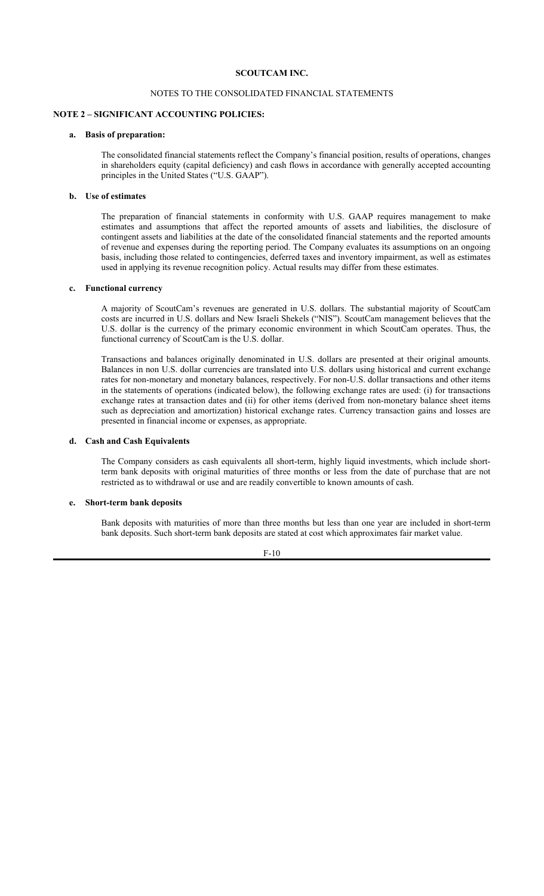#### NOTES TO THE CONSOLIDATED FINANCIAL STATEMENTS

## **NOTE 2 – SIGNIFICANT ACCOUNTING POLICIES:**

#### **a. Basis of preparation:**

The consolidated financial statements reflect the Company's financial position, results of operations, changes in shareholders equity (capital deficiency) and cash flows in accordance with generally accepted accounting principles in the United States ("U.S. GAAP").

#### **b. Use of estimates**

The preparation of financial statements in conformity with U.S. GAAP requires management to make estimates and assumptions that affect the reported amounts of assets and liabilities, the disclosure of contingent assets and liabilities at the date of the consolidated financial statements and the reported amounts of revenue and expenses during the reporting period. The Company evaluates its assumptions on an ongoing basis, including those related to contingencies, deferred taxes and inventory impairment, as well as estimates used in applying its revenue recognition policy. Actual results may differ from these estimates.

#### **c. Functional currency**

A majority of ScoutCam's revenues are generated in U.S. dollars. The substantial majority of ScoutCam costs are incurred in U.S. dollars and New Israeli Shekels ("NIS"). ScoutCam management believes that the U.S. dollar is the currency of the primary economic environment in which ScoutCam operates. Thus, the functional currency of ScoutCam is the U.S. dollar.

Transactions and balances originally denominated in U.S. dollars are presented at their original amounts. Balances in non U.S. dollar currencies are translated into U.S. dollars using historical and current exchange rates for non-monetary and monetary balances, respectively. For non-U.S. dollar transactions and other items in the statements of operations (indicated below), the following exchange rates are used: (i) for transactions exchange rates at transaction dates and (ii) for other items (derived from non-monetary balance sheet items such as depreciation and amortization) historical exchange rates. Currency transaction gains and losses are presented in financial income or expenses, as appropriate.

#### **d. Cash and Cash Equivalents**

The Company considers as cash equivalents all short-term, highly liquid investments, which include shortterm bank deposits with original maturities of three months or less from the date of purchase that are not restricted as to withdrawal or use and are readily convertible to known amounts of cash.

#### **e. Short-term bank deposits**

Bank deposits with maturities of more than three months but less than one year are included in short-term bank deposits. Such short-term bank deposits are stated at cost which approximates fair market value.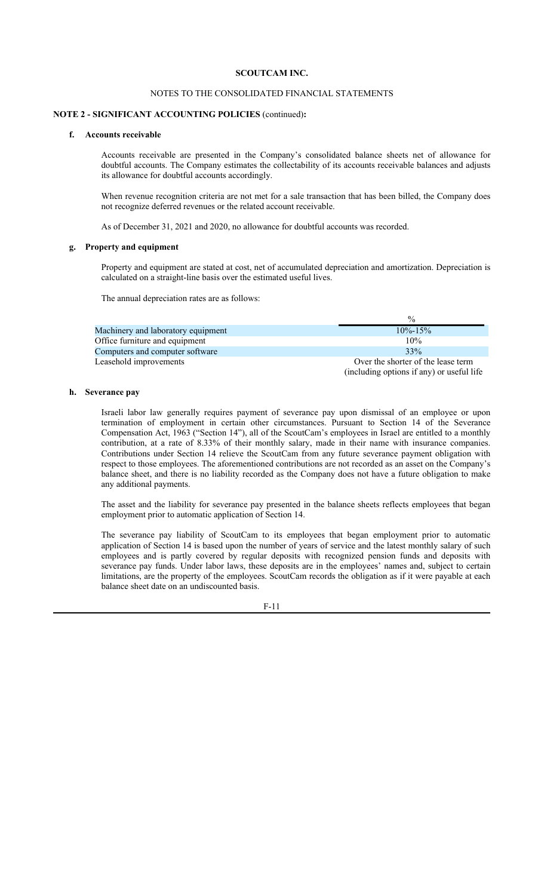## NOTES TO THE CONSOLIDATED FINANCIAL STATEMENTS

# **NOTE 2 - SIGNIFICANT ACCOUNTING POLICIES** (continued)**:**

# **f. Accounts receivable**

Accounts receivable are presented in the Company's consolidated balance sheets net of allowance for doubtful accounts. The Company estimates the collectability of its accounts receivable balances and adjusts its allowance for doubtful accounts accordingly.

When revenue recognition criteria are not met for a sale transaction that has been billed, the Company does not recognize deferred revenues or the related account receivable.

As of December 31, 2021 and 2020, no allowance for doubtful accounts was recorded.

#### **g. Property and equipment**

Property and equipment are stated at cost, net of accumulated depreciation and amortization. Depreciation is calculated on a straight-line basis over the estimated useful lives.

The annual depreciation rates are as follows:

|                                    | $\frac{0}{0}$                             |
|------------------------------------|-------------------------------------------|
| Machinery and laboratory equipment | $10\% - 15\%$                             |
| Office furniture and equipment     | 10%                                       |
| Computers and computer software    | 33%                                       |
| Leasehold improvements             | Over the shorter of the lease term        |
|                                    | (including options if any) or useful life |

#### **h. Severance pay**

Israeli labor law generally requires payment of severance pay upon dismissal of an employee or upon termination of employment in certain other circumstances. Pursuant to Section 14 of the Severance Compensation Act, 1963 ("Section 14"), all of the ScoutCam's employees in Israel are entitled to a monthly contribution, at a rate of 8.33% of their monthly salary, made in their name with insurance companies. Contributions under Section 14 relieve the ScoutCam from any future severance payment obligation with respect to those employees. The aforementioned contributions are not recorded as an asset on the Company's balance sheet, and there is no liability recorded as the Company does not have a future obligation to make any additional payments.

The asset and the liability for severance pay presented in the balance sheets reflects employees that began employment prior to automatic application of Section 14.

The severance pay liability of ScoutCam to its employees that began employment prior to automatic application of Section 14 is based upon the number of years of service and the latest monthly salary of such employees and is partly covered by regular deposits with recognized pension funds and deposits with severance pay funds. Under labor laws, these deposits are in the employees' names and, subject to certain limitations, are the property of the employees. ScoutCam records the obligation as if it were payable at each balance sheet date on an undiscounted basis.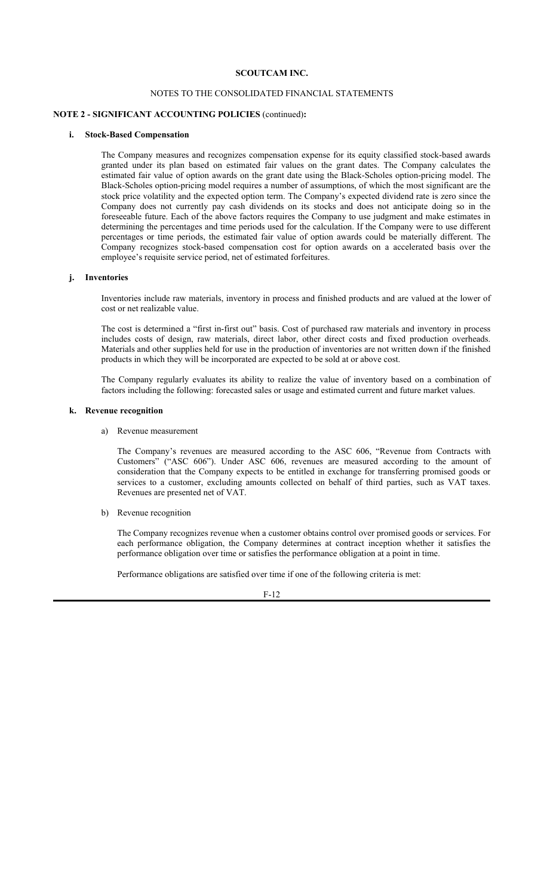# NOTES TO THE CONSOLIDATED FINANCIAL STATEMENTS

# **NOTE 2 - SIGNIFICANT ACCOUNTING POLICIES** (continued)**:**

#### **i. Stock-Based Compensation**

The Company measures and recognizes compensation expense for its equity classified stock-based awards granted under its plan based on estimated fair values on the grant dates. The Company calculates the estimated fair value of option awards on the grant date using the Black-Scholes option-pricing model. The Black-Scholes option-pricing model requires a number of assumptions, of which the most significant are the stock price volatility and the expected option term. The Company's expected dividend rate is zero since the Company does not currently pay cash dividends on its stocks and does not anticipate doing so in the foreseeable future. Each of the above factors requires the Company to use judgment and make estimates in determining the percentages and time periods used for the calculation. If the Company were to use different percentages or time periods, the estimated fair value of option awards could be materially different. The Company recognizes stock-based compensation cost for option awards on a accelerated basis over the employee's requisite service period, net of estimated forfeitures.

#### **j. Inventories**

Inventories include raw materials, inventory in process and finished products and are valued at the lower of cost or net realizable value.

The cost is determined a "first in-first out" basis. Cost of purchased raw materials and inventory in process includes costs of design, raw materials, direct labor, other direct costs and fixed production overheads. Materials and other supplies held for use in the production of inventories are not written down if the finished products in which they will be incorporated are expected to be sold at or above cost.

The Company regularly evaluates its ability to realize the value of inventory based on a combination of factors including the following: forecasted sales or usage and estimated current and future market values.

#### **k. Revenue recognition**

a) Revenue measurement

The Company's revenues are measured according to the ASC 606, "Revenue from Contracts with Customers" ("ASC 606"). Under ASC 606, revenues are measured according to the amount of consideration that the Company expects to be entitled in exchange for transferring promised goods or services to a customer, excluding amounts collected on behalf of third parties, such as VAT taxes. Revenues are presented net of VAT.

#### b) Revenue recognition

The Company recognizes revenue when a customer obtains control over promised goods or services. For each performance obligation, the Company determines at contract inception whether it satisfies the performance obligation over time or satisfies the performance obligation at a point in time.

Performance obligations are satisfied over time if one of the following criteria is met: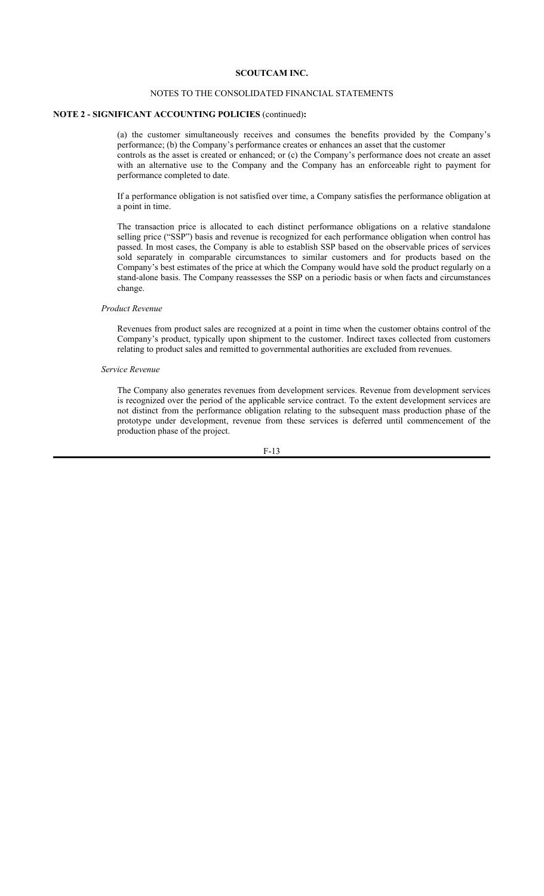#### NOTES TO THE CONSOLIDATED FINANCIAL STATEMENTS

# **NOTE 2 - SIGNIFICANT ACCOUNTING POLICIES** (continued)**:**

(a) the customer simultaneously receives and consumes the benefits provided by the Company's performance; (b) the Company's performance creates or enhances an asset that the customer controls as the asset is created or enhanced; or (c) the Company's performance does not create an asset with an alternative use to the Company and the Company has an enforceable right to payment for performance completed to date.

If a performance obligation is not satisfied over time, a Company satisfies the performance obligation at a point in time.

The transaction price is allocated to each distinct performance obligations on a relative standalone selling price ("SSP") basis and revenue is recognized for each performance obligation when control has passed. In most cases, the Company is able to establish SSP based on the observable prices of services sold separately in comparable circumstances to similar customers and for products based on the Company's best estimates of the price at which the Company would have sold the product regularly on a stand-alone basis. The Company reassesses the SSP on a periodic basis or when facts and circumstances change.

#### *Product Revenue*

Revenues from product sales are recognized at a point in time when the customer obtains control of the Company's product, typically upon shipment to the customer. Indirect taxes collected from customers relating to product sales and remitted to governmental authorities are excluded from revenues.

#### *Service Revenue*

The Company also generates revenues from development services. Revenue from development services is recognized over the period of the applicable service contract. To the extent development services are not distinct from the performance obligation relating to the subsequent mass production phase of the prototype under development, revenue from these services is deferred until commencement of the production phase of the project.

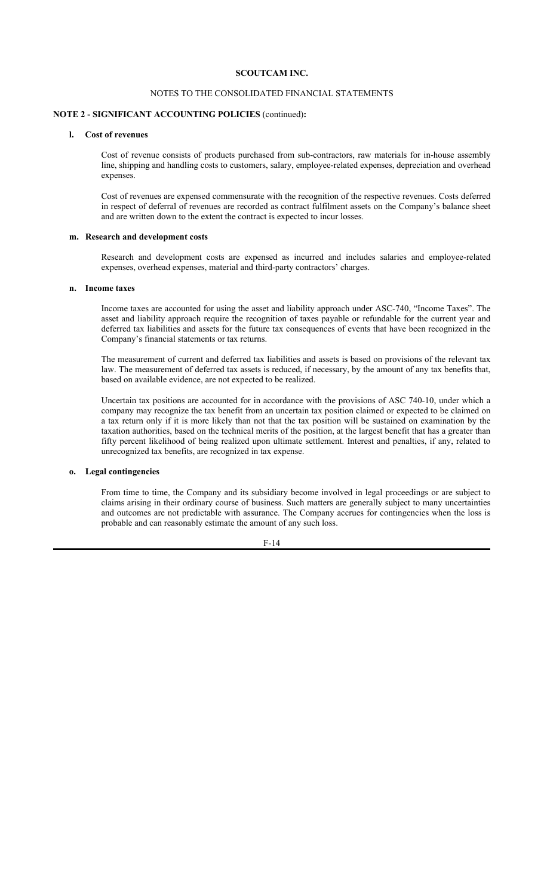#### NOTES TO THE CONSOLIDATED FINANCIAL STATEMENTS

# **NOTE 2 - SIGNIFICANT ACCOUNTING POLICIES** (continued)**:**

#### **l. Cost of revenues**

Cost of revenue consists of products purchased from sub-contractors, raw materials for in-house assembly line, shipping and handling costs to customers, salary, employee-related expenses, depreciation and overhead expenses.

Cost of revenues are expensed commensurate with the recognition of the respective revenues. Costs deferred in respect of deferral of revenues are recorded as contract fulfilment assets on the Company's balance sheet and are written down to the extent the contract is expected to incur losses.

#### **m. Research and development costs**

Research and development costs are expensed as incurred and includes salaries and employee-related expenses, overhead expenses, material and third-party contractors' charges.

#### **n. Income taxes**

Income taxes are accounted for using the asset and liability approach under ASC-740, "Income Taxes". The asset and liability approach require the recognition of taxes payable or refundable for the current year and deferred tax liabilities and assets for the future tax consequences of events that have been recognized in the Company's financial statements or tax returns.

The measurement of current and deferred tax liabilities and assets is based on provisions of the relevant tax law. The measurement of deferred tax assets is reduced, if necessary, by the amount of any tax benefits that, based on available evidence, are not expected to be realized.

Uncertain tax positions are accounted for in accordance with the provisions of ASC 740-10, under which a company may recognize the tax benefit from an uncertain tax position claimed or expected to be claimed on a tax return only if it is more likely than not that the tax position will be sustained on examination by the taxation authorities, based on the technical merits of the position, at the largest benefit that has a greater than fifty percent likelihood of being realized upon ultimate settlement. Interest and penalties, if any, related to unrecognized tax benefits, are recognized in tax expense.

#### **o. Legal contingencies**

From time to time, the Company and its subsidiary become involved in legal proceedings or are subject to claims arising in their ordinary course of business. Such matters are generally subject to many uncertainties and outcomes are not predictable with assurance. The Company accrues for contingencies when the loss is probable and can reasonably estimate the amount of any such loss.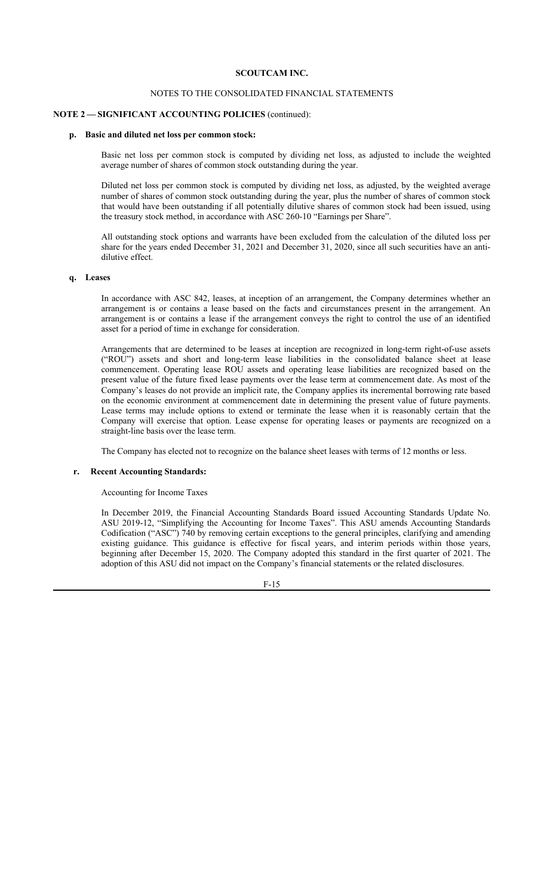# NOTES TO THE CONSOLIDATED FINANCIAL STATEMENTS

#### **NOTE 2 — SIGNIFICANT ACCOUNTING POLICIES** (continued):

#### **p. Basic and diluted net loss per common stock:**

Basic net loss per common stock is computed by dividing net loss, as adjusted to include the weighted average number of shares of common stock outstanding during the year.

Diluted net loss per common stock is computed by dividing net loss, as adjusted, by the weighted average number of shares of common stock outstanding during the year, plus the number of shares of common stock that would have been outstanding if all potentially dilutive shares of common stock had been issued, using the treasury stock method, in accordance with ASC 260-10 "Earnings per Share".

All outstanding stock options and warrants have been excluded from the calculation of the diluted loss per share for the years ended December 31, 2021 and December 31, 2020, since all such securities have an antidilutive effect.

#### **q. Leases**

In accordance with ASC 842, leases, at inception of an arrangement, the Company determines whether an arrangement is or contains a lease based on the facts and circumstances present in the arrangement. An arrangement is or contains a lease if the arrangement conveys the right to control the use of an identified asset for a period of time in exchange for consideration.

Arrangements that are determined to be leases at inception are recognized in long-term right-of-use assets ("ROU") assets and short and long-term lease liabilities in the consolidated balance sheet at lease commencement. Operating lease ROU assets and operating lease liabilities are recognized based on the present value of the future fixed lease payments over the lease term at commencement date. As most of the Company's leases do not provide an implicit rate, the Company applies its incremental borrowing rate based on the economic environment at commencement date in determining the present value of future payments. Lease terms may include options to extend or terminate the lease when it is reasonably certain that the Company will exercise that option. Lease expense for operating leases or payments are recognized on a straight-line basis over the lease term.

The Company has elected not to recognize on the balance sheet leases with terms of 12 months or less.

#### **r. Recent Accounting Standards:**

Accounting for Income Taxes

In December 2019, the Financial Accounting Standards Board issued Accounting Standards Update No. ASU 2019-12, "Simplifying the Accounting for Income Taxes". This ASU amends Accounting Standards Codification ("ASC") 740 by removing certain exceptions to the general principles, clarifying and amending existing guidance. This guidance is effective for fiscal years, and interim periods within those years, beginning after December 15, 2020. The Company adopted this standard in the first quarter of 2021. The adoption of this ASU did not impact on the Company's financial statements or the related disclosures.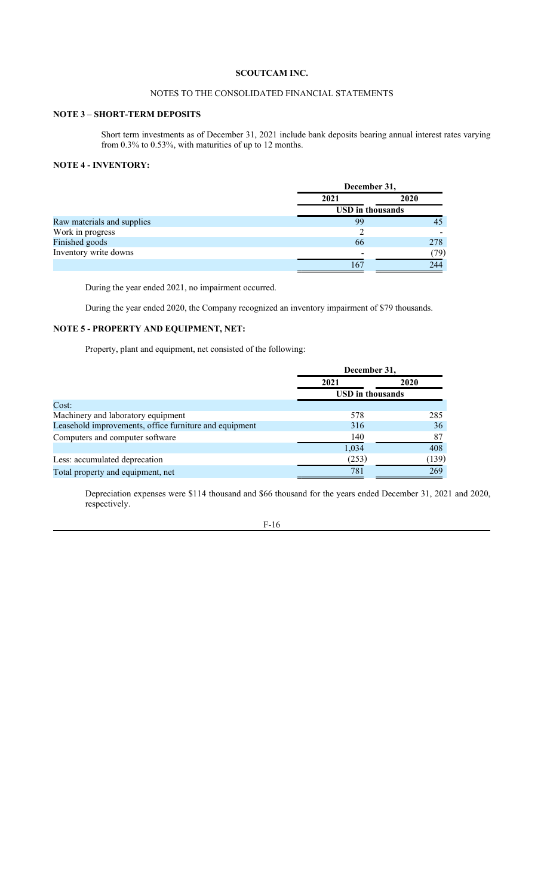# NOTES TO THE CONSOLIDATED FINANCIAL STATEMENTS

# **NOTE 3 – SHORT-TERM DEPOSITS**

Short term investments as of December 31, 2021 include bank deposits bearing annual interest rates varying from 0.3% to 0.53%, with maturities of up to 12 months.

# **NOTE 4 - INVENTORY:**

|                            | December 31,            |      |  |  |
|----------------------------|-------------------------|------|--|--|
|                            | 2021                    | 2020 |  |  |
|                            | <b>USD</b> in thousands |      |  |  |
| Raw materials and supplies | 99                      |      |  |  |
| Work in progress           |                         |      |  |  |
| Finished goods             | 66                      | 278  |  |  |
| Inventory write downs      |                         | (79) |  |  |
|                            | 167                     | 244  |  |  |

During the year ended 2021, no impairment occurred.

During the year ended 2020, the Company recognized an inventory impairment of \$79 thousands.

# **NOTE 5 - PROPERTY AND EQUIPMENT, NET:**

Property, plant and equipment, net consisted of the following:

|                                                        | December 31,            |       |  |
|--------------------------------------------------------|-------------------------|-------|--|
|                                                        | 2021                    | 2020  |  |
|                                                        | <b>USD</b> in thousands |       |  |
| Cost:                                                  |                         |       |  |
| Machinery and laboratory equipment                     | 578                     | 285   |  |
| Leasehold improvements, office furniture and equipment | 316                     | 36    |  |
| Computers and computer software                        | 140                     | 87    |  |
|                                                        | 1,034                   | 408   |  |
| Less: accumulated deprecation                          | (253)                   | (139) |  |
| Total property and equipment, net                      | 781                     | 269   |  |

Depreciation expenses were \$114 thousand and \$66 thousand for the years ended December 31, 2021 and 2020, respectively.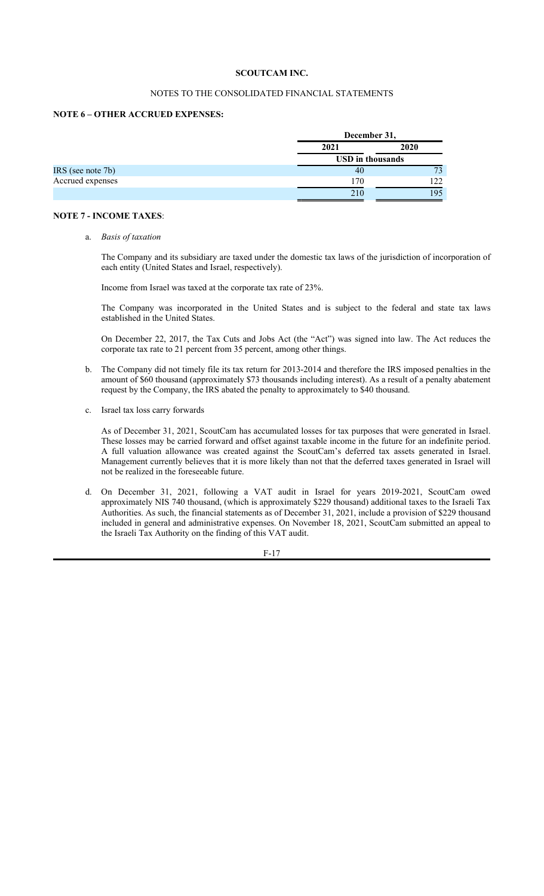#### NOTES TO THE CONSOLIDATED FINANCIAL STATEMENTS

# **NOTE 6 – OTHER ACCRUED EXPENSES:**

|                   |      | December 31,            |  |  |
|-------------------|------|-------------------------|--|--|
|                   | 2021 | 2020                    |  |  |
|                   |      | <b>USD</b> in thousands |  |  |
| IRS (see note 7b) | 40   |                         |  |  |
| Accrued expenses  | 170  | 122                     |  |  |
|                   | 210  | 195                     |  |  |

# **NOTE 7 - INCOME TAXES**:

a. *Basis of taxation*

The Company and its subsidiary are taxed under the domestic tax laws of the jurisdiction of incorporation of each entity (United States and Israel, respectively).

Income from Israel was taxed at the corporate tax rate of 23%.

The Company was incorporated in the United States and is subject to the federal and state tax laws established in the United States.

On December 22, 2017, the Tax Cuts and Jobs Act (the "Act") was signed into law. The Act reduces the corporate tax rate to 21 percent from 35 percent, among other things.

- b. The Company did not timely file its tax return for 2013-2014 and therefore the IRS imposed penalties in the amount of \$60 thousand (approximately \$73 thousands including interest). As a result of a penalty abatement request by the Company, the IRS abated the penalty to approximately to \$40 thousand.
- c. Israel tax loss carry forwards

As of December 31, 2021, ScoutCam has accumulated losses for tax purposes that were generated in Israel. These losses may be carried forward and offset against taxable income in the future for an indefinite period. A full valuation allowance was created against the ScoutCam's deferred tax assets generated in Israel. Management currently believes that it is more likely than not that the deferred taxes generated in Israel will not be realized in the foreseeable future.

d. On December 31, 2021, following a VAT audit in Israel for years 2019-2021, ScoutCam owed approximately NIS 740 thousand, (which is approximately \$229 thousand) additional taxes to the Israeli Tax Authorities. As such, the financial statements as of December 31, 2021, include a provision of \$229 thousand included in general and administrative expenses. On November 18, 2021, ScoutCam submitted an appeal to the Israeli Tax Authority on the finding of this VAT audit.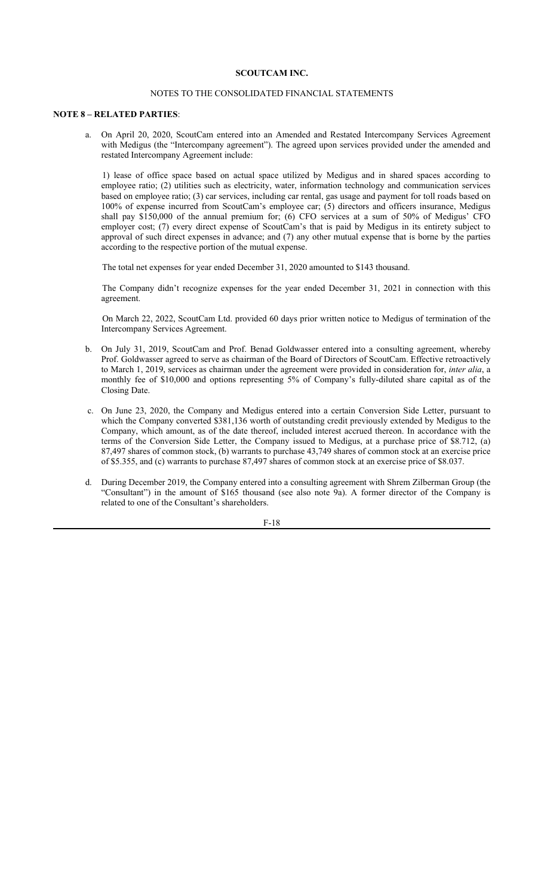#### NOTES TO THE CONSOLIDATED FINANCIAL STATEMENTS

# **NOTE 8 – RELATED PARTIES**:

a. On April 20, 2020, ScoutCam entered into an Amended and Restated Intercompany Services Agreement with Medigus (the "Intercompany agreement"). The agreed upon services provided under the amended and restated Intercompany Agreement include:

1) lease of office space based on actual space utilized by Medigus and in shared spaces according to employee ratio; (2) utilities such as electricity, water, information technology and communication services based on employee ratio; (3) car services, including car rental, gas usage and payment for toll roads based on 100% of expense incurred from ScoutCam's employee car; (5) directors and officers insurance, Medigus shall pay \$150,000 of the annual premium for; (6) CFO services at a sum of 50% of Medigus' CFO employer cost; (7) every direct expense of ScoutCam's that is paid by Medigus in its entirety subject to approval of such direct expenses in advance; and (7) any other mutual expense that is borne by the parties according to the respective portion of the mutual expense.

The total net expenses for year ended December 31, 2020 amounted to \$143 thousand.

The Company didn't recognize expenses for the year ended December 31, 2021 in connection with this agreement.

On March 22, 2022, ScoutCam Ltd. provided 60 days prior written notice to Medigus of termination of the Intercompany Services Agreement.

- b. On July 31, 2019, ScoutCam and Prof. Benad Goldwasser entered into a consulting agreement, whereby Prof. Goldwasser agreed to serve as chairman of the Board of Directors of ScoutCam. Effective retroactively to March 1, 2019, services as chairman under the agreement were provided in consideration for, *inter alia*, a monthly fee of \$10,000 and options representing 5% of Company's fully-diluted share capital as of the Closing Date.
- c. On June 23, 2020, the Company and Medigus entered into a certain Conversion Side Letter, pursuant to which the Company converted \$381,136 worth of outstanding credit previously extended by Medigus to the Company, which amount, as of the date thereof, included interest accrued thereon. In accordance with the terms of the Conversion Side Letter, the Company issued to Medigus, at a purchase price of \$8.712, (a) 87,497 shares of common stock, (b) warrants to purchase 43,749 shares of common stock at an exercise price of \$5.355, and (c) warrants to purchase 87,497 shares of common stock at an exercise price of \$8.037.
- d. During December 2019, the Company entered into a consulting agreement with Shrem Zilberman Group (the "Consultant") in the amount of \$165 thousand (see also note 9a). A former director of the Company is related to one of the Consultant's shareholders.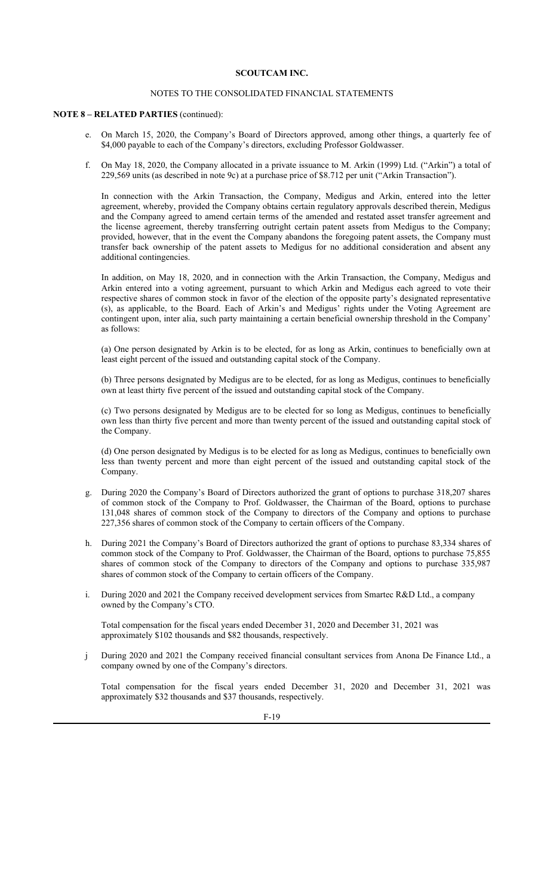### NOTES TO THE CONSOLIDATED FINANCIAL STATEMENTS

#### **NOTE 8 – RELATED PARTIES** (continued):

- e. On March 15, 2020, the Company's Board of Directors approved, among other things, a quarterly fee of \$4,000 payable to each of the Company's directors, excluding Professor Goldwasser.
- f. On May 18, 2020, the Company allocated in a private issuance to M. Arkin (1999) Ltd. ("Arkin") a total of 229,569 units (as described in note 9c) at a purchase price of \$8.712 per unit ("Arkin Transaction").

In connection with the Arkin Transaction, the Company, Medigus and Arkin, entered into the letter agreement, whereby, provided the Company obtains certain regulatory approvals described therein, Medigus and the Company agreed to amend certain terms of the amended and restated asset transfer agreement and the license agreement, thereby transferring outright certain patent assets from Medigus to the Company; provided, however, that in the event the Company abandons the foregoing patent assets, the Company must transfer back ownership of the patent assets to Medigus for no additional consideration and absent any additional contingencies.

In addition, on May 18, 2020, and in connection with the Arkin Transaction, the Company, Medigus and Arkin entered into a voting agreement, pursuant to which Arkin and Medigus each agreed to vote their respective shares of common stock in favor of the election of the opposite party's designated representative (s), as applicable, to the Board. Each of Arkin's and Medigus' rights under the Voting Agreement are contingent upon, inter alia, such party maintaining a certain beneficial ownership threshold in the Company' as follows:

(a) One person designated by Arkin is to be elected, for as long as Arkin, continues to beneficially own at least eight percent of the issued and outstanding capital stock of the Company.

(b) Three persons designated by Medigus are to be elected, for as long as Medigus, continues to beneficially own at least thirty five percent of the issued and outstanding capital stock of the Company.

(c) Two persons designated by Medigus are to be elected for so long as Medigus, continues to beneficially own less than thirty five percent and more than twenty percent of the issued and outstanding capital stock of the Company.

(d) One person designated by Medigus is to be elected for as long as Medigus, continues to beneficially own less than twenty percent and more than eight percent of the issued and outstanding capital stock of the Company.

- g. During 2020 the Company's Board of Directors authorized the grant of options to purchase 318,207 shares of common stock of the Company to Prof. Goldwasser, the Chairman of the Board, options to purchase 131,048 shares of common stock of the Company to directors of the Company and options to purchase 227,356 shares of common stock of the Company to certain officers of the Company.
- h. During 2021 the Company's Board of Directors authorized the grant of options to purchase 83,334 shares of common stock of the Company to Prof. Goldwasser, the Chairman of the Board, options to purchase 75,855 shares of common stock of the Company to directors of the Company and options to purchase 335,987 shares of common stock of the Company to certain officers of the Company.
- i. During 2020 and 2021 the Company received development services from Smartec R&D Ltd., a company owned by the Company's CTO.

Total compensation for the fiscal years ended December 31, 2020 and December 31, 2021 was approximately \$102 thousands and \$82 thousands, respectively.

j During 2020 and 2021 the Company received financial consultant services from Anona De Finance Ltd., a company owned by one of the Company's directors.

Total compensation for the fiscal years ended December 31, 2020 and December 31, 2021 was approximately \$32 thousands and \$37 thousands, respectively.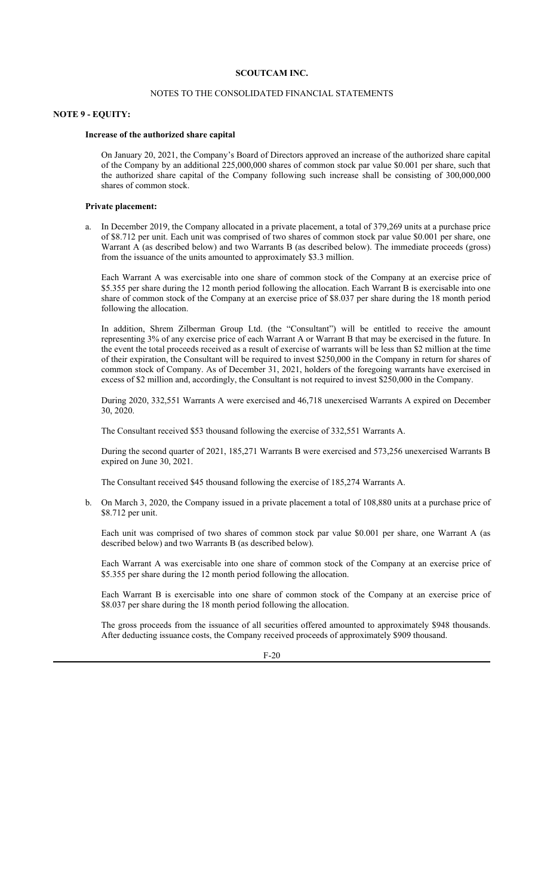### NOTES TO THE CONSOLIDATED FINANCIAL STATEMENTS

### **NOTE 9 - EQUITY:**

#### **Increase of the authorized share capital**

On January 20, 2021, the Company's Board of Directors approved an increase of the authorized share capital of the Company by an additional 225,000,000 shares of common stock par value \$0.001 per share, such that the authorized share capital of the Company following such increase shall be consisting of 300,000,000 shares of common stock.

#### **Private placement:**

a. In December 2019, the Company allocated in a private placement, a total of 379,269 units at a purchase price of \$8.712 per unit. Each unit was comprised of two shares of common stock par value \$0.001 per share, one Warrant A (as described below) and two Warrants B (as described below). The immediate proceeds (gross) from the issuance of the units amounted to approximately \$3.3 million.

Each Warrant A was exercisable into one share of common stock of the Company at an exercise price of \$5.355 per share during the 12 month period following the allocation. Each Warrant B is exercisable into one share of common stock of the Company at an exercise price of \$8.037 per share during the 18 month period following the allocation.

In addition, Shrem Zilberman Group Ltd. (the "Consultant") will be entitled to receive the amount representing 3% of any exercise price of each Warrant A or Warrant B that may be exercised in the future. In the event the total proceeds received as a result of exercise of warrants will be less than \$2 million at the time of their expiration, the Consultant will be required to invest \$250,000 in the Company in return for shares of common stock of Company. As of December 31, 2021, holders of the foregoing warrants have exercised in excess of \$2 million and, accordingly, the Consultant is not required to invest \$250,000 in the Company.

During 2020, 332,551 Warrants A were exercised and 46,718 unexercised Warrants A expired on December 30, 2020.

The Consultant received \$53 thousand following the exercise of 332,551 Warrants A.

During the second quarter of 2021, 185,271 Warrants B were exercised and 573,256 unexercised Warrants B expired on June 30, 2021.

The Consultant received \$45 thousand following the exercise of 185,274 Warrants A.

b. On March 3, 2020, the Company issued in a private placement a total of 108,880 units at a purchase price of \$8.712 per unit.

Each unit was comprised of two shares of common stock par value \$0.001 per share, one Warrant A (as described below) and two Warrants B (as described below).

Each Warrant A was exercisable into one share of common stock of the Company at an exercise price of \$5.355 per share during the 12 month period following the allocation.

Each Warrant B is exercisable into one share of common stock of the Company at an exercise price of \$8.037 per share during the 18 month period following the allocation.

The gross proceeds from the issuance of all securities offered amounted to approximately \$948 thousands. After deducting issuance costs, the Company received proceeds of approximately \$909 thousand.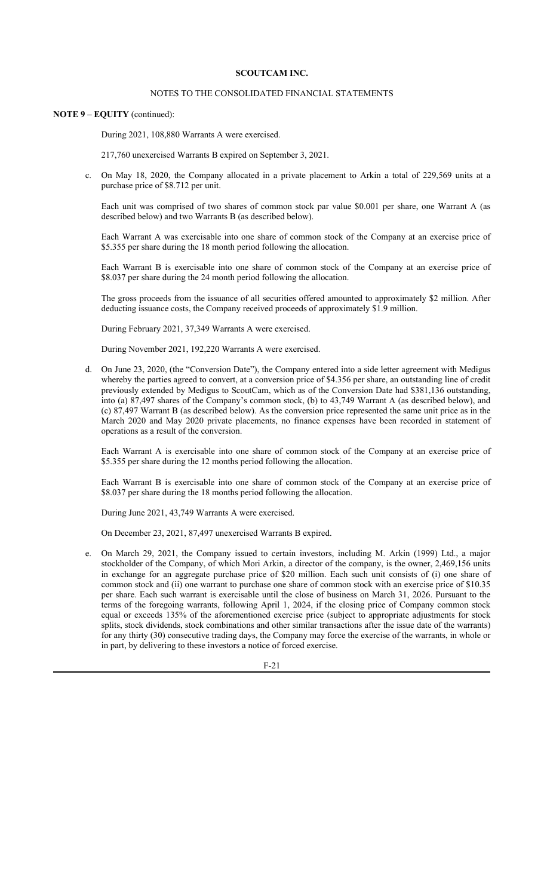### NOTES TO THE CONSOLIDATED FINANCIAL STATEMENTS

## **NOTE 9 – EQUITY** (continued):

During 2021, 108,880 Warrants A were exercised.

217,760 unexercised Warrants B expired on September 3, 2021.

c. On May 18, 2020, the Company allocated in a private placement to Arkin a total of 229,569 units at a purchase price of \$8.712 per unit.

Each unit was comprised of two shares of common stock par value \$0.001 per share, one Warrant A (as described below) and two Warrants B (as described below).

Each Warrant A was exercisable into one share of common stock of the Company at an exercise price of \$5.355 per share during the 18 month period following the allocation.

Each Warrant B is exercisable into one share of common stock of the Company at an exercise price of \$8.037 per share during the 24 month period following the allocation.

The gross proceeds from the issuance of all securities offered amounted to approximately \$2 million. After deducting issuance costs, the Company received proceeds of approximately \$1.9 million.

During February 2021, 37,349 Warrants A were exercised.

During November 2021, 192,220 Warrants A were exercised.

On June 23, 2020, (the "Conversion Date"), the Company entered into a side letter agreement with Medigus whereby the parties agreed to convert, at a conversion price of \$4.356 per share, an outstanding line of credit previously extended by Medigus to ScoutCam, which as of the Conversion Date had \$381,136 outstanding, into (a) 87,497 shares of the Company's common stock, (b) to 43,749 Warrant A (as described below), and (c) 87,497 Warrant B (as described below). As the conversion price represented the same unit price as in the March 2020 and May 2020 private placements, no finance expenses have been recorded in statement of operations as a result of the conversion.

Each Warrant A is exercisable into one share of common stock of the Company at an exercise price of \$5.355 per share during the 12 months period following the allocation.

Each Warrant B is exercisable into one share of common stock of the Company at an exercise price of \$8.037 per share during the 18 months period following the allocation.

During June 2021, 43,749 Warrants A were exercised.

On December 23, 2021, 87,497 unexercised Warrants B expired.

e. On March 29, 2021, the Company issued to certain investors, including M. Arkin (1999) Ltd., a major stockholder of the Company, of which Mori Arkin, a director of the company, is the owner, 2,469,156 units in exchange for an aggregate purchase price of \$20 million. Each such unit consists of (i) one share of common stock and (ii) one warrant to purchase one share of common stock with an exercise price of \$10.35 per share. Each such warrant is exercisable until the close of business on March 31, 2026. Pursuant to the terms of the foregoing warrants, following April 1, 2024, if the closing price of Company common stock equal or exceeds 135% of the aforementioned exercise price (subject to appropriate adjustments for stock splits, stock dividends, stock combinations and other similar transactions after the issue date of the warrants) for any thirty (30) consecutive trading days, the Company may force the exercise of the warrants, in whole or in part, by delivering to these investors a notice of forced exercise.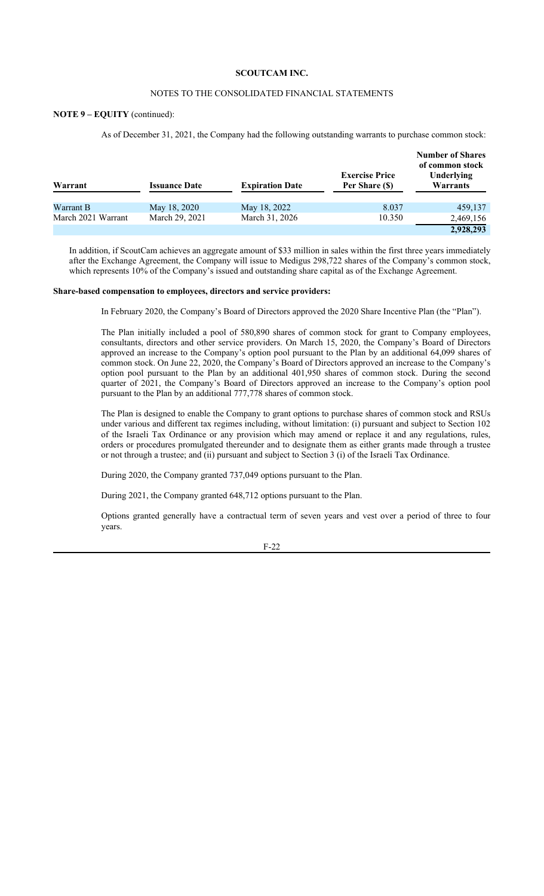## NOTES TO THE CONSOLIDATED FINANCIAL STATEMENTS

### **NOTE 9 – EQUITY** (continued):

| Warrant            | <b>Issuance Date</b> | <b>Expiration Date</b> | <b>Exercise Price</b><br>Per Share (\$) | <b>Number of Shares</b><br>of common stock<br>Underlying<br>Warrants |
|--------------------|----------------------|------------------------|-----------------------------------------|----------------------------------------------------------------------|
| Warrant B          | May 18, 2020         | May 18, 2022           | 8.037                                   | 459,137                                                              |
| March 2021 Warrant | March 29, 2021       | March 31, 2026         | 10.350                                  | 2,469,156                                                            |
|                    |                      |                        |                                         | 2.928.293                                                            |

As of December 31, 2021, the Company had the following outstanding warrants to purchase common stock:

In addition, if ScoutCam achieves an aggregate amount of \$33 million in sales within the first three years immediately after the Exchange Agreement, the Company will issue to Medigus 298,722 shares of the Company's common stock, which represents 10% of the Company's issued and outstanding share capital as of the Exchange Agreement.

#### **Share-based compensation to employees, directors and service providers:**

In February 2020, the Company's Board of Directors approved the 2020 Share Incentive Plan (the "Plan").

The Plan initially included a pool of 580,890 shares of common stock for grant to Company employees, consultants, directors and other service providers. On March 15, 2020, the Company's Board of Directors approved an increase to the Company's option pool pursuant to the Plan by an additional 64,099 shares of common stock. On June 22, 2020, the Company's Board of Directors approved an increase to the Company's option pool pursuant to the Plan by an additional 401,950 shares of common stock. During the second quarter of 2021, the Company's Board of Directors approved an increase to the Company's option pool pursuant to the Plan by an additional 777,778 shares of common stock.

The Plan is designed to enable the Company to grant options to purchase shares of common stock and RSUs under various and different tax regimes including, without limitation: (i) pursuant and subject to Section 102 of the Israeli Tax Ordinance or any provision which may amend or replace it and any regulations, rules, orders or procedures promulgated thereunder and to designate them as either grants made through a trustee or not through a trustee; and (ii) pursuant and subject to Section 3 (i) of the Israeli Tax Ordinance.

During 2020, the Company granted 737,049 options pursuant to the Plan.

During 2021, the Company granted 648,712 options pursuant to the Plan.

Options granted generally have a contractual term of seven years and vest over a period of three to four years.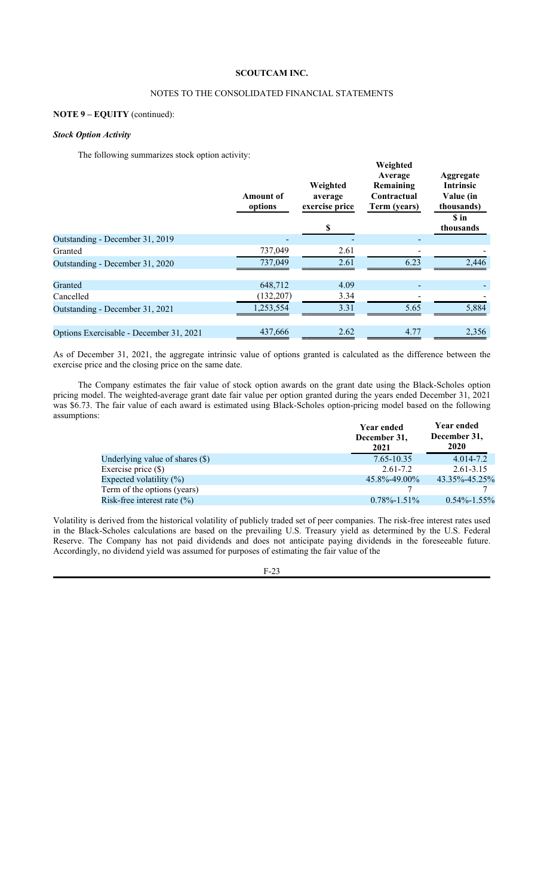## NOTES TO THE CONSOLIDATED FINANCIAL STATEMENTS

## **NOTE 9 – EQUITY** (continued):

## *Stock Option Activity*

The following summarizes stock option activity:

|                                         | <b>Amount of</b><br>options | Weighted<br>average<br>exercise price<br>S | Weighted<br>Average<br>Remaining<br>Contractual<br>Term (years) | Aggregate<br><b>Intrinsic</b><br>Value (in<br>thousands)<br>\$ in<br>thousands |
|-----------------------------------------|-----------------------------|--------------------------------------------|-----------------------------------------------------------------|--------------------------------------------------------------------------------|
| Outstanding - December 31, 2019         |                             |                                            |                                                                 |                                                                                |
| Granted                                 | 737,049                     | 2.61                                       |                                                                 |                                                                                |
| Outstanding - December 31, 2020         | 737,049                     | 2.61                                       | 6.23                                                            | 2,446                                                                          |
| Granted                                 | 648,712                     | 4.09                                       |                                                                 |                                                                                |
| Cancelled                               | (132, 207)                  | 3.34                                       |                                                                 |                                                                                |
| Outstanding - December 31, 2021         | 1,253,554                   | 3.31                                       | 5.65                                                            | 5,884                                                                          |
| Options Exercisable - December 31, 2021 | 437,666                     | 2.62                                       | 4.77                                                            | 2,356                                                                          |

As of December 31, 2021, the aggregate intrinsic value of options granted is calculated as the difference between the exercise price and the closing price on the same date.

The Company estimates the fair value of stock option awards on the grant date using the Black-Scholes option pricing model. The weighted-average grant date fair value per option granted during the years ended December 31, 2021 was \$6.73. The fair value of each award is estimated using Black-Scholes option-pricing model based on the following assumptions:

|                                   | <b>Year ended</b><br>December 31,<br>2021 | Year ended<br>December 31,<br>2020 |
|-----------------------------------|-------------------------------------------|------------------------------------|
| Underlying value of shares $(\$)$ | 7.65-10.35                                | $4.014 - 7.2$                      |
| Exercise price $(\$)$             | $2.61 - 7.2$                              | $2.61 - 3.15$                      |
| Expected volatility $(\%)$        | 45.8%-49.00%                              | 43.35%-45.25%                      |
| Term of the options (years)       |                                           |                                    |
| Risk-free interest rate $(\%)$    | $0.78\% - 1.51\%$                         | $0.54\% - 1.55\%$                  |

Volatility is derived from the historical volatility of publicly traded set of peer companies. The risk-free interest rates used in the Black-Scholes calculations are based on the prevailing U.S. Treasury yield as determined by the U.S. Federal Reserve. The Company has not paid dividends and does not anticipate paying dividends in the foreseeable future. Accordingly, no dividend yield was assumed for purposes of estimating the fair value of the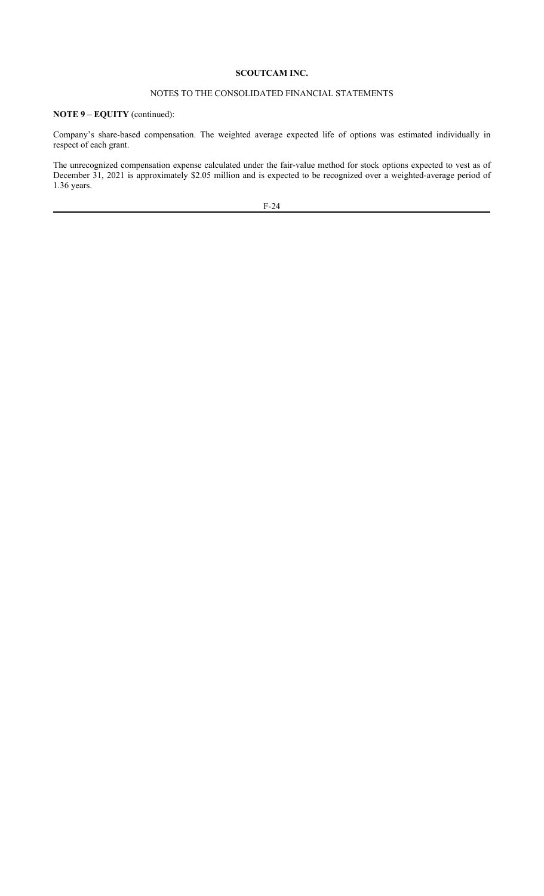# NOTES TO THE CONSOLIDATED FINANCIAL STATEMENTS

# **NOTE 9 – EQUITY** (continued):

Company's share-based compensation. The weighted average expected life of options was estimated individually in respect of each grant.

The unrecognized compensation expense calculated under the fair-value method for stock options expected to vest as of December 31, 2021 is approximately \$2.05 million and is expected to be recognized over a weighted-average period of 1.36 years.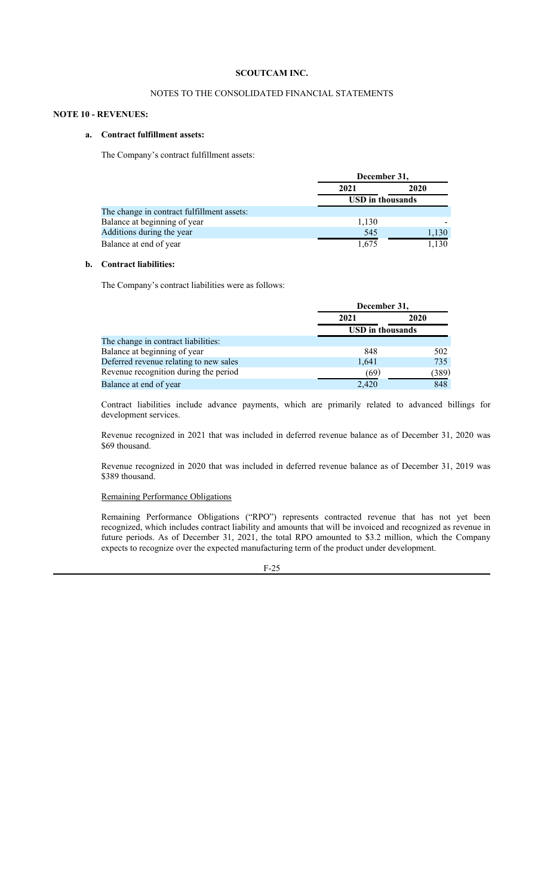# NOTES TO THE CONSOLIDATED FINANCIAL STATEMENTS

# **NOTE 10 - REVENUES:**

## **a. Contract fulfillment assets:**

The Company's contract fulfillment assets:

|                                            | December 31,            |       |
|--------------------------------------------|-------------------------|-------|
|                                            | 2021                    | 2020  |
|                                            | <b>USD</b> in thousands |       |
| The change in contract fulfillment assets: |                         |       |
| Balance at beginning of year               | 1,130                   |       |
| Additions during the year                  | 545                     | 1,130 |
| Balance at end of year                     | 1,675                   | ,130  |

### **b. Contract liabilities:**

The Company's contract liabilities were as follows:

|                                        | December 31,            |       |
|----------------------------------------|-------------------------|-------|
|                                        | 2021                    | 2020  |
|                                        | <b>USD</b> in thousands |       |
| The change in contract liabilities:    |                         |       |
| Balance at beginning of year           | 848                     | 502   |
| Deferred revenue relating to new sales | 1,641                   | 735   |
| Revenue recognition during the period  | (69)                    | (389) |
| Balance at end of year                 | 2.420                   | 848   |

Contract liabilities include advance payments, which are primarily related to advanced billings for development services.

Revenue recognized in 2021 that was included in deferred revenue balance as of December 31, 2020 was \$69 thousand.

Revenue recognized in 2020 that was included in deferred revenue balance as of December 31, 2019 was \$389 thousand.

#### Remaining Performance Obligations

Remaining Performance Obligations ("RPO") represents contracted revenue that has not yet been recognized, which includes contract liability and amounts that will be invoiced and recognized as revenue in future periods. As of December 31, 2021, the total RPO amounted to \$3.2 million, which the Company expects to recognize over the expected manufacturing term of the product under development.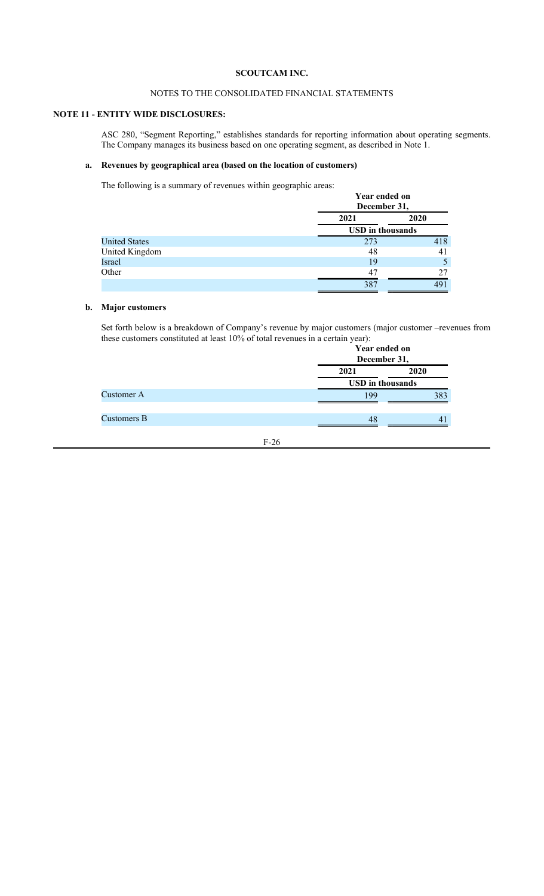# NOTES TO THE CONSOLIDATED FINANCIAL STATEMENTS

# **NOTE 11 - ENTITY WIDE DISCLOSURES:**

ASC 280, "Segment Reporting," establishes standards for reporting information about operating segments. The Company manages its business based on one operating segment, as described in Note 1.

# **a. Revenues by geographical area (based on the location of customers)**

The following is a summary of revenues within geographic areas:

|                      |      | Year ended on<br>December 31, |  |
|----------------------|------|-------------------------------|--|
|                      | 2021 | 2020                          |  |
|                      |      | <b>USD</b> in thousands       |  |
| <b>United States</b> | 273  | 418                           |  |
| United Kingdom       | 48   | 41                            |  |
| Israel               | 19   |                               |  |
| Other                | 47   | 27                            |  |
|                      | 387  |                               |  |

### **b. Major customers**

Set forth below is a breakdown of Company's revenue by major customers (major customer –revenues from these customers constituted at least 10% of total revenues in a certain year):

|                    | Year ended on<br>December 31, |      |
|--------------------|-------------------------------|------|
|                    | 2021                          | 2020 |
|                    | <b>USD</b> in thousands       |      |
| Customer A         | 199                           | 383  |
|                    |                               |      |
| <b>Customers B</b> | 48                            |      |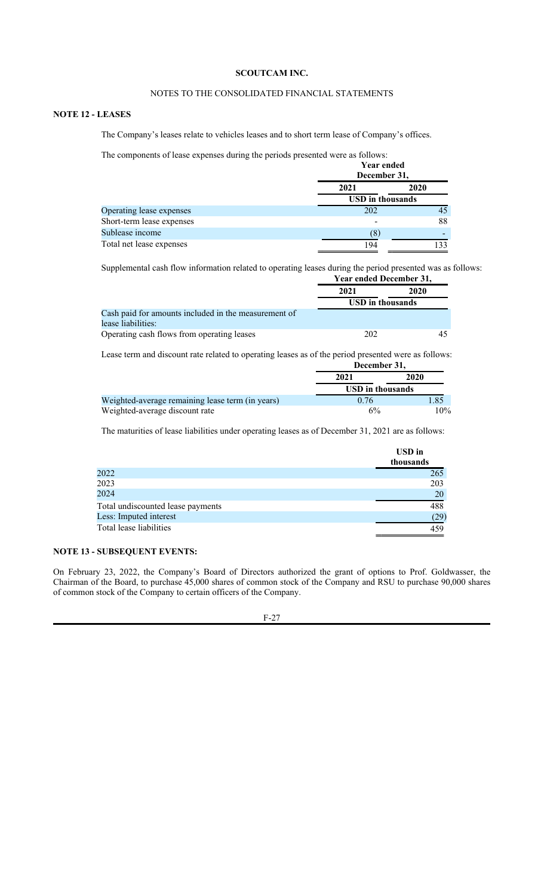# NOTES TO THE CONSOLIDATED FINANCIAL STATEMENTS

# **NOTE 12 - LEASES**

The Company's leases relate to vehicles leases and to short term lease of Company's offices.

The components of lease expenses during the periods presented were as follows:

|                           |                         | <b>Year ended</b><br>December 31, |  |
|---------------------------|-------------------------|-----------------------------------|--|
|                           | 2021                    | 2020                              |  |
|                           | <b>USD</b> in thousands |                                   |  |
| Operating lease expenses  | 202                     | 45                                |  |
| Short-term lease expenses |                         | 88                                |  |
| Sublease income           | (8)                     |                                   |  |
| Total net lease expenses  | 194                     | 133                               |  |

Supplemental cash flow information related to operating leases during the period presented was as follows:

|                                                      | Year ended December 31, |      |
|------------------------------------------------------|-------------------------|------|
|                                                      | 2021                    | 2020 |
|                                                      | <b>USD</b> in thousands |      |
| Cash paid for amounts included in the measurement of |                         |      |
| lease liabilities:                                   |                         |      |
| Operating cash flows from operating leases           | 202                     |      |

Lease term and discount rate related to operating leases as of the period presented were as follows: **December 31,**

|                                                  | рессиностран            |      |
|--------------------------------------------------|-------------------------|------|
|                                                  | 2021                    | 2020 |
|                                                  | <b>USD</b> in thousands |      |
| Weighted-average remaining lease term (in years) | 0.76                    | .85  |
| Weighted-average discount rate                   | 6%                      | 10%  |

The maturities of lease liabilities under operating leases as of December 31, 2021 are as follows:

|                                   | <b>USD</b> in<br>thousands |
|-----------------------------------|----------------------------|
| 2022                              | 265                        |
| 2023                              | 203                        |
| 2024                              | 20                         |
| Total undiscounted lease payments | 488                        |
| Less: Imputed interest            | (29)                       |
| Total lease liabilities           | 459                        |

# **NOTE 13 - SUBSEQUENT EVENTS:**

On February 23, 2022, the Company's Board of Directors authorized the grant of options to Prof. Goldwasser, the Chairman of the Board, to purchase 45,000 shares of common stock of the Company and RSU to purchase 90,000 shares of common stock of the Company to certain officers of the Company.

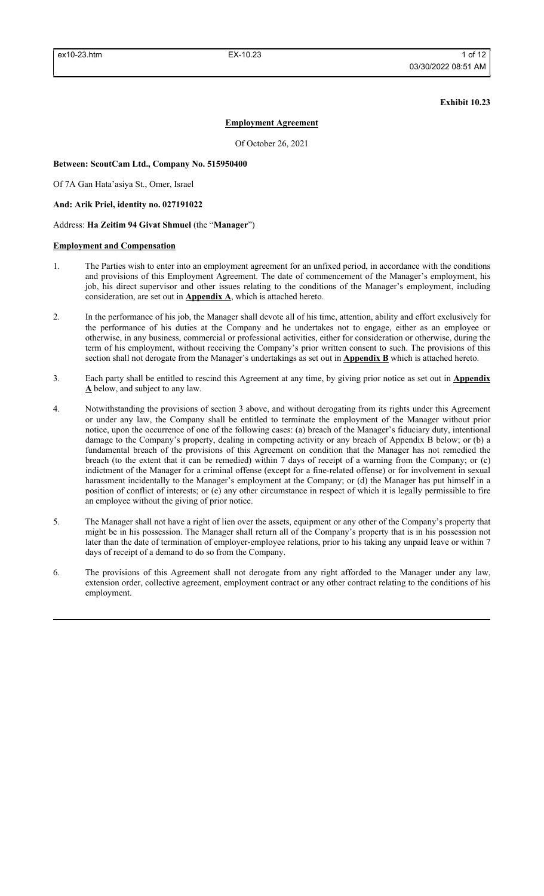### **Exhibit 10.23**

#### **Employment Agreement**

Of October 26, 2021

#### **Between: ScoutCam Ltd., Company No. 515950400**

Of 7A Gan Hata'asiya St., Omer, Israel

**And: Arik Priel, identity no. 027191022**

#### Address: **Ha Zeitim 94 Givat Shmuel** (the "**Manager**")

### **Employment and Compensation**

- 1. The Parties wish to enter into an employment agreement for an unfixed period, in accordance with the conditions and provisions of this Employment Agreement. The date of commencement of the Manager's employment, his job, his direct supervisor and other issues relating to the conditions of the Manager's employment, including consideration, are set out in **Appendix A**, which is attached hereto.
- 2. In the performance of his job, the Manager shall devote all of his time, attention, ability and effort exclusively for the performance of his duties at the Company and he undertakes not to engage, either as an employee or otherwise, in any business, commercial or professional activities, either for consideration or otherwise, during the term of his employment, without receiving the Company's prior written consent to such. The provisions of this section shall not derogate from the Manager's undertakings as set out in **Appendix B** which is attached hereto.
- 3. Each party shall be entitled to rescind this Agreement at any time, by giving prior notice as set out in **Appendix A** below, and subject to any law.
- 4. Notwithstanding the provisions of section 3 above, and without derogating from its rights under this Agreement or under any law, the Company shall be entitled to terminate the employment of the Manager without prior notice, upon the occurrence of one of the following cases: (a) breach of the Manager's fiduciary duty, intentional damage to the Company's property, dealing in competing activity or any breach of Appendix B below; or (b) a fundamental breach of the provisions of this Agreement on condition that the Manager has not remedied the breach (to the extent that it can be remedied) within 7 days of receipt of a warning from the Company; or (c) indictment of the Manager for a criminal offense (except for a fine-related offense) or for involvement in sexual harassment incidentally to the Manager's employment at the Company; or (d) the Manager has put himself in a position of conflict of interests; or (e) any other circumstance in respect of which it is legally permissible to fire an employee without the giving of prior notice.
- 5. The Manager shall not have a right of lien over the assets, equipment or any other of the Company's property that might be in his possession. The Manager shall return all of the Company's property that is in his possession not later than the date of termination of employer-employee relations, prior to his taking any unpaid leave or within 7 days of receipt of a demand to do so from the Company.
- 6. The provisions of this Agreement shall not derogate from any right afforded to the Manager under any law, extension order, collective agreement, employment contract or any other contract relating to the conditions of his employment.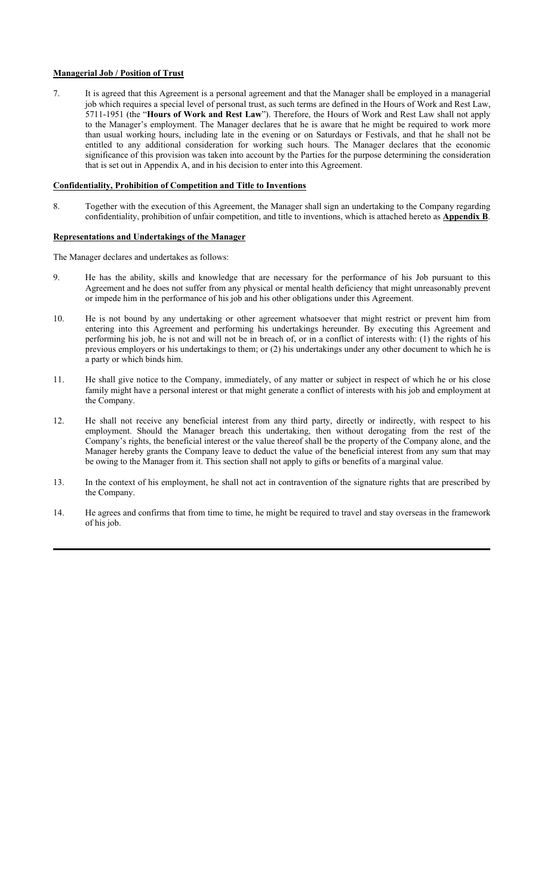#### **Managerial Job / Position of Trust**

7. It is agreed that this Agreement is a personal agreement and that the Manager shall be employed in a managerial job which requires a special level of personal trust, as such terms are defined in the Hours of Work and Rest Law, 5711-1951 (the "**Hours of Work and Rest Law**"). Therefore, the Hours of Work and Rest Law shall not apply to the Manager's employment. The Manager declares that he is aware that he might be required to work more than usual working hours, including late in the evening or on Saturdays or Festivals, and that he shall not be entitled to any additional consideration for working such hours. The Manager declares that the economic significance of this provision was taken into account by the Parties for the purpose determining the consideration that is set out in Appendix A, and in his decision to enter into this Agreement.

#### **Confidentiality, Prohibition of Competition and Title to Inventions**

8. Together with the execution of this Agreement, the Manager shall sign an undertaking to the Company regarding confidentiality, prohibition of unfair competition, and title to inventions, which is attached hereto as **Appendix B**.

#### **Representations and Undertakings of the Manager**

The Manager declares and undertakes as follows:

- 9. He has the ability, skills and knowledge that are necessary for the performance of his Job pursuant to this Agreement and he does not suffer from any physical or mental health deficiency that might unreasonably prevent or impede him in the performance of his job and his other obligations under this Agreement.
- 10. He is not bound by any undertaking or other agreement whatsoever that might restrict or prevent him from entering into this Agreement and performing his undertakings hereunder. By executing this Agreement and performing his job, he is not and will not be in breach of, or in a conflict of interests with: (1) the rights of his previous employers or his undertakings to them; or (2) his undertakings under any other document to which he is a party or which binds him.
- 11. He shall give notice to the Company, immediately, of any matter or subject in respect of which he or his close family might have a personal interest or that might generate a conflict of interests with his job and employment at the Company.
- 12. He shall not receive any beneficial interest from any third party, directly or indirectly, with respect to his employment. Should the Manager breach this undertaking, then without derogating from the rest of the Company's rights, the beneficial interest or the value thereof shall be the property of the Company alone, and the Manager hereby grants the Company leave to deduct the value of the beneficial interest from any sum that may be owing to the Manager from it. This section shall not apply to gifts or benefits of a marginal value.
- 13. In the context of his employment, he shall not act in contravention of the signature rights that are prescribed by the Company.
- 14. He agrees and confirms that from time to time, he might be required to travel and stay overseas in the framework of his job.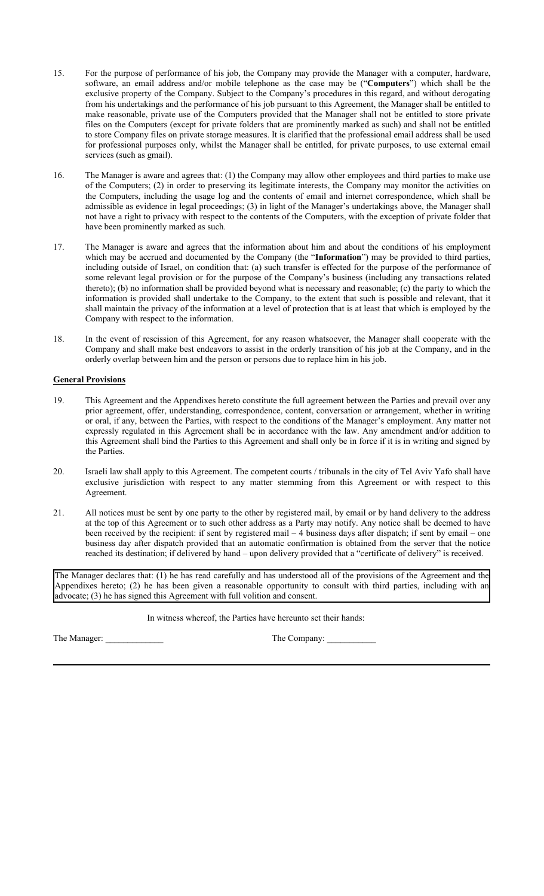- 15. For the purpose of performance of his job, the Company may provide the Manager with a computer, hardware, software, an email address and/or mobile telephone as the case may be ("**Computers**") which shall be the exclusive property of the Company. Subject to the Company's procedures in this regard, and without derogating from his undertakings and the performance of his job pursuant to this Agreement, the Manager shall be entitled to make reasonable, private use of the Computers provided that the Manager shall not be entitled to store private files on the Computers (except for private folders that are prominently marked as such) and shall not be entitled to store Company files on private storage measures. It is clarified that the professional email address shall be used for professional purposes only, whilst the Manager shall be entitled, for private purposes, to use external email services (such as gmail).
- 16. The Manager is aware and agrees that: (1) the Company may allow other employees and third parties to make use of the Computers; (2) in order to preserving its legitimate interests, the Company may monitor the activities on the Computers, including the usage log and the contents of email and internet correspondence, which shall be admissible as evidence in legal proceedings; (3) in light of the Manager's undertakings above, the Manager shall not have a right to privacy with respect to the contents of the Computers, with the exception of private folder that have been prominently marked as such.
- 17. The Manager is aware and agrees that the information about him and about the conditions of his employment which may be accrued and documented by the Company (the "**Information**") may be provided to third parties, including outside of Israel, on condition that: (a) such transfer is effected for the purpose of the performance of some relevant legal provision or for the purpose of the Company's business (including any transactions related thereto); (b) no information shall be provided beyond what is necessary and reasonable; (c) the party to which the information is provided shall undertake to the Company, to the extent that such is possible and relevant, that it shall maintain the privacy of the information at a level of protection that is at least that which is employed by the Company with respect to the information.
- 18. In the event of rescission of this Agreement, for any reason whatsoever, the Manager shall cooperate with the Company and shall make best endeavors to assist in the orderly transition of his job at the Company, and in the orderly overlap between him and the person or persons due to replace him in his job.

## **General Provisions**

- 19. This Agreement and the Appendixes hereto constitute the full agreement between the Parties and prevail over any prior agreement, offer, understanding, correspondence, content, conversation or arrangement, whether in writing or oral, if any, between the Parties, with respect to the conditions of the Manager's employment. Any matter not expressly regulated in this Agreement shall be in accordance with the law. Any amendment and/or addition to this Agreement shall bind the Parties to this Agreement and shall only be in force if it is in writing and signed by the Parties.
- 20. Israeli law shall apply to this Agreement. The competent courts / tribunals in the city of Tel Aviv Yafo shall have exclusive jurisdiction with respect to any matter stemming from this Agreement or with respect to this Agreement.
- 21. All notices must be sent by one party to the other by registered mail, by email or by hand delivery to the address at the top of this Agreement or to such other address as a Party may notify. Any notice shall be deemed to have been received by the recipient: if sent by registered mail – 4 business days after dispatch; if sent by email – one business day after dispatch provided that an automatic confirmation is obtained from the server that the notice reached its destination; if delivered by hand – upon delivery provided that a "certificate of delivery" is received.

The Manager declares that: (1) he has read carefully and has understood all of the provisions of the Agreement and the Appendixes hereto; (2) he has been given a reasonable opportunity to consult with third parties, including with an advocate; (3) he has signed this Agreement with full volition and consent.

In witness whereof, the Parties have hereunto set their hands:

The Manager: \_\_\_\_\_\_\_\_\_\_\_\_\_ The Company: \_\_\_\_\_\_\_\_\_\_\_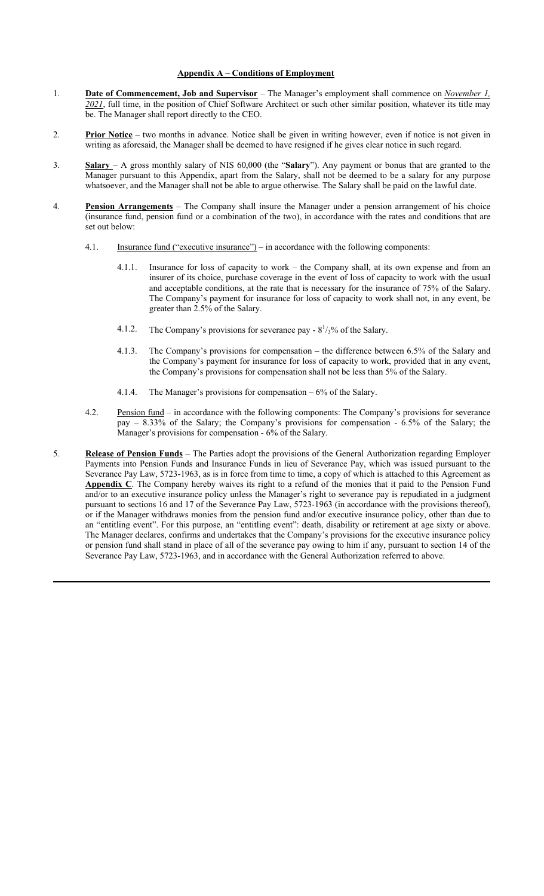#### **Appendix A – Conditions of Employment**

- 1. **Date of Commencement, Job and Supervisor** The Manager's employment shall commence on *November 1, 2021*, full time, in the position of Chief Software Architect or such other similar position, whatever its title may be. The Manager shall report directly to the CEO.
- 2. **Prior Notice** two months in advance. Notice shall be given in writing however, even if notice is not given in writing as aforesaid, the Manager shall be deemed to have resigned if he gives clear notice in such regard.
- 3. **Salary**  A gross monthly salary of NIS 60,000 (the "**Salary**"). Any payment or bonus that are granted to the Manager pursuant to this Appendix, apart from the Salary, shall not be deemed to be a salary for any purpose whatsoever, and the Manager shall not be able to argue otherwise. The Salary shall be paid on the lawful date.
- 4. **Pension Arrangements** The Company shall insure the Manager under a pension arrangement of his choice (insurance fund, pension fund or a combination of the two), in accordance with the rates and conditions that are set out below:
	- 4.1. Insurance fund ("executive insurance") in accordance with the following components:
		- 4.1.1. Insurance for loss of capacity to work the Company shall, at its own expense and from an insurer of its choice, purchase coverage in the event of loss of capacity to work with the usual and acceptable conditions, at the rate that is necessary for the insurance of 75% of the Salary. The Company's payment for insurance for loss of capacity to work shall not, in any event, be greater than 2.5% of the Salary.
		- 4.1.2. The Company's provisions for severance pay  $-8^{1/3}$ % of the Salary.
		- 4.1.3. The Company's provisions for compensation the difference between 6.5% of the Salary and the Company's payment for insurance for loss of capacity to work, provided that in any event, the Company's provisions for compensation shall not be less than 5% of the Salary.
		- 4.1.4. The Manager's provisions for compensation  $-6\%$  of the Salary.
	- 4.2. Pension fund in accordance with the following components: The Company's provisions for severance pay – 8.33% of the Salary; the Company's provisions for compensation - 6.5% of the Salary; the Manager's provisions for compensation - 6% of the Salary.
- 5. **Release of Pension Funds** The Parties adopt the provisions of the General Authorization regarding Employer Payments into Pension Funds and Insurance Funds in lieu of Severance Pay, which was issued pursuant to the Severance Pay Law, 5723-1963, as is in force from time to time, a copy of which is attached to this Agreement as Appendix C. The Company hereby waives its right to a refund of the monies that it paid to the Pension Fund and/or to an executive insurance policy unless the Manager's right to severance pay is repudiated in a judgment pursuant to sections 16 and 17 of the Severance Pay Law, 5723-1963 (in accordance with the provisions thereof), or if the Manager withdraws monies from the pension fund and/or executive insurance policy, other than due to an "entitling event". For this purpose, an "entitling event": death, disability or retirement at age sixty or above. The Manager declares, confirms and undertakes that the Company's provisions for the executive insurance policy or pension fund shall stand in place of all of the severance pay owing to him if any, pursuant to section 14 of the Severance Pay Law, 5723-1963, and in accordance with the General Authorization referred to above.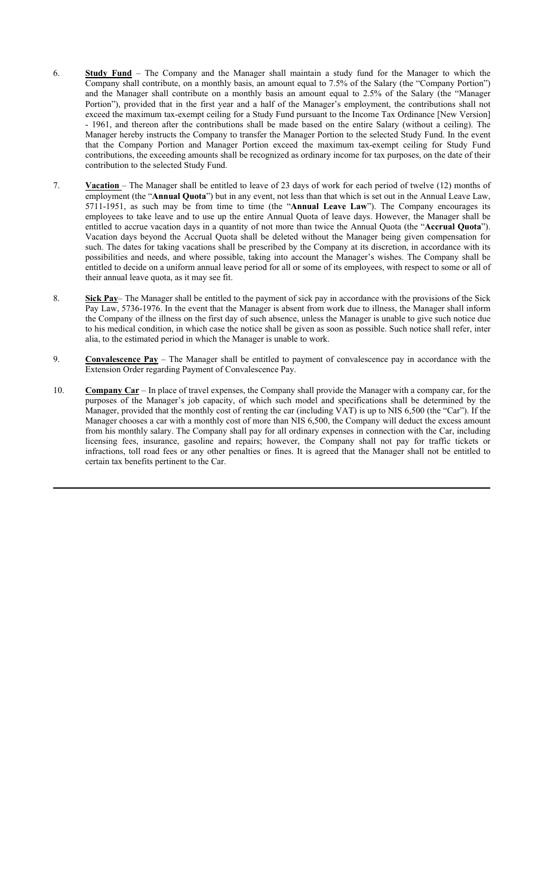- 6. **Study Fund** The Company and the Manager shall maintain a study fund for the Manager to which the Company shall contribute, on a monthly basis, an amount equal to 7.5% of the Salary (the "Company Portion") and the Manager shall contribute on a monthly basis an amount equal to 2.5% of the Salary (the "Manager Portion"), provided that in the first year and a half of the Manager's employment, the contributions shall not exceed the maximum tax-exempt ceiling for a Study Fund pursuant to the Income Tax Ordinance [New Version] - 1961, and thereon after the contributions shall be made based on the entire Salary (without a ceiling). The Manager hereby instructs the Company to transfer the Manager Portion to the selected Study Fund. In the event that the Company Portion and Manager Portion exceed the maximum tax-exempt ceiling for Study Fund contributions, the exceeding amounts shall be recognized as ordinary income for tax purposes, on the date of their contribution to the selected Study Fund.
- 7. **Vacation**  The Manager shall be entitled to leave of 23 days of work for each period of twelve (12) months of employment (the "**Annual Quota**") but in any event, not less than that which is set out in the Annual Leave Law, 5711-1951, as such may be from time to time (the "**Annual Leave Law**"). The Company encourages its employees to take leave and to use up the entire Annual Quota of leave days. However, the Manager shall be entitled to accrue vacation days in a quantity of not more than twice the Annual Quota (the "**Accrual Quota**"). Vacation days beyond the Accrual Quota shall be deleted without the Manager being given compensation for such. The dates for taking vacations shall be prescribed by the Company at its discretion, in accordance with its possibilities and needs, and where possible, taking into account the Manager's wishes. The Company shall be entitled to decide on a uniform annual leave period for all or some of its employees, with respect to some or all of their annual leave quota, as it may see fit.
- 8. **Sick Pay** The Manager shall be entitled to the payment of sick pay in accordance with the provisions of the Sick Pay Law, 5736-1976. In the event that the Manager is absent from work due to illness, the Manager shall inform the Company of the illness on the first day of such absence, unless the Manager is unable to give such notice due to his medical condition, in which case the notice shall be given as soon as possible. Such notice shall refer, inter alia, to the estimated period in which the Manager is unable to work.
- 9. **Convalescence Pay** The Manager shall be entitled to payment of convalescence pay in accordance with the Extension Order regarding Payment of Convalescence Pay.
- 10. **Company Car** In place of travel expenses, the Company shall provide the Manager with a company car, for the purposes of the Manager's job capacity, of which such model and specifications shall be determined by the Manager, provided that the monthly cost of renting the car (including VAT) is up to NIS 6,500 (the "Car"). If the Manager chooses a car with a monthly cost of more than NIS 6,500, the Company will deduct the excess amount from his monthly salary. The Company shall pay for all ordinary expenses in connection with the Car, including licensing fees, insurance, gasoline and repairs; however, the Company shall not pay for traffic tickets or infractions, toll road fees or any other penalties or fines. It is agreed that the Manager shall not be entitled to certain tax benefits pertinent to the Car.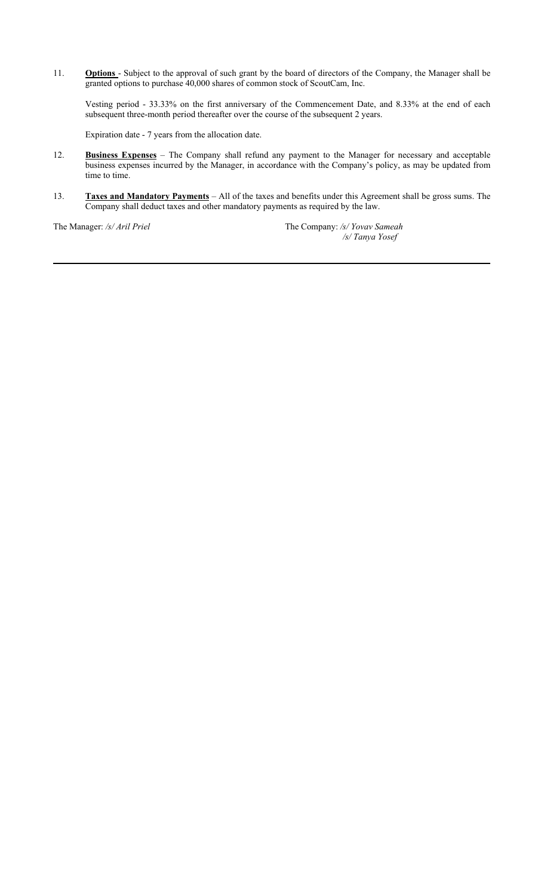11. **Options** - Subject to the approval of such grant by the board of directors of the Company, the Manager shall be granted options to purchase 40,000 shares of common stock of ScoutCam, Inc.

Vesting period - 33.33% on the first anniversary of the Commencement Date, and 8.33% at the end of each subsequent three-month period thereafter over the course of the subsequent 2 years.

Expiration date - 7 years from the allocation date.

- 12. **Business Expenses** The Company shall refund any payment to the Manager for necessary and acceptable business expenses incurred by the Manager, in accordance with the Company's policy, as may be updated from time to time.
- 13. **Taxes and Mandatory Payments** All of the taxes and benefits under this Agreement shall be gross sums. The Company shall deduct taxes and other mandatory payments as required by the law.

The Manager: /s/ Aril Priel The Company: /s/ Yovav Sameah */s/ Tanya Yosef*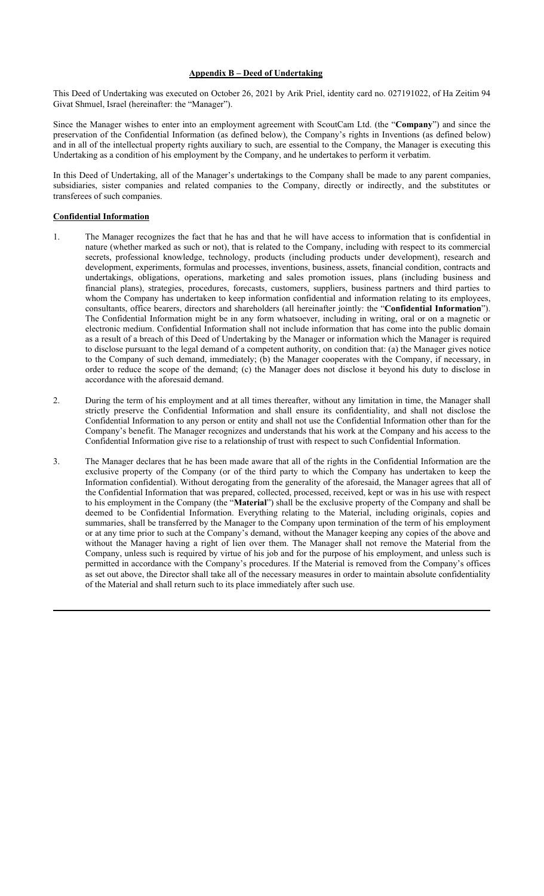#### **Appendix B – Deed of Undertaking**

This Deed of Undertaking was executed on October 26, 2021 by Arik Priel, identity card no. 027191022, of Ha Zeitim 94 Givat Shmuel, Israel (hereinafter: the "Manager").

Since the Manager wishes to enter into an employment agreement with ScoutCam Ltd. (the "**Company**") and since the preservation of the Confidential Information (as defined below), the Company's rights in Inventions (as defined below) and in all of the intellectual property rights auxiliary to such, are essential to the Company, the Manager is executing this Undertaking as a condition of his employment by the Company, and he undertakes to perform it verbatim.

In this Deed of Undertaking, all of the Manager's undertakings to the Company shall be made to any parent companies, subsidiaries, sister companies and related companies to the Company, directly or indirectly, and the substitutes or transferees of such companies.

### **Confidential Information**

- 1. The Manager recognizes the fact that he has and that he will have access to information that is confidential in nature (whether marked as such or not), that is related to the Company, including with respect to its commercial secrets, professional knowledge, technology, products (including products under development), research and development, experiments, formulas and processes, inventions, business, assets, financial condition, contracts and undertakings, obligations, operations, marketing and sales promotion issues, plans (including business and financial plans), strategies, procedures, forecasts, customers, suppliers, business partners and third parties to whom the Company has undertaken to keep information confidential and information relating to its employees, consultants, office bearers, directors and shareholders (all hereinafter jointly: the "**Confidential Information**"). The Confidential Information might be in any form whatsoever, including in writing, oral or on a magnetic or electronic medium. Confidential Information shall not include information that has come into the public domain as a result of a breach of this Deed of Undertaking by the Manager or information which the Manager is required to disclose pursuant to the legal demand of a competent authority, on condition that: (a) the Manager gives notice to the Company of such demand, immediately; (b) the Manager cooperates with the Company, if necessary, in order to reduce the scope of the demand; (c) the Manager does not disclose it beyond his duty to disclose in accordance with the aforesaid demand.
- 2. During the term of his employment and at all times thereafter, without any limitation in time, the Manager shall strictly preserve the Confidential Information and shall ensure its confidentiality, and shall not disclose the Confidential Information to any person or entity and shall not use the Confidential Information other than for the Company's benefit. The Manager recognizes and understands that his work at the Company and his access to the Confidential Information give rise to a relationship of trust with respect to such Confidential Information.
- 3. The Manager declares that he has been made aware that all of the rights in the Confidential Information are the exclusive property of the Company (or of the third party to which the Company has undertaken to keep the Information confidential). Without derogating from the generality of the aforesaid, the Manager agrees that all of the Confidential Information that was prepared, collected, processed, received, kept or was in his use with respect to his employment in the Company (the "**Material**") shall be the exclusive property of the Company and shall be deemed to be Confidential Information. Everything relating to the Material, including originals, copies and summaries, shall be transferred by the Manager to the Company upon termination of the term of his employment or at any time prior to such at the Company's demand, without the Manager keeping any copies of the above and without the Manager having a right of lien over them. The Manager shall not remove the Material from the Company, unless such is required by virtue of his job and for the purpose of his employment, and unless such is permitted in accordance with the Company's procedures. If the Material is removed from the Company's offices as set out above, the Director shall take all of the necessary measures in order to maintain absolute confidentiality of the Material and shall return such to its place immediately after such use.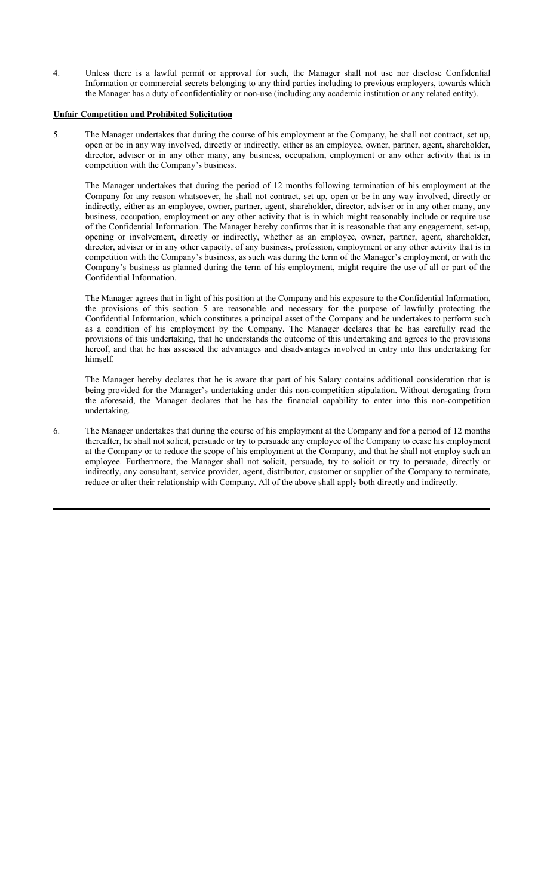4. Unless there is a lawful permit or approval for such, the Manager shall not use nor disclose Confidential Information or commercial secrets belonging to any third parties including to previous employers, towards which the Manager has a duty of confidentiality or non-use (including any academic institution or any related entity).

#### **Unfair Competition and Prohibited Solicitation**

5. The Manager undertakes that during the course of his employment at the Company, he shall not contract, set up, open or be in any way involved, directly or indirectly, either as an employee, owner, partner, agent, shareholder, director, adviser or in any other many, any business, occupation, employment or any other activity that is in competition with the Company's business.

The Manager undertakes that during the period of 12 months following termination of his employment at the Company for any reason whatsoever, he shall not contract, set up, open or be in any way involved, directly or indirectly, either as an employee, owner, partner, agent, shareholder, director, adviser or in any other many, any business, occupation, employment or any other activity that is in which might reasonably include or require use of the Confidential Information. The Manager hereby confirms that it is reasonable that any engagement, set-up, opening or involvement, directly or indirectly, whether as an employee, owner, partner, agent, shareholder, director, adviser or in any other capacity, of any business, profession, employment or any other activity that is in competition with the Company's business, as such was during the term of the Manager's employment, or with the Company's business as planned during the term of his employment, might require the use of all or part of the Confidential Information.

The Manager agrees that in light of his position at the Company and his exposure to the Confidential Information, the provisions of this section 5 are reasonable and necessary for the purpose of lawfully protecting the Confidential Information, which constitutes a principal asset of the Company and he undertakes to perform such as a condition of his employment by the Company. The Manager declares that he has carefully read the provisions of this undertaking, that he understands the outcome of this undertaking and agrees to the provisions hereof, and that he has assessed the advantages and disadvantages involved in entry into this undertaking for himself.

The Manager hereby declares that he is aware that part of his Salary contains additional consideration that is being provided for the Manager's undertaking under this non-competition stipulation. Without derogating from the aforesaid, the Manager declares that he has the financial capability to enter into this non-competition undertaking.

6. The Manager undertakes that during the course of his employment at the Company and for a period of 12 months thereafter, he shall not solicit, persuade or try to persuade any employee of the Company to cease his employment at the Company or to reduce the scope of his employment at the Company, and that he shall not employ such an employee. Furthermore, the Manager shall not solicit, persuade, try to solicit or try to persuade, directly or indirectly, any consultant, service provider, agent, distributor, customer or supplier of the Company to terminate, reduce or alter their relationship with Company. All of the above shall apply both directly and indirectly.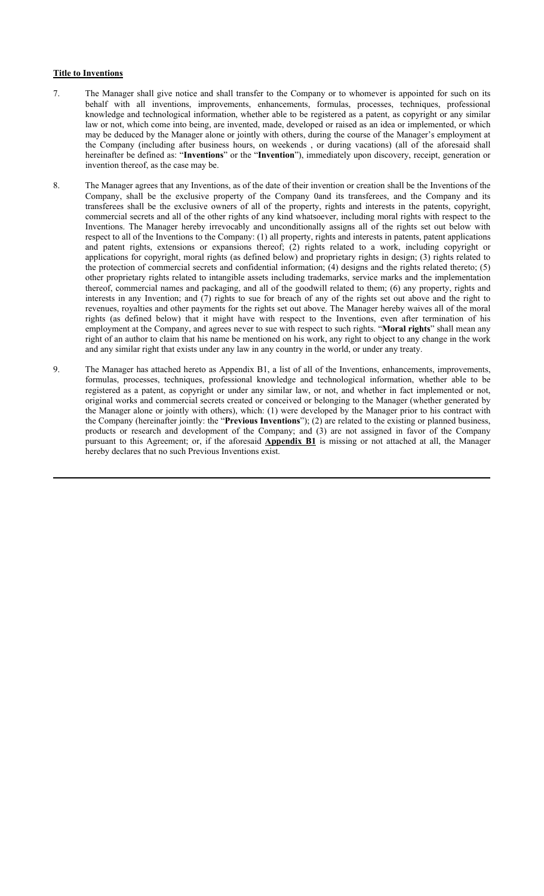#### **Title to Inventions**

- 7. The Manager shall give notice and shall transfer to the Company or to whomever is appointed for such on its behalf with all inventions, improvements, enhancements, formulas, processes, techniques, professional knowledge and technological information, whether able to be registered as a patent, as copyright or any similar law or not, which come into being, are invented, made, developed or raised as an idea or implemented, or which may be deduced by the Manager alone or jointly with others, during the course of the Manager's employment at the Company (including after business hours, on weekends , or during vacations) (all of the aforesaid shall hereinafter be defined as: "**Inventions**" or the "**Invention**"), immediately upon discovery, receipt, generation or invention thereof, as the case may be.
- 8. The Manager agrees that any Inventions, as of the date of their invention or creation shall be the Inventions of the Company, shall be the exclusive property of the Company 0and its transferees, and the Company and its transferees shall be the exclusive owners of all of the property, rights and interests in the patents, copyright, commercial secrets and all of the other rights of any kind whatsoever, including moral rights with respect to the Inventions. The Manager hereby irrevocably and unconditionally assigns all of the rights set out below with respect to all of the Inventions to the Company: (1) all property, rights and interests in patents, patent applications and patent rights, extensions or expansions thereof; (2) rights related to a work, including copyright or applications for copyright, moral rights (as defined below) and proprietary rights in design; (3) rights related to the protection of commercial secrets and confidential information; (4) designs and the rights related thereto; (5) other proprietary rights related to intangible assets including trademarks, service marks and the implementation thereof, commercial names and packaging, and all of the goodwill related to them; (6) any property, rights and interests in any Invention; and (7) rights to sue for breach of any of the rights set out above and the right to revenues, royalties and other payments for the rights set out above. The Manager hereby waives all of the moral rights (as defined below) that it might have with respect to the Inventions, even after termination of his employment at the Company, and agrees never to sue with respect to such rights. "**Moral rights**" shall mean any right of an author to claim that his name be mentioned on his work, any right to object to any change in the work and any similar right that exists under any law in any country in the world, or under any treaty.
- 9. The Manager has attached hereto as Appendix B1, a list of all of the Inventions, enhancements, improvements, formulas, processes, techniques, professional knowledge and technological information, whether able to be registered as a patent, as copyright or under any similar law, or not, and whether in fact implemented or not, original works and commercial secrets created or conceived or belonging to the Manager (whether generated by the Manager alone or jointly with others), which: (1) were developed by the Manager prior to his contract with the Company (hereinafter jointly: the "**Previous Inventions**"); (2) are related to the existing or planned business, products or research and development of the Company; and (3) are not assigned in favor of the Company pursuant to this Agreement; or, if the aforesaid **Appendix B1** is missing or not attached at all, the Manager hereby declares that no such Previous Inventions exist.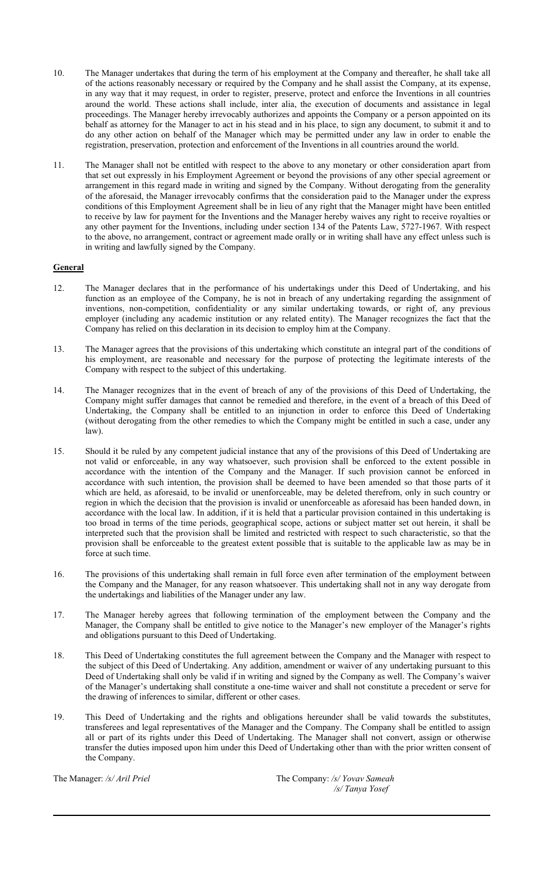- 10. The Manager undertakes that during the term of his employment at the Company and thereafter, he shall take all of the actions reasonably necessary or required by the Company and he shall assist the Company, at its expense, in any way that it may request, in order to register, preserve, protect and enforce the Inventions in all countries around the world. These actions shall include, inter alia, the execution of documents and assistance in legal proceedings. The Manager hereby irrevocably authorizes and appoints the Company or a person appointed on its behalf as attorney for the Manager to act in his stead and in his place, to sign any document, to submit it and to do any other action on behalf of the Manager which may be permitted under any law in order to enable the registration, preservation, protection and enforcement of the Inventions in all countries around the world.
- 11. The Manager shall not be entitled with respect to the above to any monetary or other consideration apart from that set out expressly in his Employment Agreement or beyond the provisions of any other special agreement or arrangement in this regard made in writing and signed by the Company. Without derogating from the generality of the aforesaid, the Manager irrevocably confirms that the consideration paid to the Manager under the express conditions of this Employment Agreement shall be in lieu of any right that the Manager might have been entitled to receive by law for payment for the Inventions and the Manager hereby waives any right to receive royalties or any other payment for the Inventions, including under section 134 of the Patents Law, 5727-1967. With respect to the above, no arrangement, contract or agreement made orally or in writing shall have any effect unless such is in writing and lawfully signed by the Company.

### **General**

- 12. The Manager declares that in the performance of his undertakings under this Deed of Undertaking, and his function as an employee of the Company, he is not in breach of any undertaking regarding the assignment of inventions, non-competition, confidentiality or any similar undertaking towards, or right of, any previous employer (including any academic institution or any related entity). The Manager recognizes the fact that the Company has relied on this declaration in its decision to employ him at the Company.
- 13. The Manager agrees that the provisions of this undertaking which constitute an integral part of the conditions of his employment, are reasonable and necessary for the purpose of protecting the legitimate interests of the Company with respect to the subject of this undertaking.
- 14. The Manager recognizes that in the event of breach of any of the provisions of this Deed of Undertaking, the Company might suffer damages that cannot be remedied and therefore, in the event of a breach of this Deed of Undertaking, the Company shall be entitled to an injunction in order to enforce this Deed of Undertaking (without derogating from the other remedies to which the Company might be entitled in such a case, under any law).
- 15. Should it be ruled by any competent judicial instance that any of the provisions of this Deed of Undertaking are not valid or enforceable, in any way whatsoever, such provision shall be enforced to the extent possible in accordance with the intention of the Company and the Manager. If such provision cannot be enforced in accordance with such intention, the provision shall be deemed to have been amended so that those parts of it which are held, as aforesaid, to be invalid or unenforceable, may be deleted therefrom, only in such country or region in which the decision that the provision is invalid or unenforceable as aforesaid has been handed down, in accordance with the local law. In addition, if it is held that a particular provision contained in this undertaking is too broad in terms of the time periods, geographical scope, actions or subject matter set out herein, it shall be interpreted such that the provision shall be limited and restricted with respect to such characteristic, so that the provision shall be enforceable to the greatest extent possible that is suitable to the applicable law as may be in force at such time.
- 16. The provisions of this undertaking shall remain in full force even after termination of the employment between the Company and the Manager, for any reason whatsoever. This undertaking shall not in any way derogate from the undertakings and liabilities of the Manager under any law.
- 17. The Manager hereby agrees that following termination of the employment between the Company and the Manager, the Company shall be entitled to give notice to the Manager's new employer of the Manager's rights and obligations pursuant to this Deed of Undertaking.
- 18. This Deed of Undertaking constitutes the full agreement between the Company and the Manager with respect to the subject of this Deed of Undertaking. Any addition, amendment or waiver of any undertaking pursuant to this Deed of Undertaking shall only be valid if in writing and signed by the Company as well. The Company's waiver of the Manager's undertaking shall constitute a one-time waiver and shall not constitute a precedent or serve for the drawing of inferences to similar, different or other cases.
- 19. This Deed of Undertaking and the rights and obligations hereunder shall be valid towards the substitutes, transferees and legal representatives of the Manager and the Company. The Company shall be entitled to assign all or part of its rights under this Deed of Undertaking. The Manager shall not convert, assign or otherwise transfer the duties imposed upon him under this Deed of Undertaking other than with the prior written consent of the Company.

The Manager: */s/ Aril Priel* The Company: */s/ Yovav Sameah /s/ Tanya Yosef*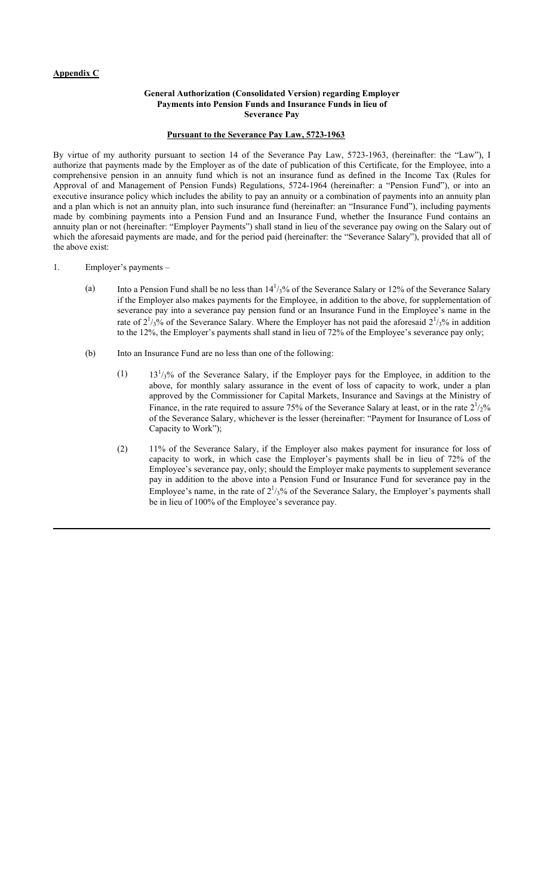### **General Authorization (Consolidated Version) regarding Employer Payments into Pension Funds and Insurance Funds in lieu of Severance Pay**

## **Pursuant to the Severance Pay Law, 5723-1963**

By virtue of my authority pursuant to section 14 of the Severance Pay Law, 5723-1963, (hereinafter: the "Law"), I authorize that payments made by the Employer as of the date of publication of this Certificate, for the Employee, into a comprehensive pension in an annuity fund which is not an insurance fund as defined in the Income Tax (Rules for Approval of and Management of Pension Funds) Regulations, 5724-1964 (hereinafter: a "Pension Fund"), or into an executive insurance policy which includes the ability to pay an annuity or a combination of payments into an annuity plan and a plan which is not an annuity plan, into such insurance fund (hereinafter: an "Insurance Fund"), including payments made by combining payments into a Pension Fund and an Insurance Fund, whether the Insurance Fund contains an annuity plan or not (hereinafter: "Employer Payments") shall stand in lieu of the severance pay owing on the Salary out of which the aforesaid payments are made, and for the period paid (hereinafter: the "Severance Salary"), provided that all of the above exist:

- 1. Employer's payments
	- (a) Into a Pension Fund shall be no less than  $14^{1/3}$ % of the Severance Salary or 12% of the Severance Salary if the Employer also makes payments for the Employee, in addition to the above, for supplementation of severance pay into a severance pay pension fund or an Insurance Fund in the Employee's name in the rate of  $2^{1/3}$ % of the Severance Salary. Where the Employer has not paid the aforesaid  $2^{1/3}$ % in addition to the 12%, the Employer's payments shall stand in lieu of 72% of the Employee's severance pay only;
	- (b) Into an Insurance Fund are no less than one of the following:
		- $(1)$  13<sup>1</sup>/<sub>3</sub>% of the Severance Salary, if the Employer pays for the Employee, in addition to the above, for monthly salary assurance in the event of loss of capacity to work, under a plan approved by the Commissioner for Capital Markets, Insurance and Savings at the Ministry of Finance, in the rate required to assure 75% of the Severance Salary at least, or in the rate  $2^{1/2}_{2}$ % of the Severance Salary, whichever is the lesser (hereinafter: "Payment for Insurance of Loss of Capacity to Work");
		- (2) 11% of the Severance Salary, if the Employer also makes payment for insurance for loss of capacity to work, in which case the Employer's payments shall be in lieu of 72% of the Employee's severance pay, only; should the Employer make payments to supplement severance pay in addition to the above into a Pension Fund or Insurance Fund for severance pay in the Employee's name, in the rate of  $2^{1/3}$ % of the Severance Salary, the Employer's payments shall be in lieu of 100% of the Employee's severance pay.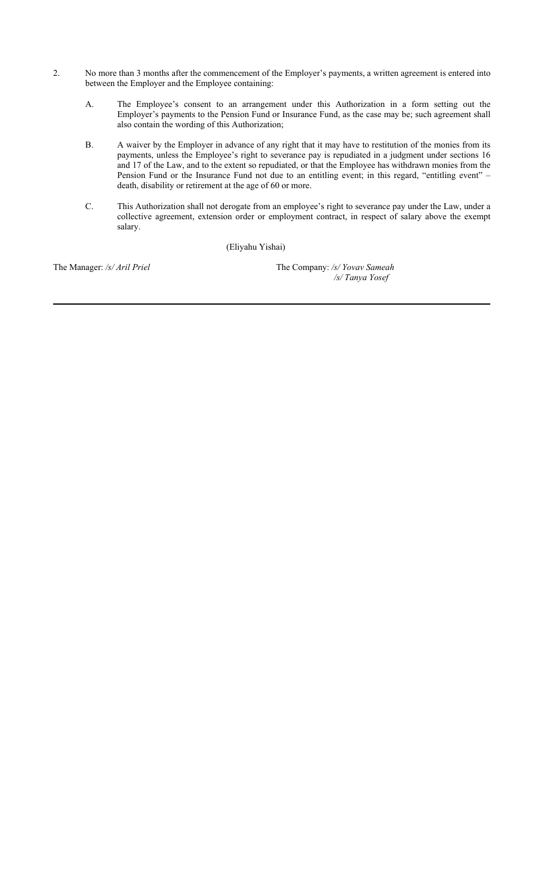- 2. No more than 3 months after the commencement of the Employer's payments, a written agreement is entered into between the Employer and the Employee containing:
	- A. The Employee's consent to an arrangement under this Authorization in a form setting out the Employer's payments to the Pension Fund or Insurance Fund, as the case may be; such agreement shall also contain the wording of this Authorization;
	- B. A waiver by the Employer in advance of any right that it may have to restitution of the monies from its payments, unless the Employee's right to severance pay is repudiated in a judgment under sections 16 and 17 of the Law, and to the extent so repudiated, or that the Employee has withdrawn monies from the Pension Fund or the Insurance Fund not due to an entitling event; in this regard, "entitling event" death, disability or retirement at the age of 60 or more.
	- C. This Authorization shall not derogate from an employee's right to severance pay under the Law, under a collective agreement, extension order or employment contract, in respect of salary above the exempt salary.

(Eliyahu Yishai)

The Manager: /s/ Aril Priel The Company: /s/ Yovav Sameah  */s/ Tanya Yosef*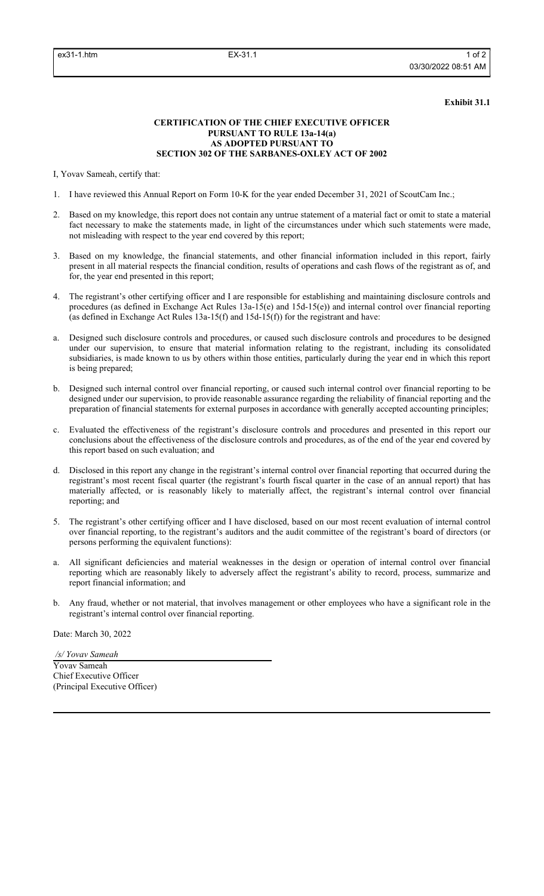#### **Exhibit 31.1**

#### **CERTIFICATION OF THE CHIEF EXECUTIVE OFFICER PURSUANT TO RULE 13a-14(a) AS ADOPTED PURSUANT TO SECTION 302 OF THE SARBANES-OXLEY ACT OF 2002**

I, Yovav Sameah, certify that:

- 1. I have reviewed this Annual Report on Form 10-K for the year ended December 31, 2021 of ScoutCam Inc.;
- 2. Based on my knowledge, this report does not contain any untrue statement of a material fact or omit to state a material fact necessary to make the statements made, in light of the circumstances under which such statements were made, not misleading with respect to the year end covered by this report;
- 3. Based on my knowledge, the financial statements, and other financial information included in this report, fairly present in all material respects the financial condition, results of operations and cash flows of the registrant as of, and for, the year end presented in this report;
- 4. The registrant's other certifying officer and I are responsible for establishing and maintaining disclosure controls and procedures (as defined in Exchange Act Rules 13a-15(e) and 15d-15(e)) and internal control over financial reporting (as defined in Exchange Act Rules 13a-15(f) and 15d-15(f)) for the registrant and have:
- a. Designed such disclosure controls and procedures, or caused such disclosure controls and procedures to be designed under our supervision, to ensure that material information relating to the registrant, including its consolidated subsidiaries, is made known to us by others within those entities, particularly during the year end in which this report is being prepared;
- b. Designed such internal control over financial reporting, or caused such internal control over financial reporting to be designed under our supervision, to provide reasonable assurance regarding the reliability of financial reporting and the preparation of financial statements for external purposes in accordance with generally accepted accounting principles;
- c. Evaluated the effectiveness of the registrant's disclosure controls and procedures and presented in this report our conclusions about the effectiveness of the disclosure controls and procedures, as of the end of the year end covered by this report based on such evaluation; and
- d. Disclosed in this report any change in the registrant's internal control over financial reporting that occurred during the registrant's most recent fiscal quarter (the registrant's fourth fiscal quarter in the case of an annual report) that has materially affected, or is reasonably likely to materially affect, the registrant's internal control over financial reporting; and
- 5. The registrant's other certifying officer and I have disclosed, based on our most recent evaluation of internal control over financial reporting, to the registrant's auditors and the audit committee of the registrant's board of directors (or persons performing the equivalent functions):
- a. All significant deficiencies and material weaknesses in the design or operation of internal control over financial reporting which are reasonably likely to adversely affect the registrant's ability to record, process, summarize and report financial information; and
- b. Any fraud, whether or not material, that involves management or other employees who have a significant role in the registrant's internal control over financial reporting.

Date: March 30, 2022

 */s/ Yovav Sameah* Yovav Sameah Chief Executive Officer (Principal Executive Officer)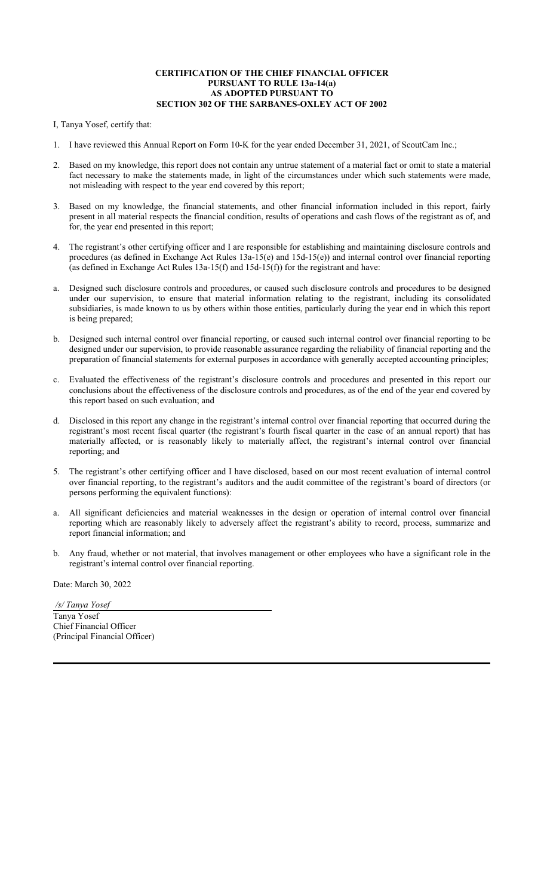#### **CERTIFICATION OF THE CHIEF FINANCIAL OFFICER PURSUANT TO RULE 13a-14(a) AS ADOPTED PURSUANT TO SECTION 302 OF THE SARBANES-OXLEY ACT OF 2002**

I, Tanya Yosef, certify that:

- 1. I have reviewed this Annual Report on Form 10-K for the year ended December 31, 2021, of ScoutCam Inc.;
- 2. Based on my knowledge, this report does not contain any untrue statement of a material fact or omit to state a material fact necessary to make the statements made, in light of the circumstances under which such statements were made, not misleading with respect to the year end covered by this report;
- 3. Based on my knowledge, the financial statements, and other financial information included in this report, fairly present in all material respects the financial condition, results of operations and cash flows of the registrant as of, and for, the year end presented in this report;
- 4. The registrant's other certifying officer and I are responsible for establishing and maintaining disclosure controls and procedures (as defined in Exchange Act Rules 13a-15(e) and 15d-15(e)) and internal control over financial reporting (as defined in Exchange Act Rules  $13a-15(f)$  and  $15d-15(f)$ ) for the registrant and have:
- a. Designed such disclosure controls and procedures, or caused such disclosure controls and procedures to be designed under our supervision, to ensure that material information relating to the registrant, including its consolidated subsidiaries, is made known to us by others within those entities, particularly during the year end in which this report is being prepared;
- b. Designed such internal control over financial reporting, or caused such internal control over financial reporting to be designed under our supervision, to provide reasonable assurance regarding the reliability of financial reporting and the preparation of financial statements for external purposes in accordance with generally accepted accounting principles;
- c. Evaluated the effectiveness of the registrant's disclosure controls and procedures and presented in this report our conclusions about the effectiveness of the disclosure controls and procedures, as of the end of the year end covered by this report based on such evaluation; and
- d. Disclosed in this report any change in the registrant's internal control over financial reporting that occurred during the registrant's most recent fiscal quarter (the registrant's fourth fiscal quarter in the case of an annual report) that has materially affected, or is reasonably likely to materially affect, the registrant's internal control over financial reporting; and
- 5. The registrant's other certifying officer and I have disclosed, based on our most recent evaluation of internal control over financial reporting, to the registrant's auditors and the audit committee of the registrant's board of directors (or persons performing the equivalent functions):
- a. All significant deficiencies and material weaknesses in the design or operation of internal control over financial reporting which are reasonably likely to adversely affect the registrant's ability to record, process, summarize and report financial information; and
- b. Any fraud, whether or not material, that involves management or other employees who have a significant role in the registrant's internal control over financial reporting.

Date: March 30, 2022

 */s/ Tanya Yosef* Tanya Yosef Chief Financial Officer (Principal Financial Officer)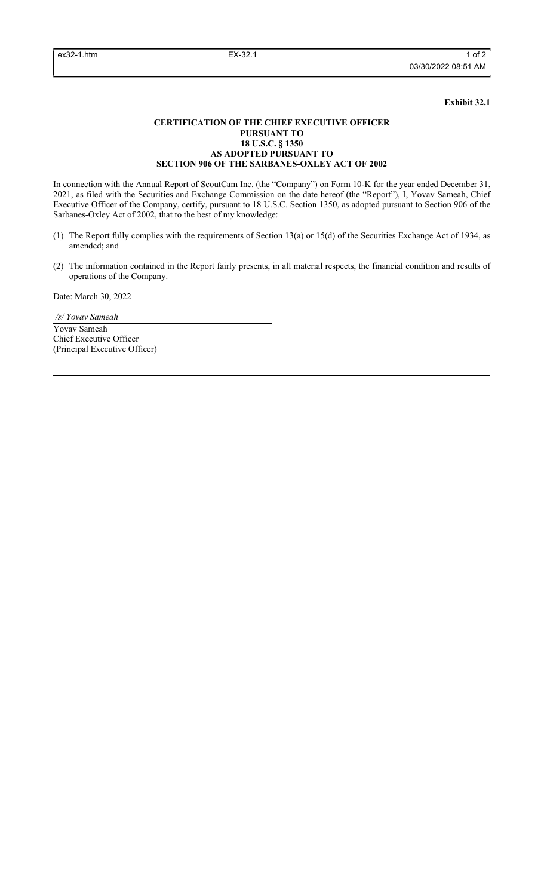#### **Exhibit 32.1**

#### **CERTIFICATION OF THE CHIEF EXECUTIVE OFFICER PURSUANT TO 18 U.S.C. § 1350 AS ADOPTED PURSUANT TO SECTION 906 OF THE SARBANES-OXLEY ACT OF 2002**

In connection with the Annual Report of ScoutCam Inc. (the "Company") on Form 10-K for the year ended December 31, 2021, as filed with the Securities and Exchange Commission on the date hereof (the "Report"), I, Yovav Sameah, Chief Executive Officer of the Company, certify, pursuant to 18 U.S.C. Section 1350, as adopted pursuant to Section 906 of the Sarbanes-Oxley Act of 2002, that to the best of my knowledge:

- (1) The Report fully complies with the requirements of Section 13(a) or 15(d) of the Securities Exchange Act of 1934, as amended; and
- (2) The information contained in the Report fairly presents, in all material respects, the financial condition and results of operations of the Company.

Date: March 30, 2022

 */s/ Yovav Sameah* Yovav Sameah Chief Executive Officer (Principal Executive Officer)